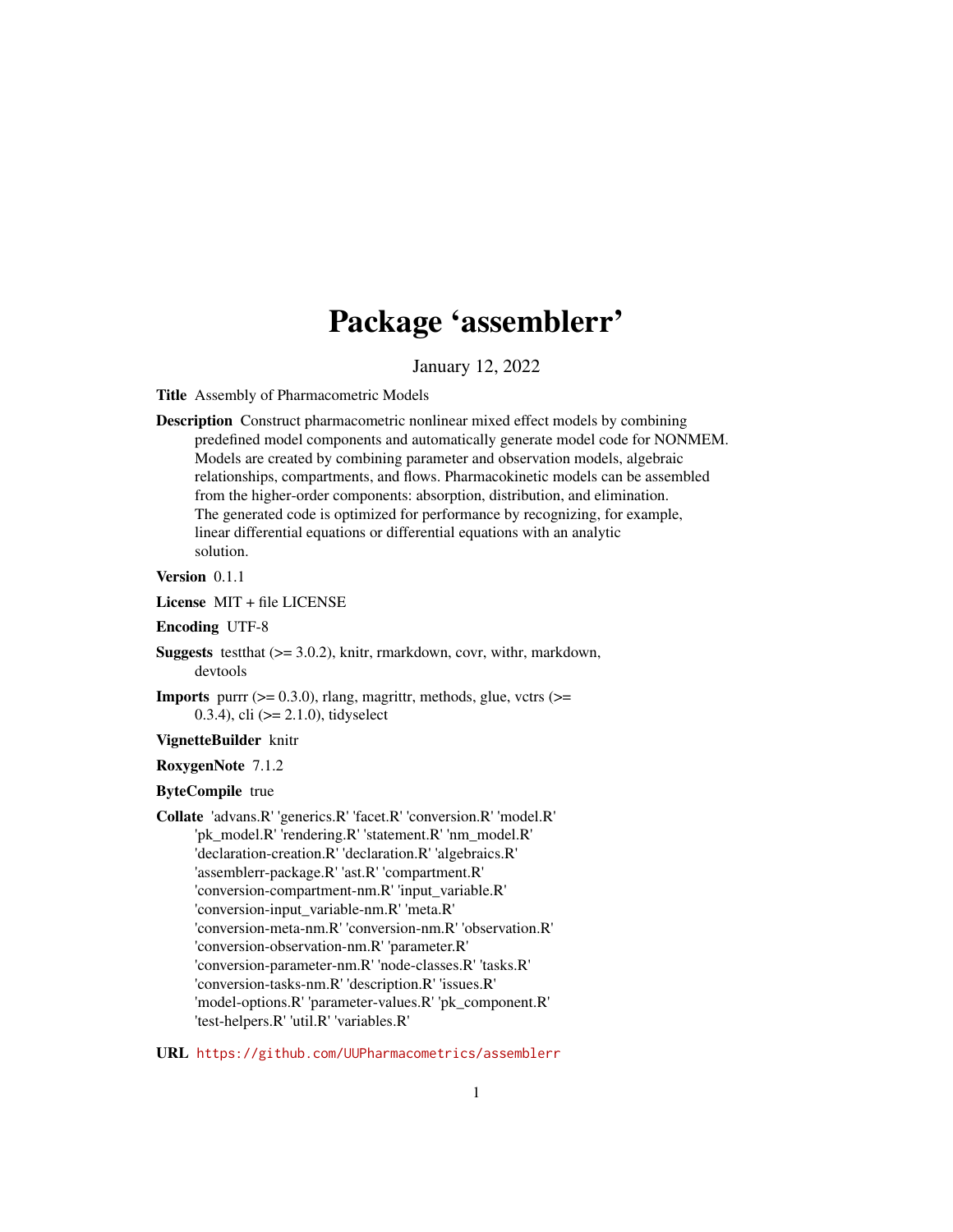# Package 'assemblerr'

January 12, 2022

<span id="page-0-0"></span>Title Assembly of Pharmacometric Models

Description Construct pharmacometric nonlinear mixed effect models by combining predefined model components and automatically generate model code for NONMEM. Models are created by combining parameter and observation models, algebraic relationships, compartments, and flows. Pharmacokinetic models can be assembled from the higher-order components: absorption, distribution, and elimination. The generated code is optimized for performance by recognizing, for example, linear differential equations or differential equations with an analytic solution.

# Version 0.1.1

License MIT + file LICENSE

Encoding UTF-8

- **Suggests** test that  $(>= 3.0.2)$ , knitr, rmarkdown, covr, with r, markdown, devtools
- **Imports** purrr  $(>= 0.3.0)$ , rlang, magrittr, methods, glue, vctrs  $(>=$ 0.3.4), cli  $(>= 2.1.0)$ , tidyselect

# VignetteBuilder knitr

#### RoxygenNote 7.1.2

ByteCompile true

Collate 'advans.R' 'generics.R' 'facet.R' 'conversion.R' 'model.R' 'pk\_model.R' 'rendering.R' 'statement.R' 'nm\_model.R' 'declaration-creation.R' 'declaration.R' 'algebraics.R' 'assemblerr-package.R' 'ast.R' 'compartment.R' 'conversion-compartment-nm.R' 'input\_variable.R' 'conversion-input\_variable-nm.R' 'meta.R' 'conversion-meta-nm.R' 'conversion-nm.R' 'observation.R' 'conversion-observation-nm.R' 'parameter.R' 'conversion-parameter-nm.R' 'node-classes.R' 'tasks.R' 'conversion-tasks-nm.R' 'description.R' 'issues.R' 'model-options.R' 'parameter-values.R' 'pk\_component.R' 'test-helpers.R' 'util.R' 'variables.R'

URL <https://github.com/UUPharmacometrics/assemblerr>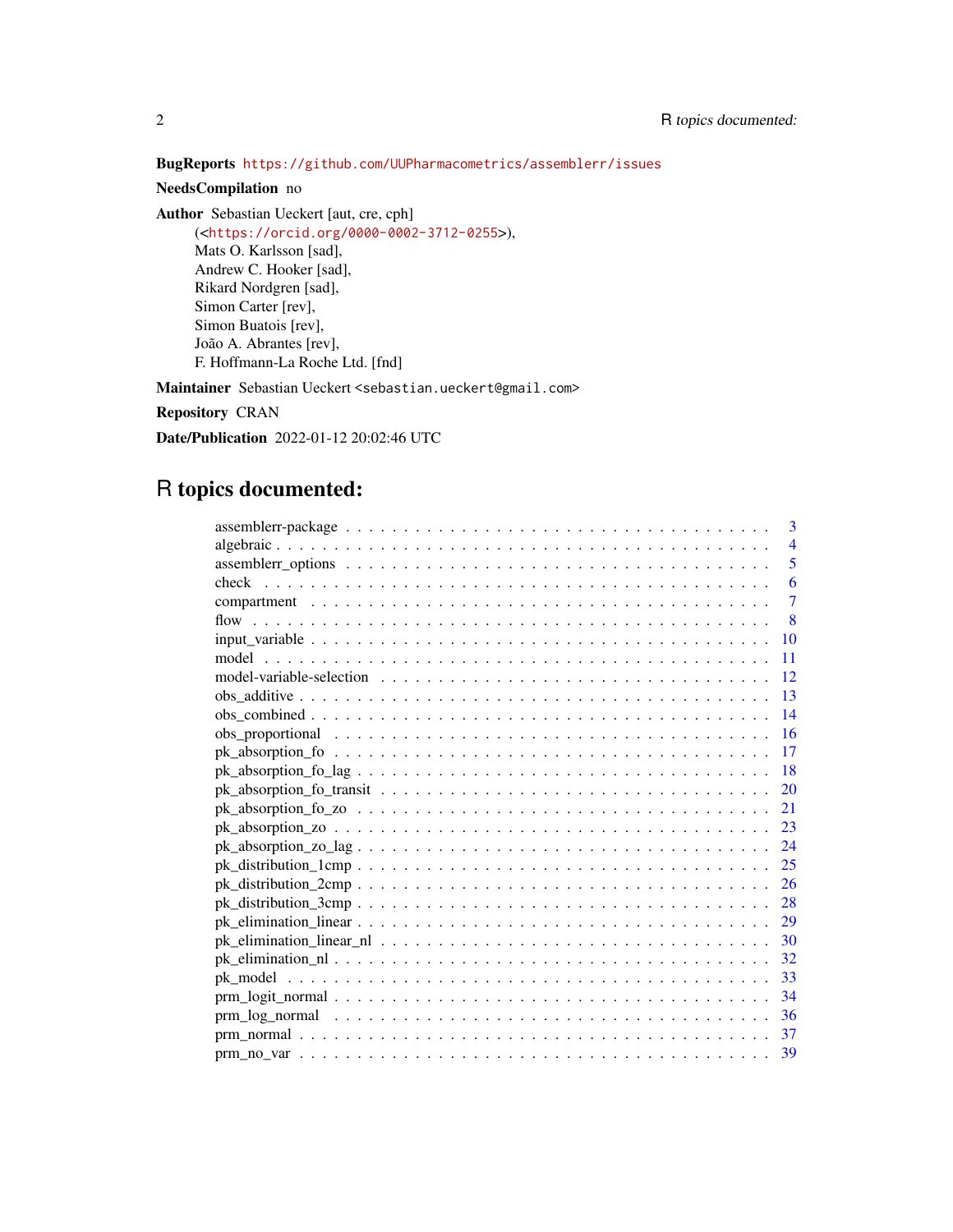BugReports <https://github.com/UUPharmacometrics/assemblerr/issues>

# NeedsCompilation no

Author Sebastian Ueckert [aut, cre, cph] (<<https://orcid.org/0000-0002-3712-0255>>), Mats O. Karlsson [sad], Andrew C. Hooker [sad], Rikard Nordgren [sad], Simon Carter [rev], Simon Buatois [rev],

João A. Abrantes [rev], F. Hoffmann-La Roche Ltd. [fnd]

Maintainer Sebastian Ueckert <sebastian.ueckert@gmail.com>

Repository CRAN

Date/Publication 2022-01-12 20:02:46 UTC

# R topics documented:

| 3              |
|----------------|
| $\overline{4}$ |
| 5              |
| 6              |
| $\overline{7}$ |
| 8              |
| 10             |
| 11             |
| 12             |
| 13             |
| 14             |
| 16             |
| 17             |
| 18             |
| 20             |
| 21             |
| 23             |
| 24             |
| 25             |
| 26             |
| 28             |
| 29             |
| 30             |
| 32             |
| 33             |
| 34             |
| 36             |
| 37             |
| 39             |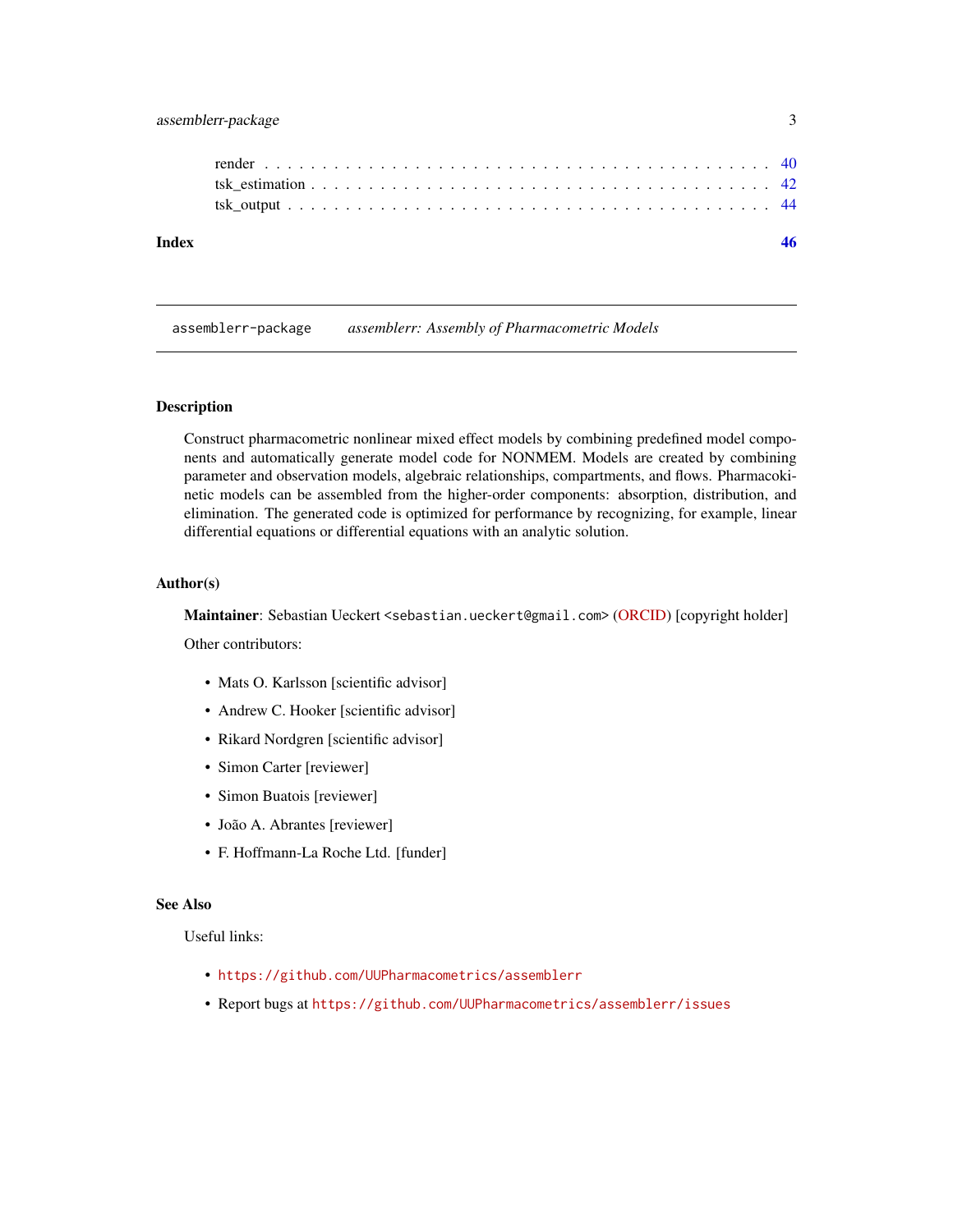# <span id="page-2-0"></span>assemblerr-package 3

assemblerr-package *assemblerr: Assembly of Pharmacometric Models*

#### Description

Construct pharmacometric nonlinear mixed effect models by combining predefined model components and automatically generate model code for NONMEM. Models are created by combining parameter and observation models, algebraic relationships, compartments, and flows. Pharmacokinetic models can be assembled from the higher-order components: absorption, distribution, and elimination. The generated code is optimized for performance by recognizing, for example, linear differential equations or differential equations with an analytic solution.

#### Author(s)

Maintainer: Sebastian Ueckert <sebastian.ueckert@gmail.com> [\(ORCID\)](https://orcid.org/0000-0002-3712-0255) [copyright holder]

Other contributors:

- Mats O. Karlsson [scientific advisor]
- Andrew C. Hooker [scientific advisor]
- Rikard Nordgren [scientific advisor]
- Simon Carter [reviewer]
- Simon Buatois [reviewer]
- João A. Abrantes [reviewer]
- F. Hoffmann-La Roche Ltd. [funder]

#### See Also

Useful links:

- <https://github.com/UUPharmacometrics/assemblerr>
- Report bugs at <https://github.com/UUPharmacometrics/assemblerr/issues>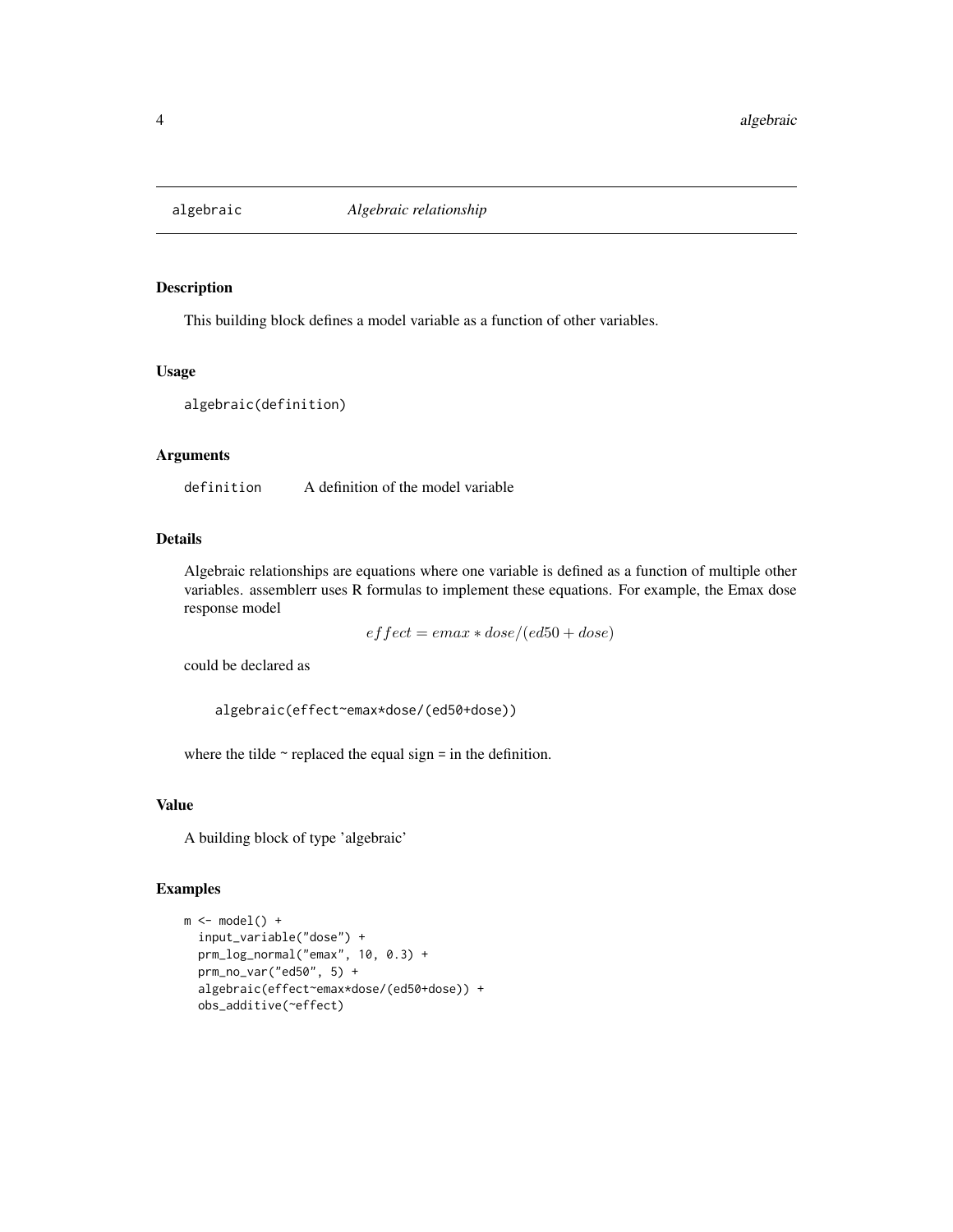<span id="page-3-1"></span><span id="page-3-0"></span>

#### Description

This building block defines a model variable as a function of other variables.

#### Usage

```
algebraic(definition)
```
# Arguments

definition A definition of the model variable

# Details

Algebraic relationships are equations where one variable is defined as a function of multiple other variables. assemblerr uses R formulas to implement these equations. For example, the Emax dose response model

 $effect = emax * dose/(ed50 + dose)$ 

could be declared as

algebraic(effect~emax\*dose/(ed50+dose))

where the tilde  $\sim$  replaced the equal sign = in the definition.

## Value

A building block of type 'algebraic'

# Examples

```
m \leftarrow model() +input_variable("dose") +
  prm_log_normal("emax", 10, 0.3) +
  prm_no_var("ed50", 5) +
  algebraic(effect~emax*dose/(ed50+dose)) +
  obs_additive(~effect)
```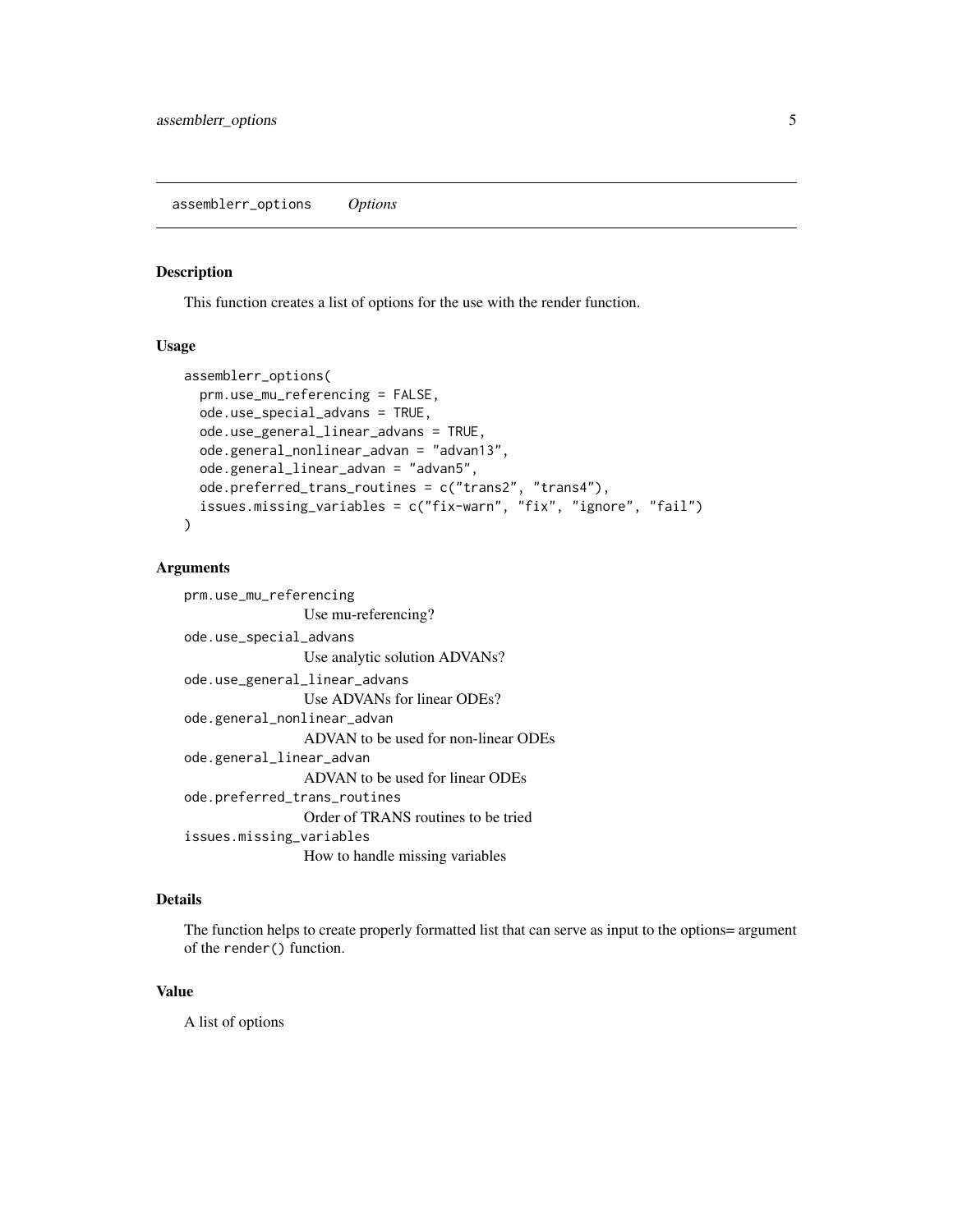<span id="page-4-0"></span>assemblerr\_options *Options*

# Description

This function creates a list of options for the use with the render function.

#### Usage

```
assemblerr_options(
  prm.use_mu_referencing = FALSE,
  ode.use_special_advans = TRUE,
  ode.use_general_linear_advans = TRUE,
  ode.general_nonlinear_advan = "advan13",
  ode.general_linear_advan = "advan5",
  ode.preferred_trans_routines = c("trans2", "trans4"),
  issues.missing_variables = c("fix-warn", "fix", "ignore", "fail")
\lambda
```
#### Arguments

```
prm.use_mu_referencing
                Use mu-referencing?
ode.use_special_advans
                Use analytic solution ADVANs?
ode.use_general_linear_advans
                Use ADVANs for linear ODEs?
ode.general_nonlinear_advan
                ADVAN to be used for non-linear ODEs
ode.general_linear_advan
                ADVAN to be used for linear ODEs
ode.preferred_trans_routines
                Order of TRANS routines to be tried
issues.missing_variables
                How to handle missing variables
```
# Details

The function helps to create properly formatted list that can serve as input to the options= argument of the render() function.

# Value

A list of options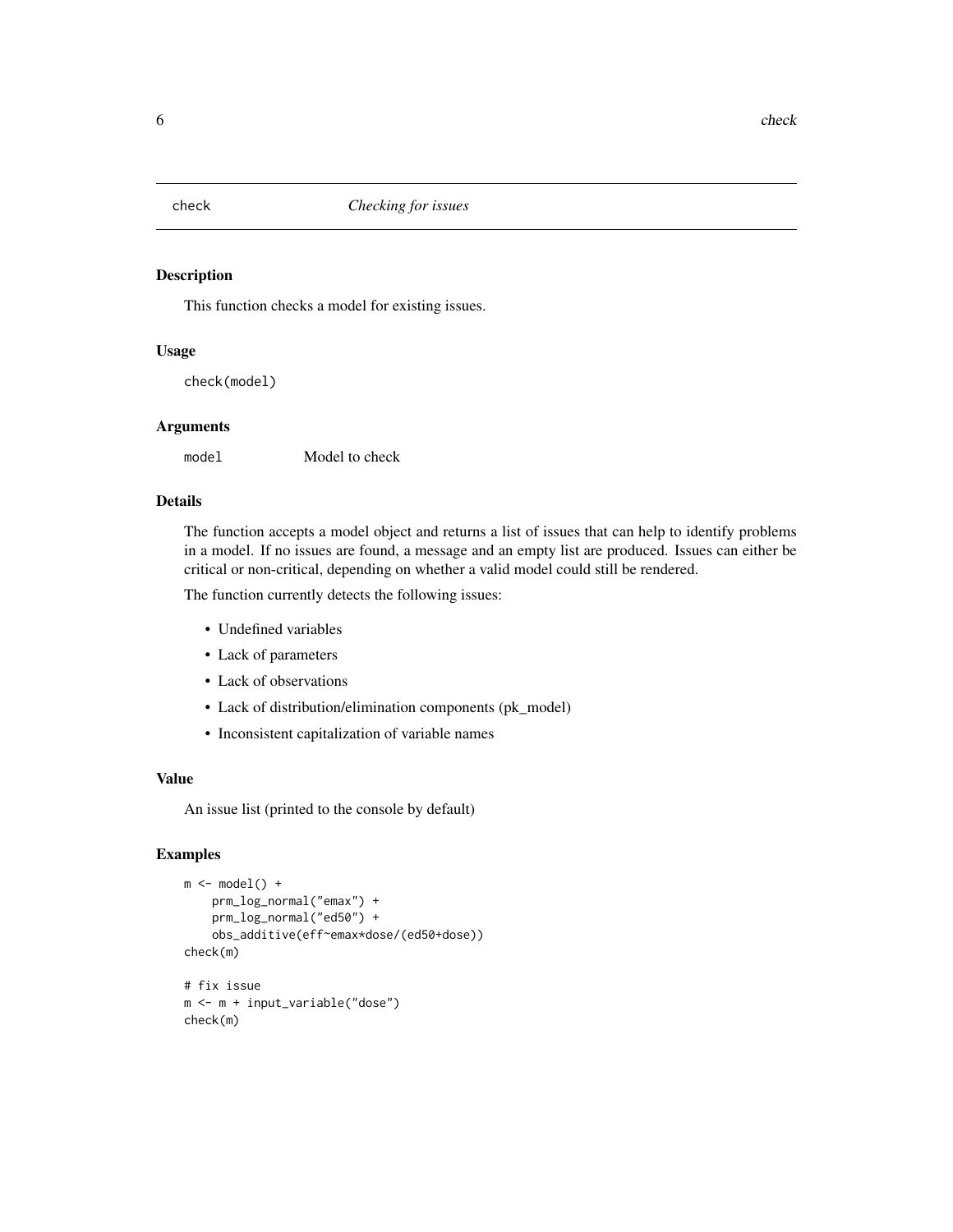<span id="page-5-0"></span>

# Description

This function checks a model for existing issues.

# Usage

check(model)

# Arguments

model Model to check

# Details

The function accepts a model object and returns a list of issues that can help to identify problems in a model. If no issues are found, a message and an empty list are produced. Issues can either be critical or non-critical, depending on whether a valid model could still be rendered.

The function currently detects the following issues:

- Undefined variables
- Lack of parameters
- Lack of observations
- Lack of distribution/elimination components (pk\_model)
- Inconsistent capitalization of variable names

# Value

An issue list (printed to the console by default)

# Examples

```
m \leftarrow model() +prm_log_normal("emax") +
    prm_log_normal("ed50") +
    obs_additive(eff~emax*dose/(ed50+dose))
check(m)
# fix issue
m <- m + input_variable("dose")
check(m)
```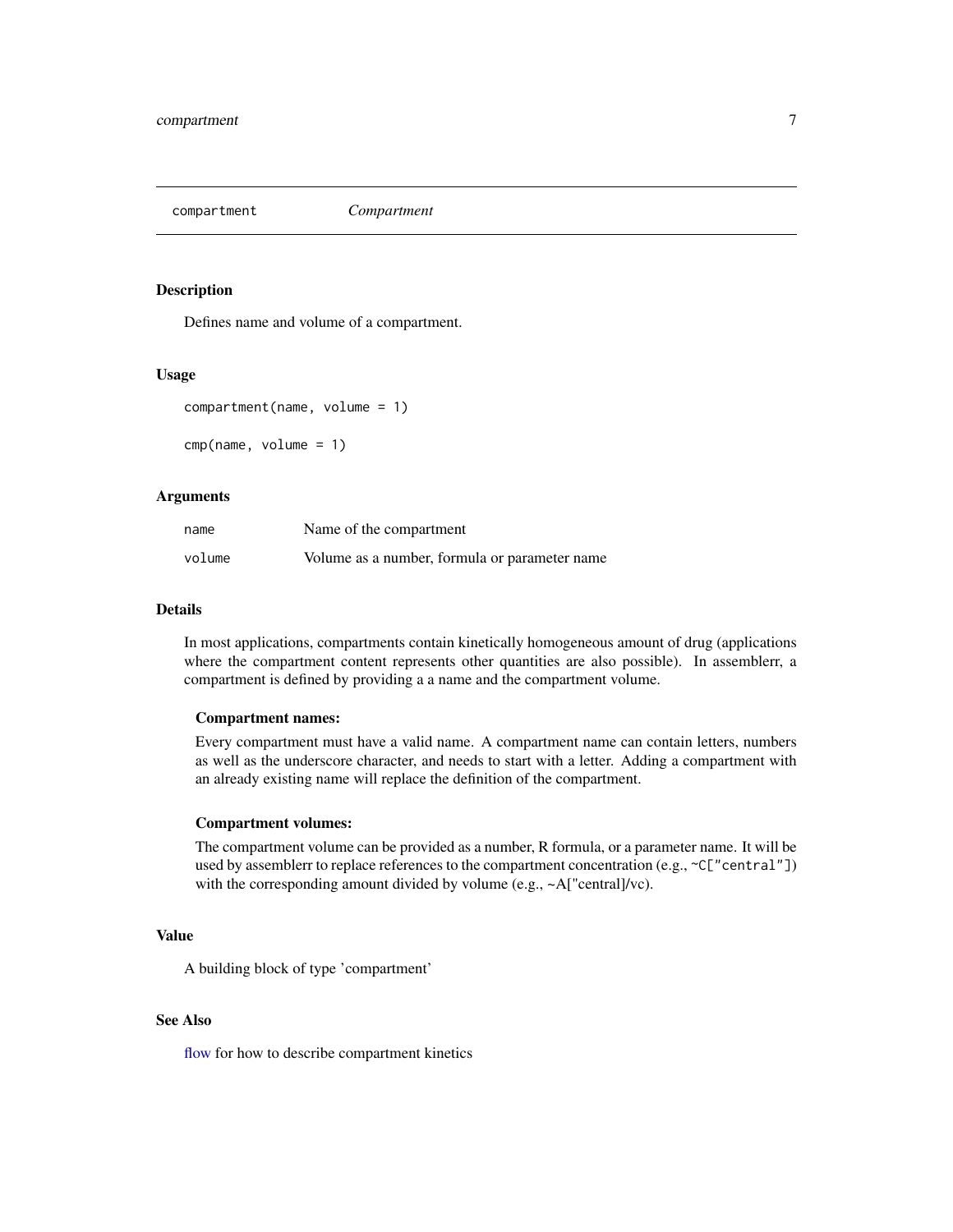<span id="page-6-1"></span><span id="page-6-0"></span>

### Description

Defines name and volume of a compartment.

#### Usage

```
compartment(name, volume = 1)
```
cmp(name, volume = 1)

#### Arguments

| name   | Name of the compartment                       |
|--------|-----------------------------------------------|
| volume | Volume as a number, formula or parameter name |

#### Details

In most applications, compartments contain kinetically homogeneous amount of drug (applications where the compartment content represents other quantities are also possible). In assemblerr, a compartment is defined by providing a a name and the compartment volume.

#### Compartment names:

Every compartment must have a valid name. A compartment name can contain letters, numbers as well as the underscore character, and needs to start with a letter. Adding a compartment with an already existing name will replace the definition of the compartment.

#### Compartment volumes:

The compartment volume can be provided as a number, R formula, or a parameter name. It will be used by assemblerr to replace references to the compartment concentration (e.g., ~C["central"]) with the corresponding amount divided by volume (e.g., ~A["central]/vc).

# Value

A building block of type 'compartment'

# See Also

[flow](#page-7-1) for how to describe compartment kinetics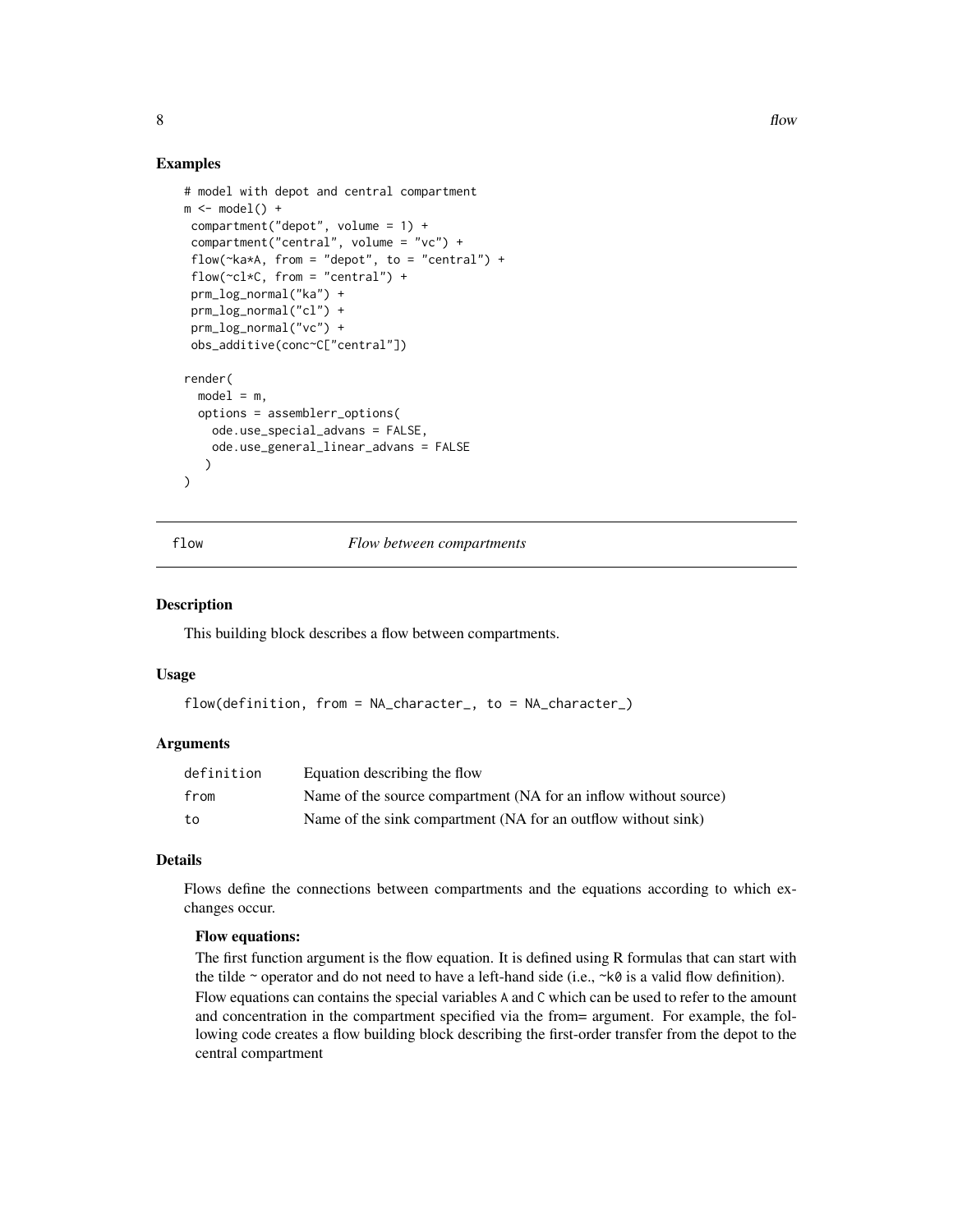# Examples

```
# model with depot and central compartment
m \leftarrow model() +compartment("depot", volume = 1) +
compartment("central", volume = "vc") +
 flow(\nuka*A, from = "depot", to = "central") +
flow(\neg c \, l \star C, from = "central") +
prm_log_normal("ka") +
prm_log_normal("cl") +
prm_log_normal("vc") +
obs_additive(conc~C["central"])
render(
 model = m,
 options = assemblerr_options(
   ode.use_special_advans = FALSE,
    ode.use_general_linear_advans = FALSE
   )
\lambda
```
flow *Flow between compartments*

#### Description

This building block describes a flow between compartments.

#### Usage

```
flow(definition, from = NA_character_, to = NA_character_)
```
# Arguments

| definition | Equation describing the flow                                     |
|------------|------------------------------------------------------------------|
| from       | Name of the source compartment (NA for an inflow without source) |
| to         | Name of the sink compartment (NA for an outflow without sink)    |

# **Details**

Flows define the connections between compartments and the equations according to which exchanges occur.

# Flow equations:

The first function argument is the flow equation. It is defined using R formulas that can start with the tilde  $\sim$  operator and do not need to have a left-hand side (i.e.,  $\sim k\theta$  is a valid flow definition). Flow equations can contains the special variables A and C which can be used to refer to the amount and concentration in the compartment specified via the from= argument. For example, the following code creates a flow building block describing the first-order transfer from the depot to the central compartment

<span id="page-7-0"></span>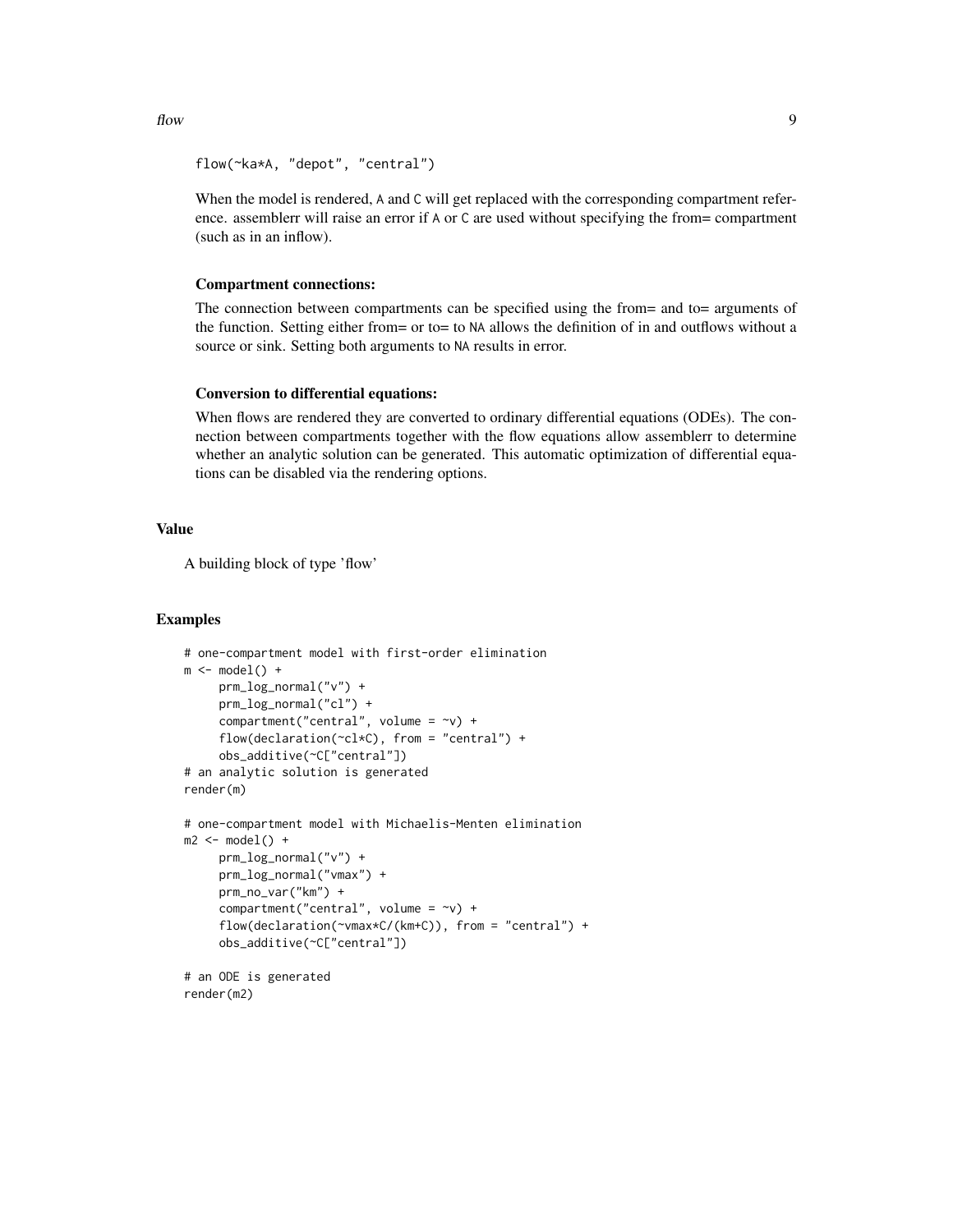```
flow(~ka*A, "depot", "central")
```
When the model is rendered, A and C will get replaced with the corresponding compartment reference. assemblerr will raise an error if A or C are used without specifying the from= compartment (such as in an inflow).

#### Compartment connections:

The connection between compartments can be specified using the from= and to= arguments of the function. Setting either from= or to= to NA allows the definition of in and outflows without a source or sink. Setting both arguments to NA results in error.

#### Conversion to differential equations:

When flows are rendered they are converted to ordinary differential equations (ODEs). The connection between compartments together with the flow equations allow assemblerr to determine whether an analytic solution can be generated. This automatic optimization of differential equations can be disabled via the rendering options.

#### Value

A building block of type 'flow'

#### Examples

```
# one-compartment model with first-order elimination
m \leftarrow model() +prm_log_normal("v") +
     prm_log_normal("cl") +
     compartment("central", volume = \simv) +
     flow(declaration(\texttt{cl}*\texttt{C}), from = "central") +obs_additive(~C["central"])
# an analytic solution is generated
render(m)
# one-compartment model with Michaelis-Menten elimination
m2 \le - model() +
     prm_log_normal("v") +
     prm_log_normal("vmax") +
     prm_no_var("km") +
     compartment("central", volume = \simv) +
     flow(declaration(~vmax*C/(km+C)), from = "central") +
     obs_additive(~C["central"])
# an ODE is generated
render(m2)
```
 $f$ low 9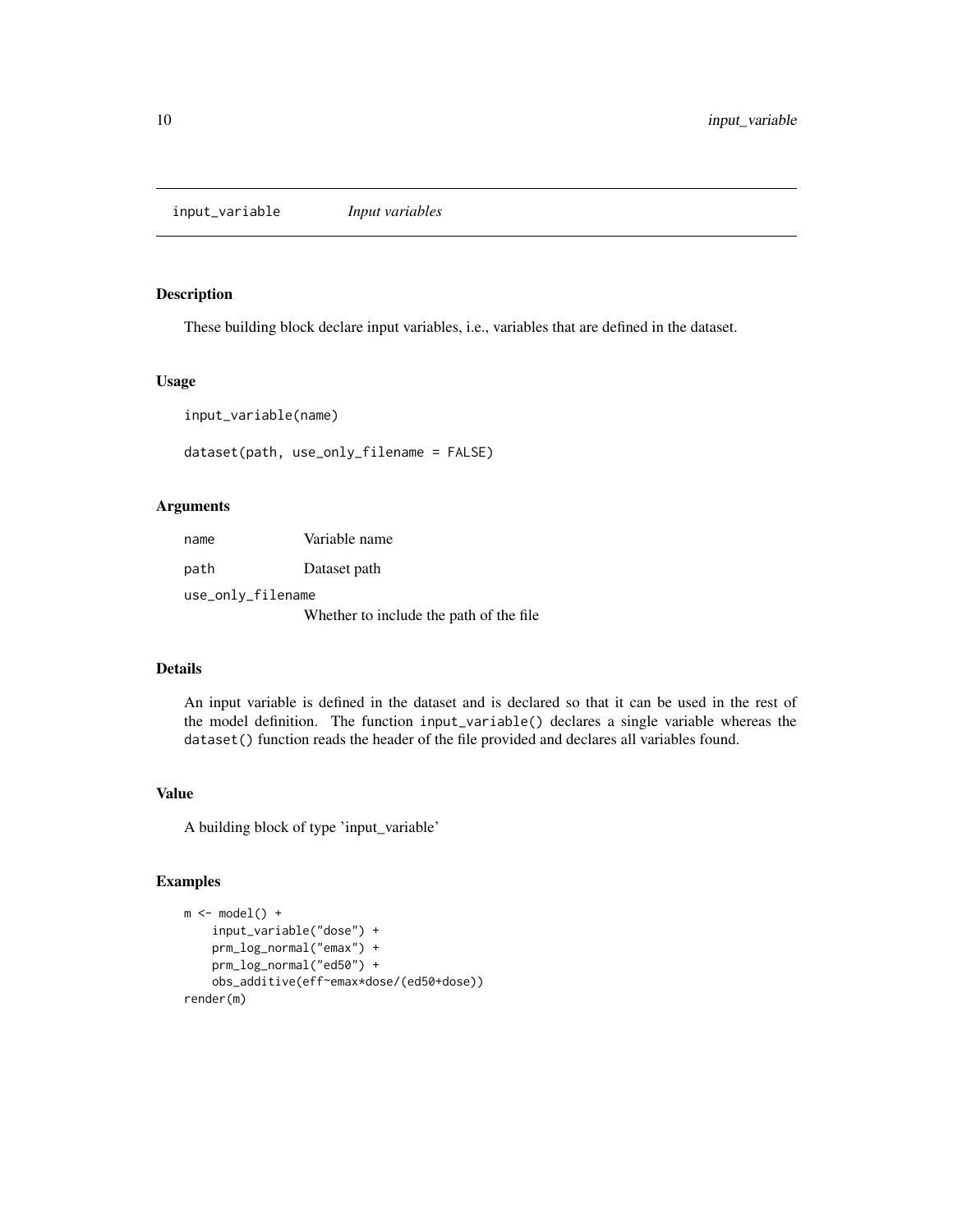<span id="page-9-1"></span><span id="page-9-0"></span>input\_variable *Input variables*

# <span id="page-9-2"></span>Description

These building block declare input variables, i.e., variables that are defined in the dataset.

#### Usage

input\_variable(name)

dataset(path, use\_only\_filename = FALSE)

# Arguments

| name              | Variable name                           |
|-------------------|-----------------------------------------|
| path              | Dataset path                            |
| use_only_filename |                                         |
|                   | Whether to include the path of the file |

# Details

An input variable is defined in the dataset and is declared so that it can be used in the rest of the model definition. The function input\_variable() declares a single variable whereas the dataset() function reads the header of the file provided and declares all variables found.

# Value

A building block of type 'input\_variable'

# Examples

```
m \leftarrow model() +input_variable("dose") +
    prm_log_normal("emax") +
    prm_log_normal("ed50") +
    obs_additive(eff~emax*dose/(ed50+dose))
render(m)
```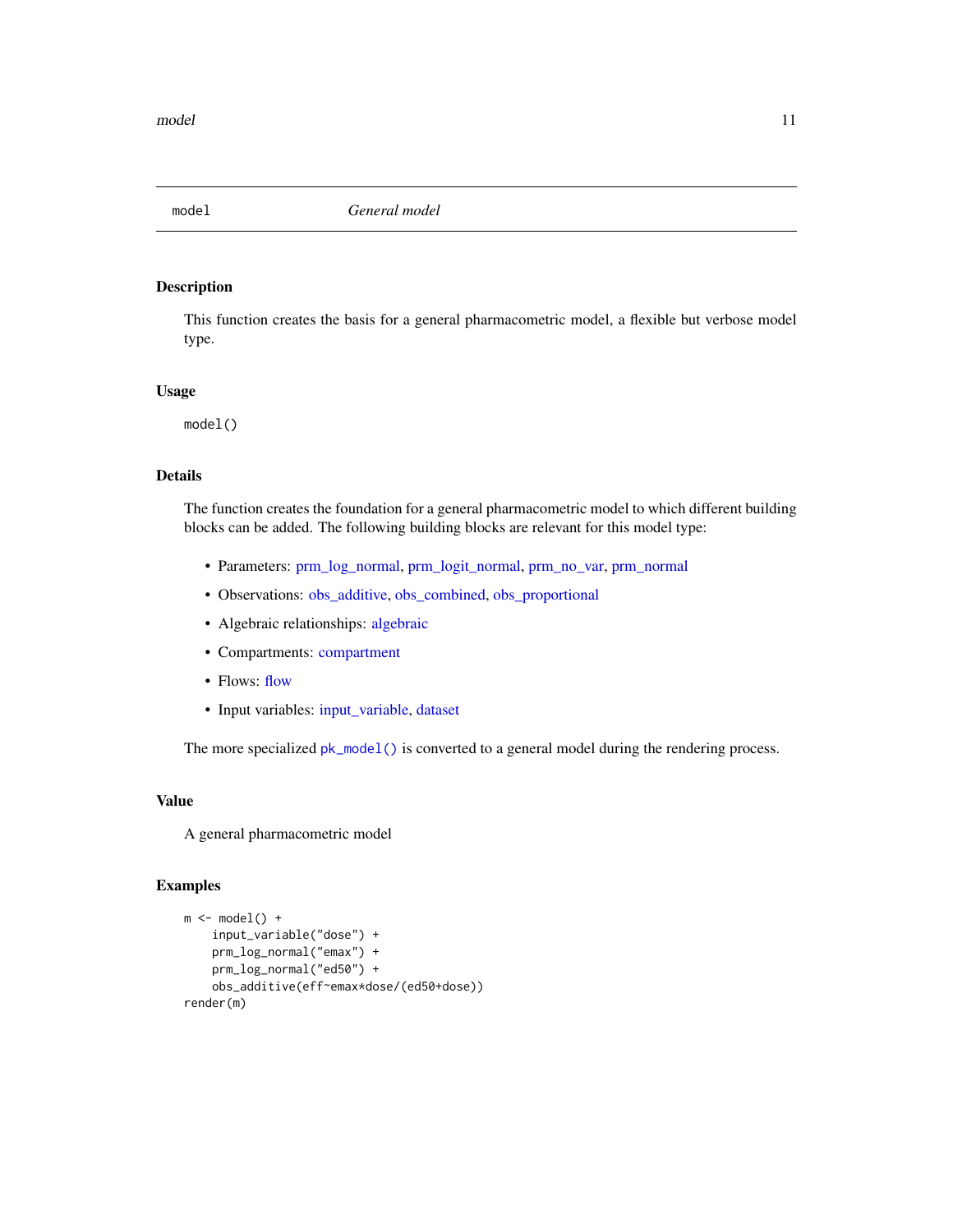<span id="page-10-0"></span>

#### Description

This function creates the basis for a general pharmacometric model, a flexible but verbose model type.

#### Usage

model()

# Details

The function creates the foundation for a general pharmacometric model to which different building blocks can be added. The following building blocks are relevant for this model type:

- Parameters: [prm\\_log\\_normal,](#page-35-1) [prm\\_logit\\_normal,](#page-33-1) [prm\\_no\\_var,](#page-38-1) [prm\\_normal](#page-36-1)
- Observations: [obs\\_additive,](#page-12-1) [obs\\_combined,](#page-13-1) [obs\\_proportional](#page-15-1)
- Algebraic relationships: [algebraic](#page-3-1)
- Compartments: [compartment](#page-6-1)
- Flows: [flow](#page-7-1)
- Input variables: [input\\_variable,](#page-9-1) [dataset](#page-9-2)

The more specialized  $pk\_model()$  is converted to a general model during the rendering process.

#### Value

A general pharmacometric model

#### Examples

```
m \leftarrow model() +input_variable("dose") +
    prm_log_normal("emax") +
   prm_log_normal("ed50") +
    obs_additive(eff~emax*dose/(ed50+dose))
render(m)
```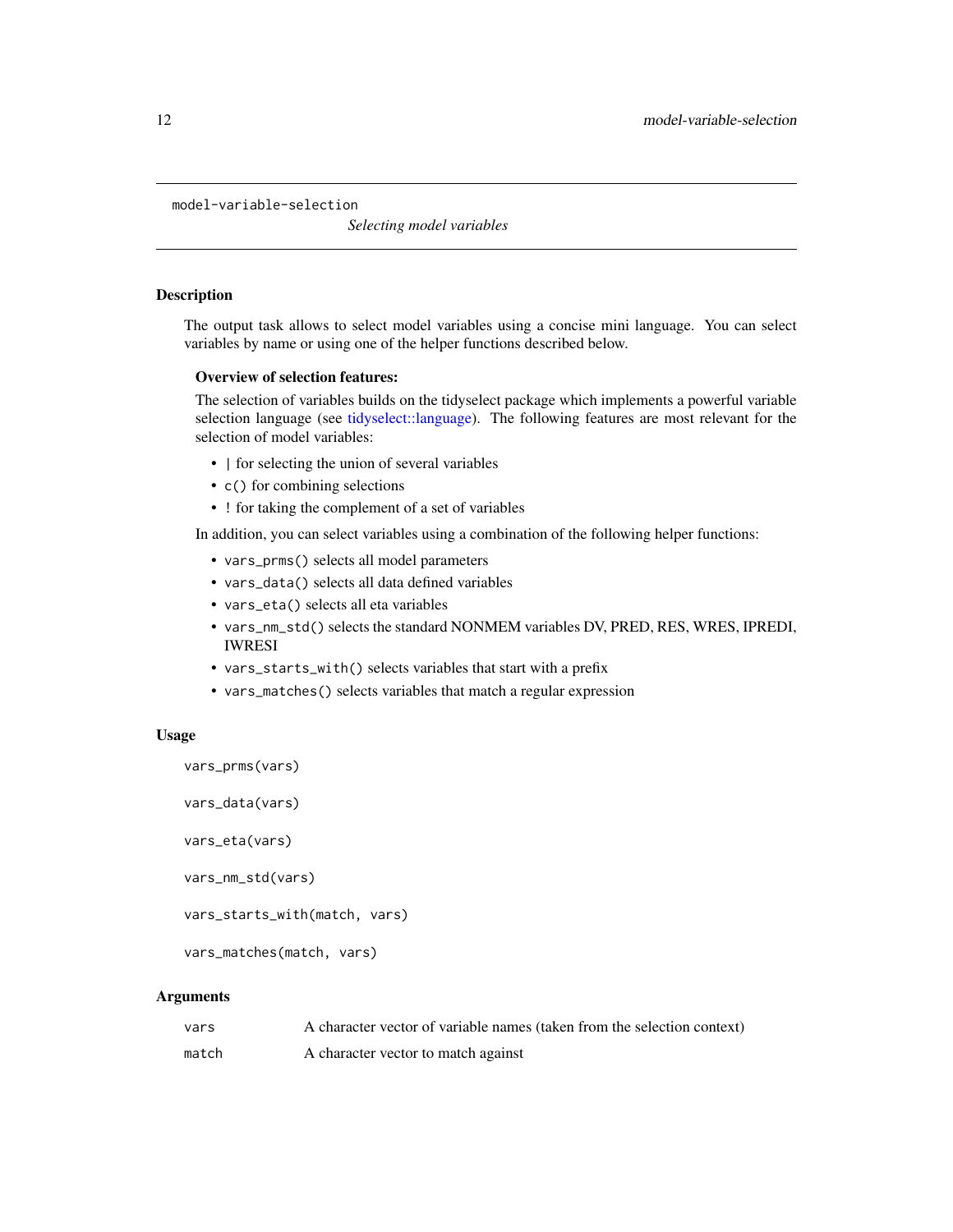<span id="page-11-1"></span><span id="page-11-0"></span>model-variable-selection

*Selecting model variables*

#### **Description**

The output task allows to select model variables using a concise mini language. You can select variables by name or using one of the helper functions described below.

# Overview of selection features:

The selection of variables builds on the tidyselect package which implements a powerful variable selection language (see [tidyselect::language\)](#page-0-0). The following features are most relevant for the selection of model variables:

- I for selecting the union of several variables
- c() for combining selections
- ! for taking the complement of a set of variables

In addition, you can select variables using a combination of the following helper functions:

- vars\_prms() selects all model parameters
- vars\_data() selects all data defined variables
- vars\_eta() selects all eta variables
- vars\_nm\_std() selects the standard NONMEM variables DV, PRED, RES, WRES, IPREDI, IWRESI
- vars\_starts\_with() selects variables that start with a prefix
- vars\_matches() selects variables that match a regular expression

# Usage

```
vars_prms(vars)
```
vars\_data(vars)

```
vars_eta(vars)
```
vars\_nm\_std(vars)

vars\_starts\_with(match, vars)

vars\_matches(match, vars)

#### Arguments

| vars  | A character vector of variable names (taken from the selection context) |
|-------|-------------------------------------------------------------------------|
| match | A character vector to match against                                     |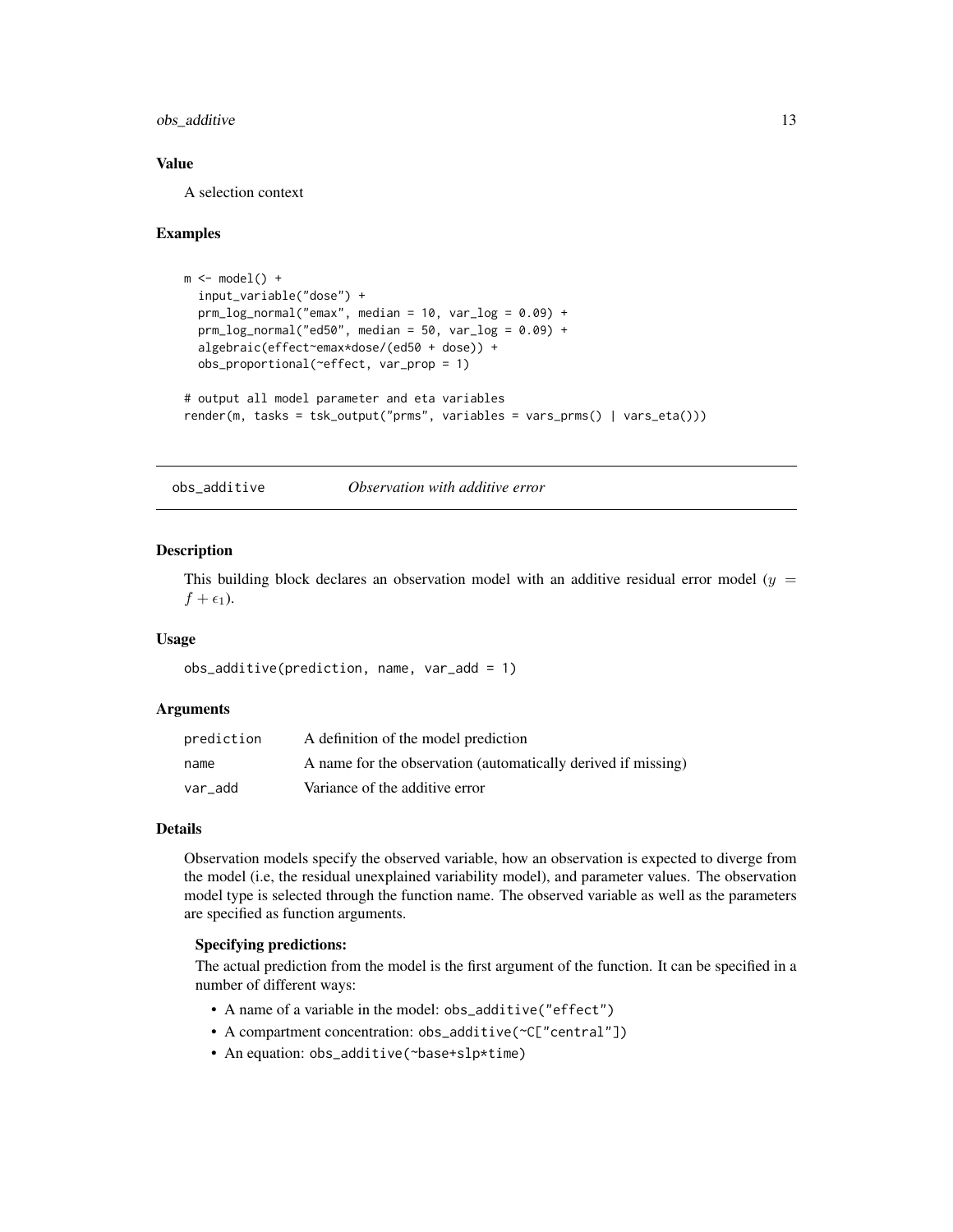# <span id="page-12-0"></span>obs\_additive 13

# Value

A selection context

#### Examples

```
m \leftarrow model() +input_variable("dose") +
  prm_log\_normal("emax", median = 10, var_log = 0.09) +prm_log\_normal("ed50", median = 50, var_log = 0.09) +algebraic(effect~emax*dose/(ed50 + dose)) +
  obs_proportional(~effect, var_prop = 1)
# output all model parameter and eta variables
render(m, tasks = tsk_output("prms", variables = vars_prms() | vars_eta()))
```
<span id="page-12-1"></span>obs\_additive *Observation with additive error*

#### **Description**

This building block declares an observation model with an additive residual error model ( $y =$  $f + \epsilon_1$ ).

# Usage

```
obs_additive(prediction, name, var_add = 1)
```
#### Arguments

| prediction | A definition of the model prediction                          |
|------------|---------------------------------------------------------------|
| name       | A name for the observation (automatically derived if missing) |
| var add    | Variance of the additive error                                |

#### Details

Observation models specify the observed variable, how an observation is expected to diverge from the model (i.e, the residual unexplained variability model), and parameter values. The observation model type is selected through the function name. The observed variable as well as the parameters are specified as function arguments.

# Specifying predictions:

The actual prediction from the model is the first argument of the function. It can be specified in a number of different ways:

- A name of a variable in the model: obs\_additive("effect")
- A compartment concentration: obs\_additive(~C["central"])
- An equation: obs\_additive(~base+slp\*time)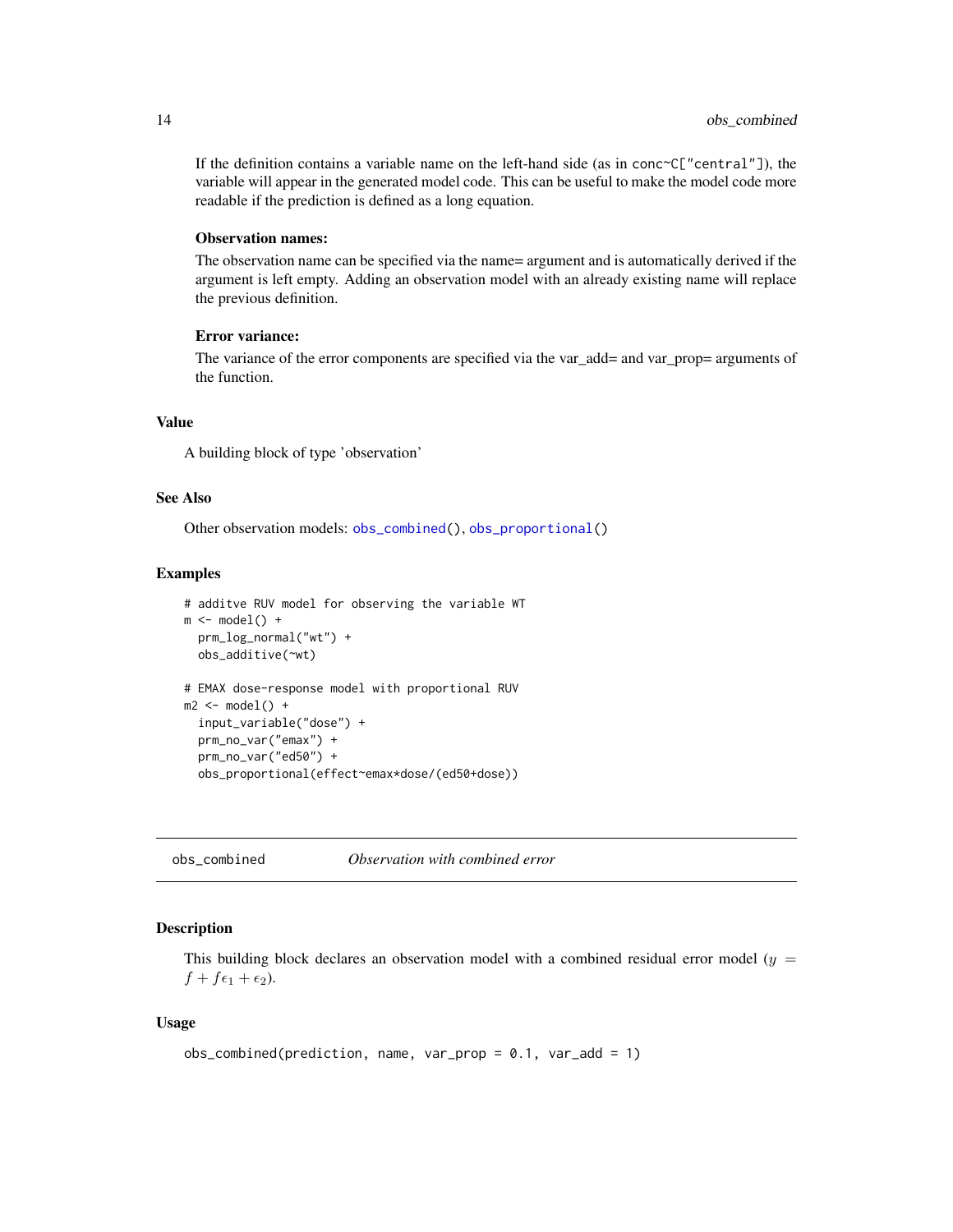<span id="page-13-0"></span>If the definition contains a variable name on the left-hand side (as in  $conc{}^c[$ "central"]), the variable will appear in the generated model code. This can be useful to make the model code more readable if the prediction is defined as a long equation.

# Observation names:

The observation name can be specified via the name= argument and is automatically derived if the argument is left empty. Adding an observation model with an already existing name will replace the previous definition.

#### Error variance:

The variance of the error components are specified via the var\_add= and var\_prop= arguments of the function.

#### Value

A building block of type 'observation'

# See Also

Other observation models: [obs\\_combined\(](#page-13-1)), [obs\\_proportional\(](#page-15-1))

#### Examples

```
# additve RUV model for observing the variable WT
m \leftarrow model() +prm_log_normal("wt") +
 obs_additive(~wt)
# EMAX dose-response model with proportional RUV
m2 \le model() +input_variable("dose") +
 prm_no_var("emax") +
 prm_no_var("ed50") +
 obs_proportional(effect~emax*dose/(ed50+dose))
```
<span id="page-13-1"></span>obs\_combined *Observation with combined error*

# Description

This building block declares an observation model with a combined residual error model ( $y =$  $f + f\epsilon_1 + \epsilon_2$ ).

# Usage

```
obs_{\text{combined}}(prediction, name, var_{\text{pro}} = 0.1, var_{\text{add}} = 1)
```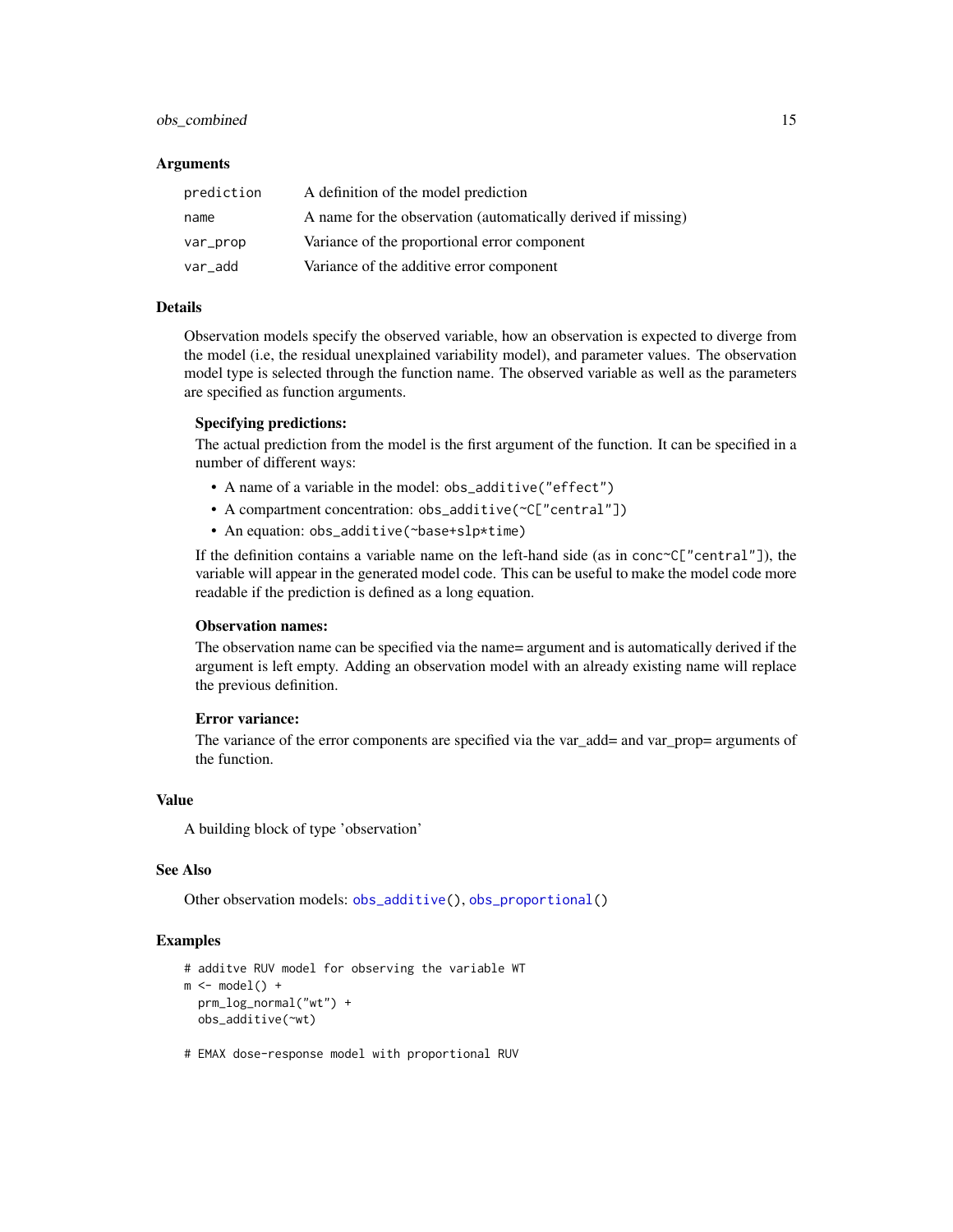# <span id="page-14-0"></span>obs\_combined 15

#### Arguments

| prediction | A definition of the model prediction                          |
|------------|---------------------------------------------------------------|
| name       | A name for the observation (automatically derived if missing) |
| var_prop   | Variance of the proportional error component                  |
| var_add    | Variance of the additive error component                      |

# Details

Observation models specify the observed variable, how an observation is expected to diverge from the model (i.e, the residual unexplained variability model), and parameter values. The observation model type is selected through the function name. The observed variable as well as the parameters are specified as function arguments.

# Specifying predictions:

The actual prediction from the model is the first argument of the function. It can be specified in a number of different ways:

- A name of a variable in the model: obs\_additive("effect")
- A compartment concentration: obs\_additive(~C["central"])
- An equation: obs\_additive(~base+slp\*time)

If the definition contains a variable name on the left-hand side (as in  $conc{}^c[$ "central"]), the variable will appear in the generated model code. This can be useful to make the model code more readable if the prediction is defined as a long equation.

# Observation names:

The observation name can be specified via the name= argument and is automatically derived if the argument is left empty. Adding an observation model with an already existing name will replace the previous definition.

#### Error variance:

The variance of the error components are specified via the var\_add= and var\_prop= arguments of the function.

#### Value

A building block of type 'observation'

#### See Also

Other observation models: [obs\\_additive\(](#page-12-1)), [obs\\_proportional\(](#page-15-1))

#### Examples

```
# additve RUV model for observing the variable WT
m \leftarrow model() +prm_log_normal("wt") +
  obs_additive(~wt)
```
# EMAX dose-response model with proportional RUV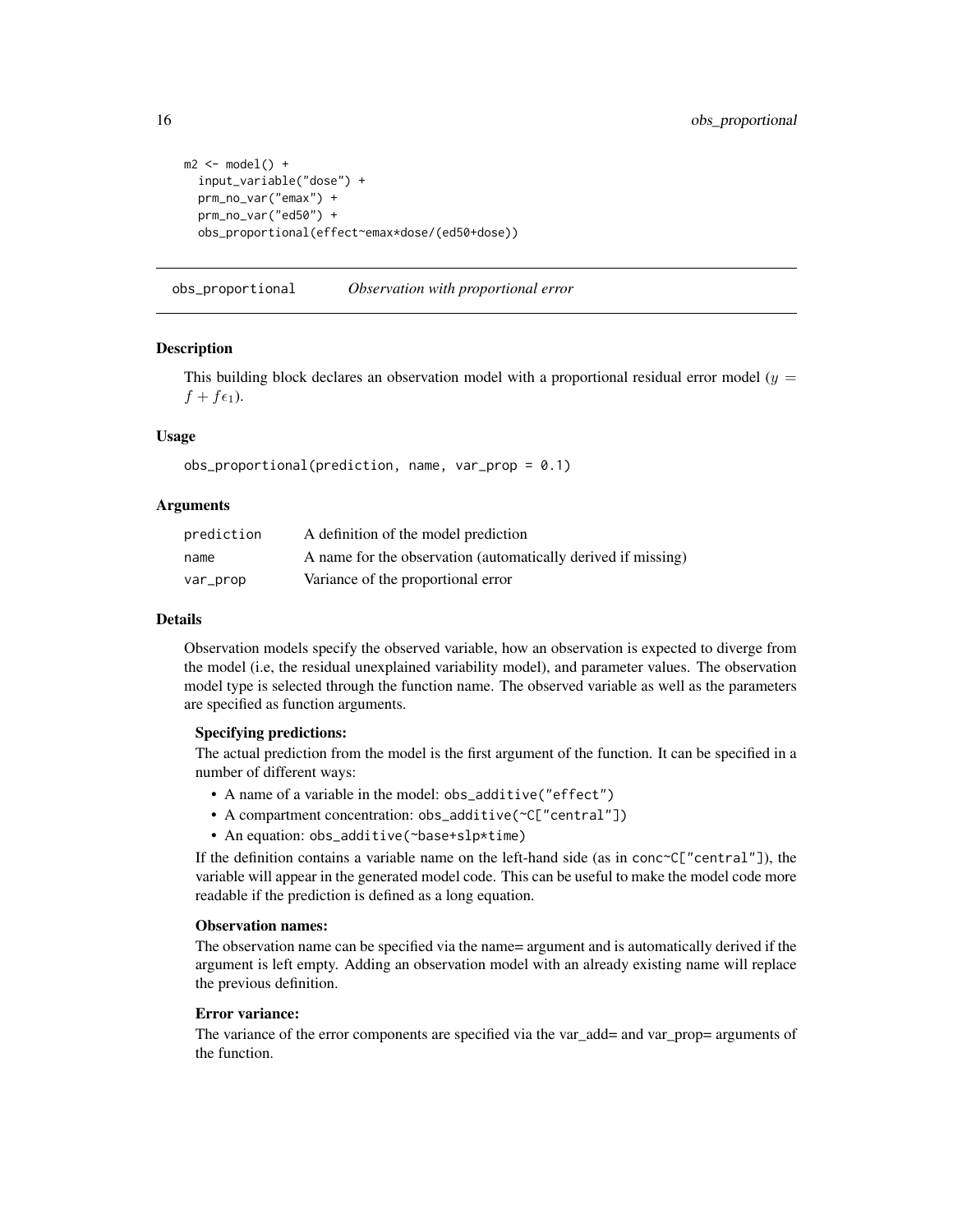```
m2 \le - model() +
 input_variable("dose") +
 prm_no_var("emax") +
 prm_no_var("ed50") +
 obs_proportional(effect~emax*dose/(ed50+dose))
```
<span id="page-15-1"></span>obs\_proportional *Observation with proportional error*

#### **Description**

This building block declares an observation model with a proportional residual error model ( $y =$  $f + f\epsilon_1$ ).

# Usage

obs\_proportional(prediction, name, var\_prop = 0.1)

### Arguments

| prediction | A definition of the model prediction                          |
|------------|---------------------------------------------------------------|
| name       | A name for the observation (automatically derived if missing) |
| var_prop   | Variance of the proportional error                            |

#### Details

Observation models specify the observed variable, how an observation is expected to diverge from the model (i.e, the residual unexplained variability model), and parameter values. The observation model type is selected through the function name. The observed variable as well as the parameters are specified as function arguments.

# Specifying predictions:

The actual prediction from the model is the first argument of the function. It can be specified in a number of different ways:

- A name of a variable in the model: obs\_additive("effect")
- A compartment concentration: obs\_additive(~C["central"])
- An equation: obs\_additive(~base+slp\*time)

If the definition contains a variable name on the left-hand side (as in conc $\sim$ C["central"]), the variable will appear in the generated model code. This can be useful to make the model code more readable if the prediction is defined as a long equation.

# Observation names:

The observation name can be specified via the name= argument and is automatically derived if the argument is left empty. Adding an observation model with an already existing name will replace the previous definition.

#### Error variance:

The variance of the error components are specified via the var\_add= and var\_prop= arguments of the function.

<span id="page-15-0"></span>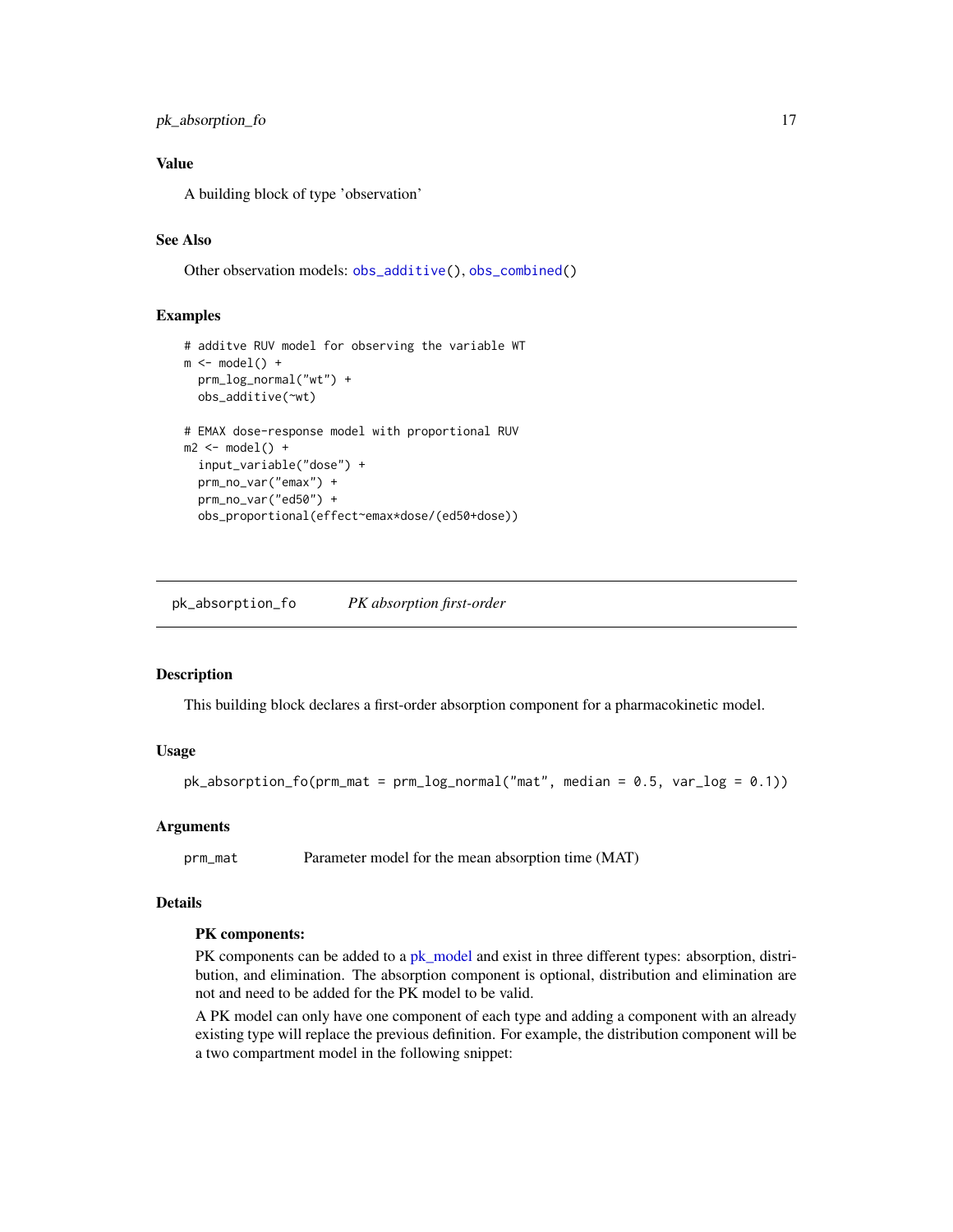# <span id="page-16-0"></span>pk\_absorption\_fo 17

# Value

A building block of type 'observation'

# See Also

Other observation models: [obs\\_additive\(](#page-12-1)), [obs\\_combined\(](#page-13-1))

# Examples

```
# additve RUV model for observing the variable WT
m \le m \mod 1 +
  prm_log_normal("wt") +
  obs_additive(~wt)
# EMAX dose-response model with proportional RUV
m2 \le - model() +
  input_variable("dose") +
  prm_no_var("emax") +
  prm_no_var("ed50") +
  obs_proportional(effect~emax*dose/(ed50+dose))
```
<span id="page-16-1"></span>pk\_absorption\_fo *PK absorption first-order*

# Description

This building block declares a first-order absorption component for a pharmacokinetic model.

# Usage

```
pk\_absorption_fo(prm\_mat = prm_log\_normal("mat", median = 0.5, var_log = 0.1))
```
# Arguments

prm\_mat Parameter model for the mean absorption time (MAT)

# Details

#### PK components:

PK components can be added to a [pk\\_model](#page-32-1) and exist in three different types: absorption, distribution, and elimination. The absorption component is optional, distribution and elimination are not and need to be added for the PK model to be valid.

A PK model can only have one component of each type and adding a component with an already existing type will replace the previous definition. For example, the distribution component will be a two compartment model in the following snippet: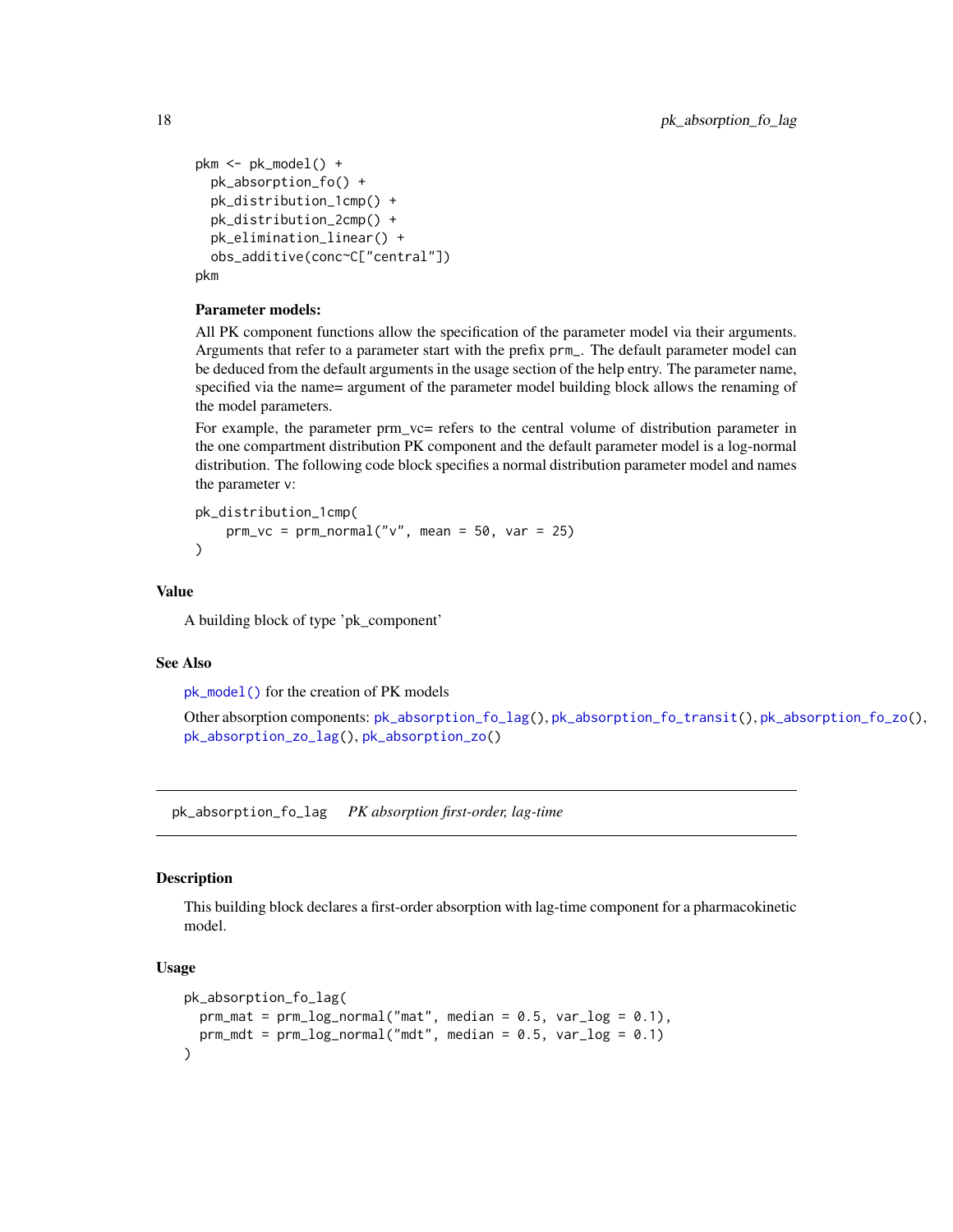```
pkm <- pk_model() +
  pk_absorption_fo() +
  pk_distribution_1cmp() +
  pk_distribution_2cmp() +
  pk_elimination_linear() +
  obs_additive(conc~C["central"])
pkm
```
# Parameter models:

All PK component functions allow the specification of the parameter model via their arguments. Arguments that refer to a parameter start with the prefix prm\_. The default parameter model can be deduced from the default arguments in the usage section of the help entry. The parameter name, specified via the name= argument of the parameter model building block allows the renaming of the model parameters.

For example, the parameter prm\_vc= refers to the central volume of distribution parameter in the one compartment distribution PK component and the default parameter model is a log-normal distribution. The following code block specifies a normal distribution parameter model and names the parameter v:

```
pk_distribution_1cmp(
   prm_vc = prm_normal("v", mean = 50, var = 25))
```
#### Value

A building block of type 'pk\_component'

#### See Also

[pk\\_model\(\)](#page-32-1) for the creation of PK models

Other absorption components: [pk\\_absorption\\_fo\\_lag\(](#page-17-1)), [pk\\_absorption\\_fo\\_transit\(](#page-19-1)), [pk\\_absorption\\_fo\\_zo\(](#page-20-1)), [pk\\_absorption\\_zo\\_lag\(](#page-23-1)), [pk\\_absorption\\_zo\(](#page-22-1))

<span id="page-17-1"></span>pk\_absorption\_fo\_lag *PK absorption first-order, lag-time*

# **Description**

This building block declares a first-order absorption with lag-time component for a pharmacokinetic model.

#### Usage

```
pk_absorption_fo_lag(
  prm\_mat = prm\_log\_normal("mat", median = 0.5, var\_log = 0.1),perm\_mdt = prm\_log\_normal("mdt", median = 0.5, var\_log = 0.1)\mathcal{E}
```
<span id="page-17-0"></span>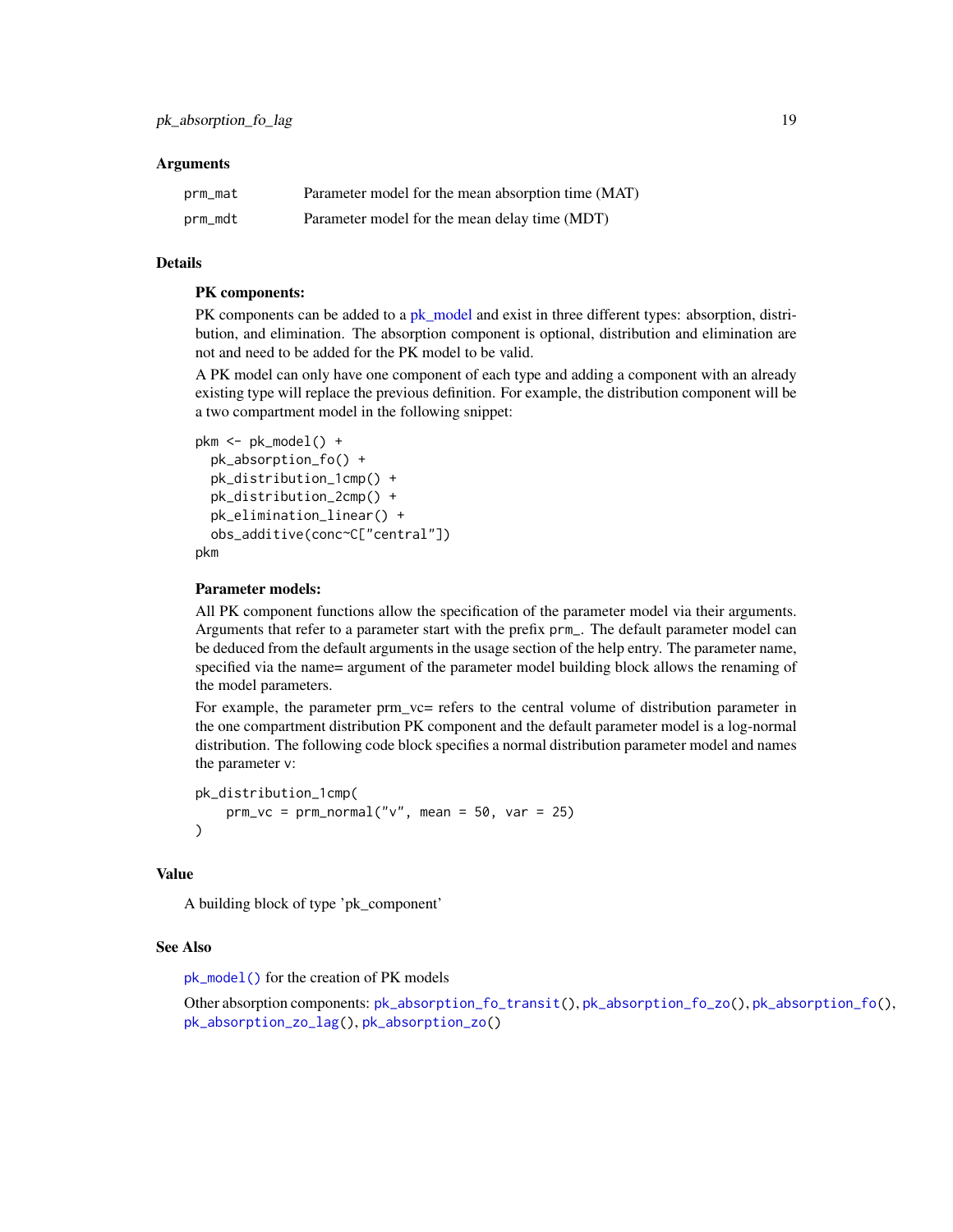#### <span id="page-18-0"></span>**Arguments**

| prm_mat | Parameter model for the mean absorption time (MAT) |
|---------|----------------------------------------------------|
| prm_mdt | Parameter model for the mean delay time (MDT)      |

#### Details

# PK components:

PK components can be added to a [pk\\_model](#page-32-1) and exist in three different types: absorption, distribution, and elimination. The absorption component is optional, distribution and elimination are not and need to be added for the PK model to be valid.

A PK model can only have one component of each type and adding a component with an already existing type will replace the previous definition. For example, the distribution component will be a two compartment model in the following snippet:

```
pkm <- pk_model() +
  pk_absorption_fo() +
  pk_distribution_1cmp() +
  pk_distribution_2cmp() +
  pk_elimination_linear() +
  obs_additive(conc~C["central"])
pkm
```
#### Parameter models:

All PK component functions allow the specification of the parameter model via their arguments. Arguments that refer to a parameter start with the prefix prm\_. The default parameter model can be deduced from the default arguments in the usage section of the help entry. The parameter name, specified via the name= argument of the parameter model building block allows the renaming of the model parameters.

For example, the parameter prm\_vc= refers to the central volume of distribution parameter in the one compartment distribution PK component and the default parameter model is a log-normal distribution. The following code block specifies a normal distribution parameter model and names the parameter v:

```
pk_distribution_1cmp(
    prm_vc = prm_normal("v", mean = 50, var = 25))
```
#### Value

A building block of type 'pk\_component'

#### See Also

[pk\\_model\(\)](#page-32-1) for the creation of PK models

Other absorption components: [pk\\_absorption\\_fo\\_transit\(](#page-19-1)), [pk\\_absorption\\_fo\\_zo\(](#page-20-1)), [pk\\_absorption\\_fo\(](#page-16-1)), [pk\\_absorption\\_zo\\_lag\(](#page-23-1)), [pk\\_absorption\\_zo\(](#page-22-1))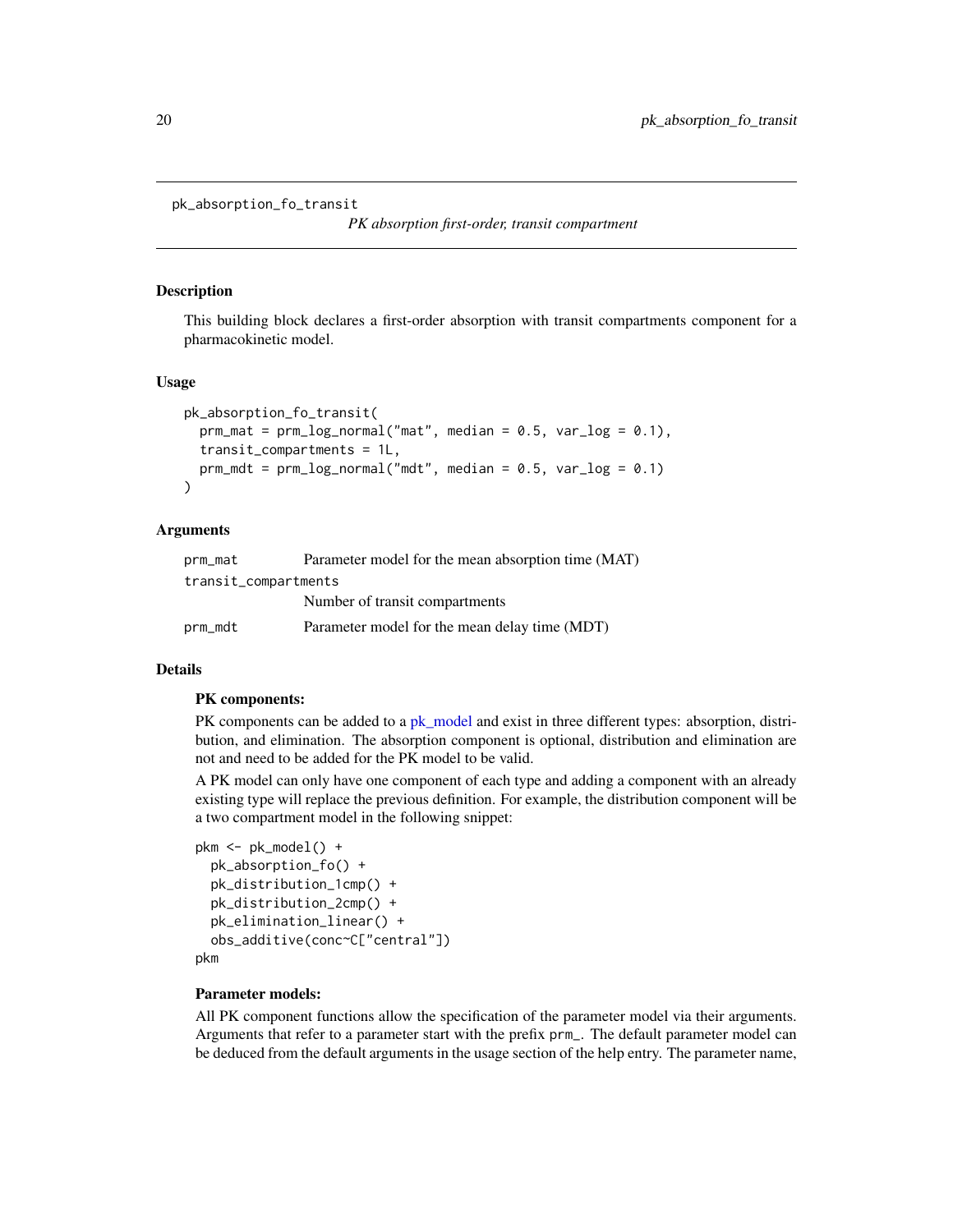<span id="page-19-1"></span><span id="page-19-0"></span>pk\_absorption\_fo\_transit

*PK absorption first-order, transit compartment*

#### Description

This building block declares a first-order absorption with transit compartments component for a pharmacokinetic model.

#### Usage

```
pk_absorption_fo_transit(
  \text{prm\_mat} = \text{prm\_log\_normal("mat", median = 0.5, var\_log = 0.1)},transit_compartments = 1L,
  prm_mdt = prm_logbmrmal("mdt", median = 0.5, var_log = 0.1))
```
#### Arguments

| prm_mat              | Parameter model for the mean absorption time (MAT) |
|----------------------|----------------------------------------------------|
| transit_compartments |                                                    |
|                      | Number of transit compartments                     |
| prm_mdt              | Parameter model for the mean delay time (MDT)      |

# Details

#### PK components:

PK components can be added to a [pk\\_model](#page-32-1) and exist in three different types: absorption, distribution, and elimination. The absorption component is optional, distribution and elimination are not and need to be added for the PK model to be valid.

A PK model can only have one component of each type and adding a component with an already existing type will replace the previous definition. For example, the distribution component will be a two compartment model in the following snippet:

```
pkm <- pk_model() +
 pk_absorption_fo() +
 pk_distribution_1cmp() +
 pk_distribution_2cmp() +
 pk_elimination_linear() +
 obs_additive(conc~C["central"])
```
pkm

#### Parameter models:

All PK component functions allow the specification of the parameter model via their arguments. Arguments that refer to a parameter start with the prefix prm\_. The default parameter model can be deduced from the default arguments in the usage section of the help entry. The parameter name,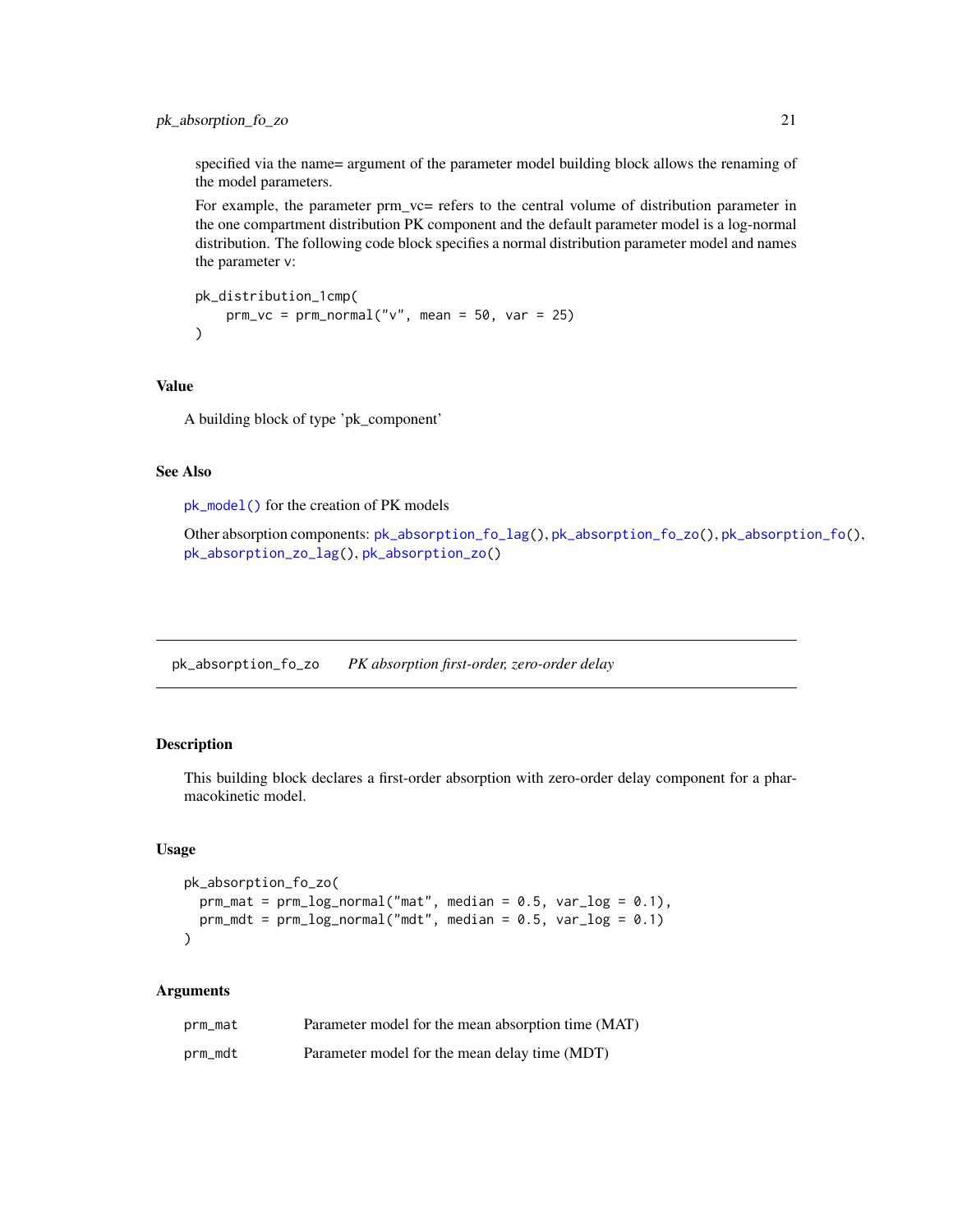# <span id="page-20-0"></span>pk\_absorption\_fo\_zo 21

specified via the name= argument of the parameter model building block allows the renaming of the model parameters.

For example, the parameter prm\_vc= refers to the central volume of distribution parameter in the one compartment distribution PK component and the default parameter model is a log-normal distribution. The following code block specifies a normal distribution parameter model and names the parameter v:

```
pk_distribution_1cmp(
   prm_vc = prm_normal("v", mean = 50, var = 25))
```
#### Value

A building block of type 'pk\_component'

#### See Also

[pk\\_model\(\)](#page-32-1) for the creation of PK models

Other absorption components: [pk\\_absorption\\_fo\\_lag\(](#page-17-1)), [pk\\_absorption\\_fo\\_zo\(](#page-20-1)), [pk\\_absorption\\_fo\(](#page-16-1)), [pk\\_absorption\\_zo\\_lag\(](#page-23-1)), [pk\\_absorption\\_zo\(](#page-22-1))

<span id="page-20-1"></span>pk\_absorption\_fo\_zo *PK absorption first-order, zero-order delay*

# Description

This building block declares a first-order absorption with zero-order delay component for a pharmacokinetic model.

# Usage

```
pk_absorption_fo_zo(
  prm_matrix = prm_log-normal("mat", median = 0.5, var_log = 0.1),perm\_mdt = prm\_log\_normal("mdt", median = 0.5, var\_log = 0.1))
```
# Arguments

| prm_mat | Parameter model for the mean absorption time (MAT) |
|---------|----------------------------------------------------|
| prm_mdt | Parameter model for the mean delay time (MDT)      |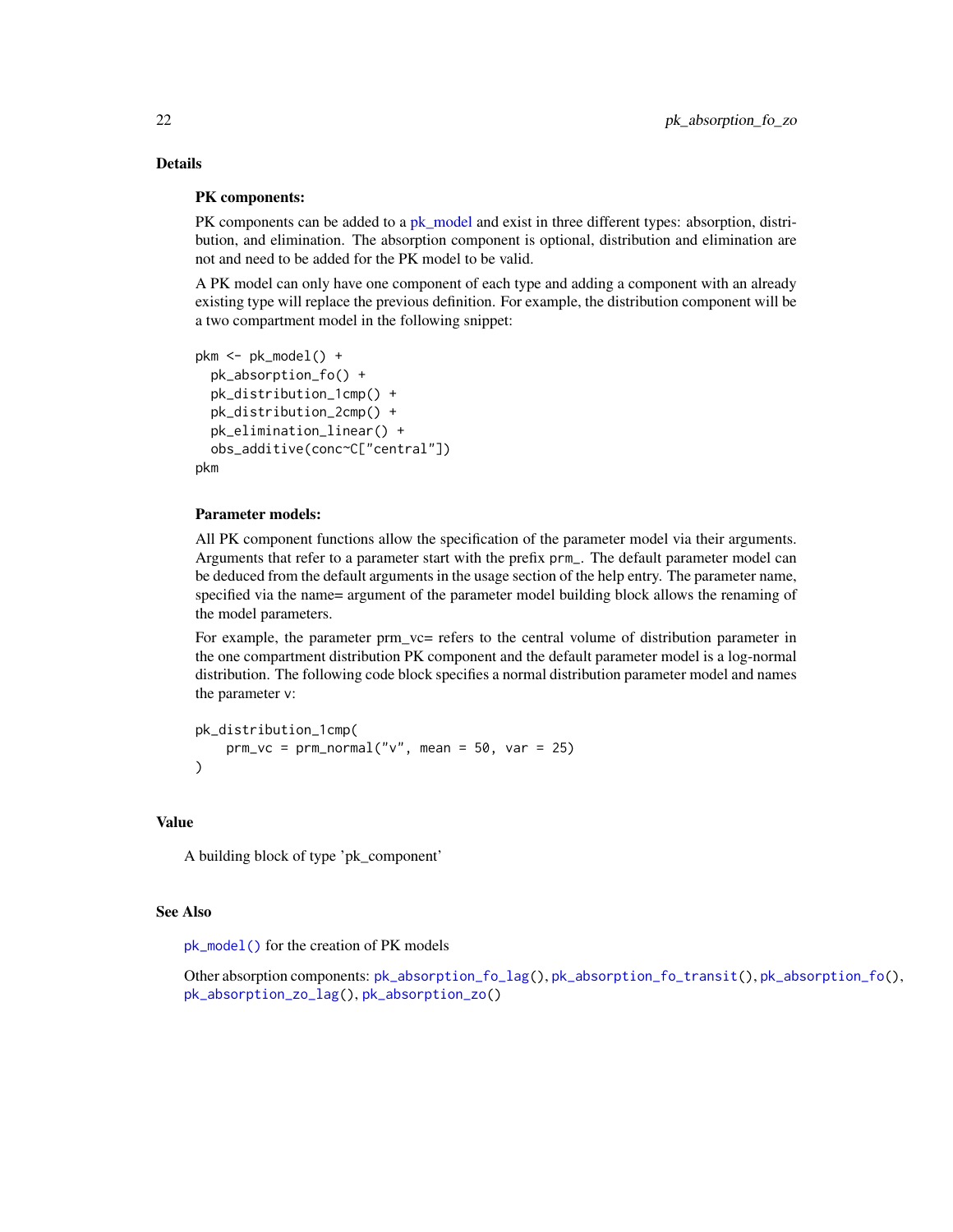# <span id="page-21-0"></span>Details

# PK components:

PK components can be added to a [pk\\_model](#page-32-1) and exist in three different types: absorption, distribution, and elimination. The absorption component is optional, distribution and elimination are not and need to be added for the PK model to be valid.

A PK model can only have one component of each type and adding a component with an already existing type will replace the previous definition. For example, the distribution component will be a two compartment model in the following snippet:

```
pkm <- pk_model() +
  pk_absorption_fo() +
  pk_distribution_1cmp() +
  pk_distribution_2cmp() +
  pk_elimination_linear() +
  obs_additive(conc~C["central"])
pkm
```
# Parameter models:

All PK component functions allow the specification of the parameter model via their arguments. Arguments that refer to a parameter start with the prefix prm\_. The default parameter model can be deduced from the default arguments in the usage section of the help entry. The parameter name, specified via the name= argument of the parameter model building block allows the renaming of the model parameters.

For example, the parameter prm\_vc= refers to the central volume of distribution parameter in the one compartment distribution PK component and the default parameter model is a log-normal distribution. The following code block specifies a normal distribution parameter model and names the parameter v:

```
pk_distribution_1cmp(
    prm_vc = prm_normal("v", mean = 50, var = 25))
```
# Value

A building block of type 'pk\_component'

#### See Also

[pk\\_model\(\)](#page-32-1) for the creation of PK models

Other absorption components: [pk\\_absorption\\_fo\\_lag\(](#page-17-1)), [pk\\_absorption\\_fo\\_transit\(](#page-19-1)), [pk\\_absorption\\_fo\(](#page-16-1)), [pk\\_absorption\\_zo\\_lag\(](#page-23-1)), [pk\\_absorption\\_zo\(](#page-22-1))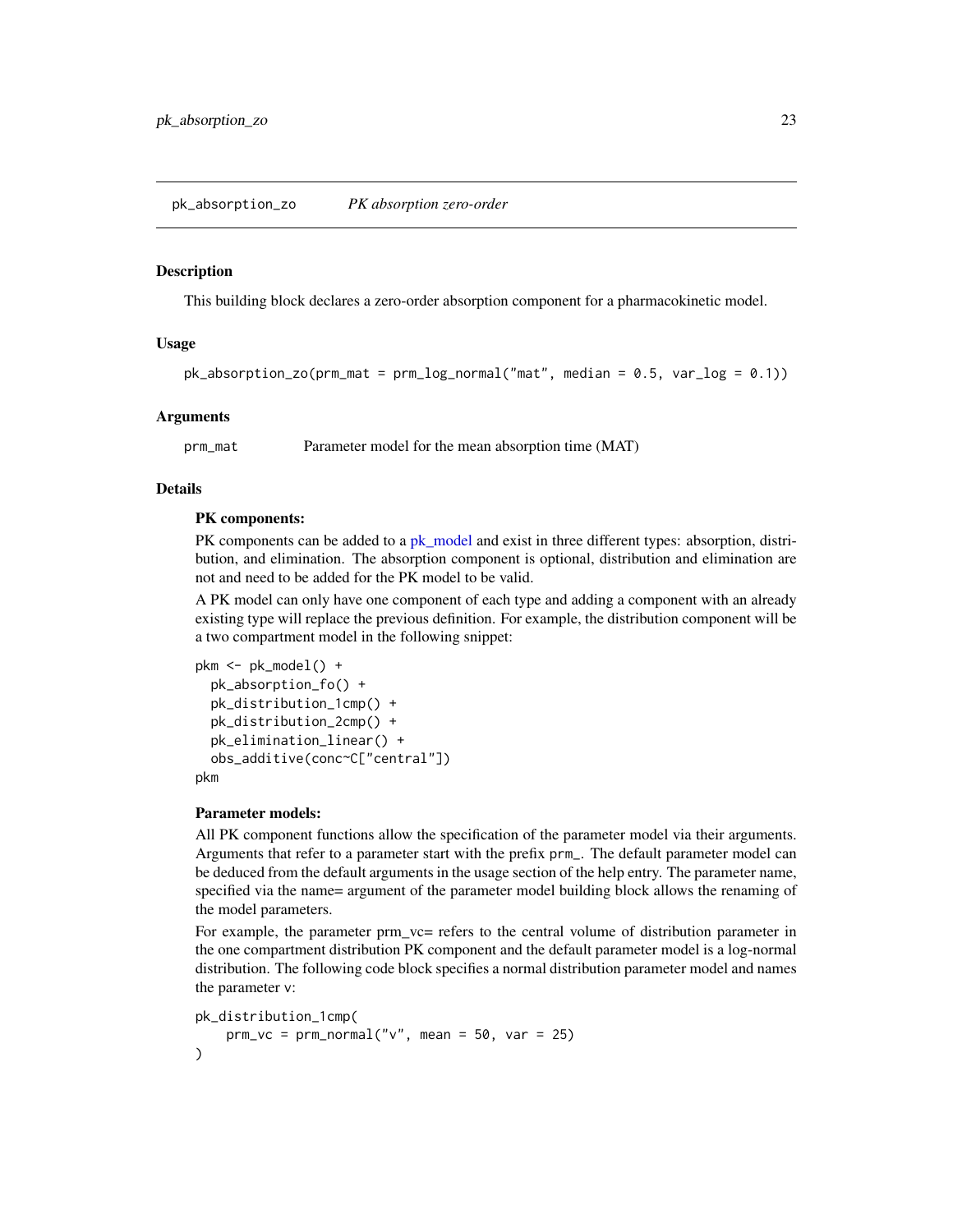#### <span id="page-22-1"></span><span id="page-22-0"></span>Description

This building block declares a zero-order absorption component for a pharmacokinetic model.

# Usage

```
pk\_absorption\_zo(prm\_mat = prm_log\_normal("mat", median = 0.5, var_log = 0.1))
```
#### Arguments

prm\_mat Parameter model for the mean absorption time (MAT)

# Details

#### PK components:

PK components can be added to a [pk\\_model](#page-32-1) and exist in three different types: absorption, distribution, and elimination. The absorption component is optional, distribution and elimination are not and need to be added for the PK model to be valid.

A PK model can only have one component of each type and adding a component with an already existing type will replace the previous definition. For example, the distribution component will be a two compartment model in the following snippet:

```
pkm <- pk_model() +
  pk_absorption_fo() +
  pk_distribution_1cmp() +
  pk_distribution_2cmp() +
  pk_elimination_linear() +
  obs_additive(conc~C["central"])
pkm
```
#### Parameter models:

All PK component functions allow the specification of the parameter model via their arguments. Arguments that refer to a parameter start with the prefix prm\_. The default parameter model can be deduced from the default arguments in the usage section of the help entry. The parameter name, specified via the name= argument of the parameter model building block allows the renaming of the model parameters.

For example, the parameter prm\_vc= refers to the central volume of distribution parameter in the one compartment distribution PK component and the default parameter model is a log-normal distribution. The following code block specifies a normal distribution parameter model and names the parameter v:

```
pk_distribution_1cmp(
   prm_vc = prm_normal("v", mean = 50, var = 25))
```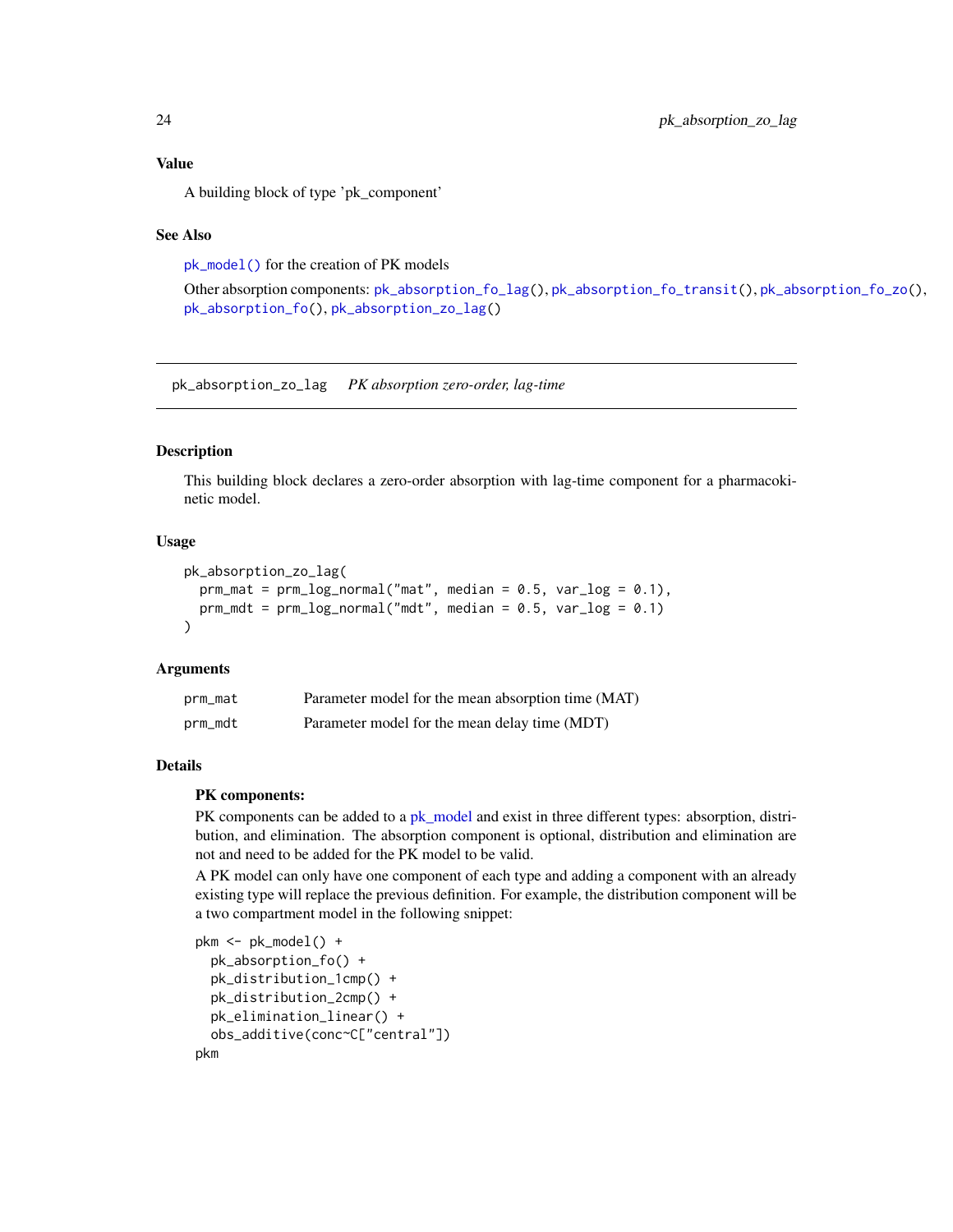<span id="page-23-0"></span>Value

A building block of type 'pk\_component'

#### See Also

[pk\\_model\(\)](#page-32-1) for the creation of PK models

Other absorption components: [pk\\_absorption\\_fo\\_lag\(](#page-17-1)), [pk\\_absorption\\_fo\\_transit\(](#page-19-1)), [pk\\_absorption\\_fo\\_zo\(](#page-20-1)), [pk\\_absorption\\_fo\(](#page-16-1)), [pk\\_absorption\\_zo\\_lag\(](#page-23-1))

<span id="page-23-1"></span>pk\_absorption\_zo\_lag *PK absorption zero-order, lag-time*

# Description

This building block declares a zero-order absorption with lag-time component for a pharmacokinetic model.

# Usage

```
pk_absorption_zo_lag(
  prm\_mat = prm\_log\_normal("mat", median = 0.5, var\_log = 0.1),prm_mdt = prm_llog_normal("mdt", median = 0.5, var_log = 0.1)\lambda
```
# Arguments

| prm_mat | Parameter model for the mean absorption time (MAT) |
|---------|----------------------------------------------------|
| prm mdt | Parameter model for the mean delay time (MDT)      |

# Details

# PK components:

PK components can be added to a [pk\\_model](#page-32-1) and exist in three different types: absorption, distribution, and elimination. The absorption component is optional, distribution and elimination are not and need to be added for the PK model to be valid.

A PK model can only have one component of each type and adding a component with an already existing type will replace the previous definition. For example, the distribution component will be a two compartment model in the following snippet:

```
pkm <- pk_model() +
 pk_absorption_fo() +
 pk_distribution_1cmp() +
 pk_distribution_2cmp() +
 pk_elimination_linear() +
 obs_additive(conc~C["central"])
pkm
```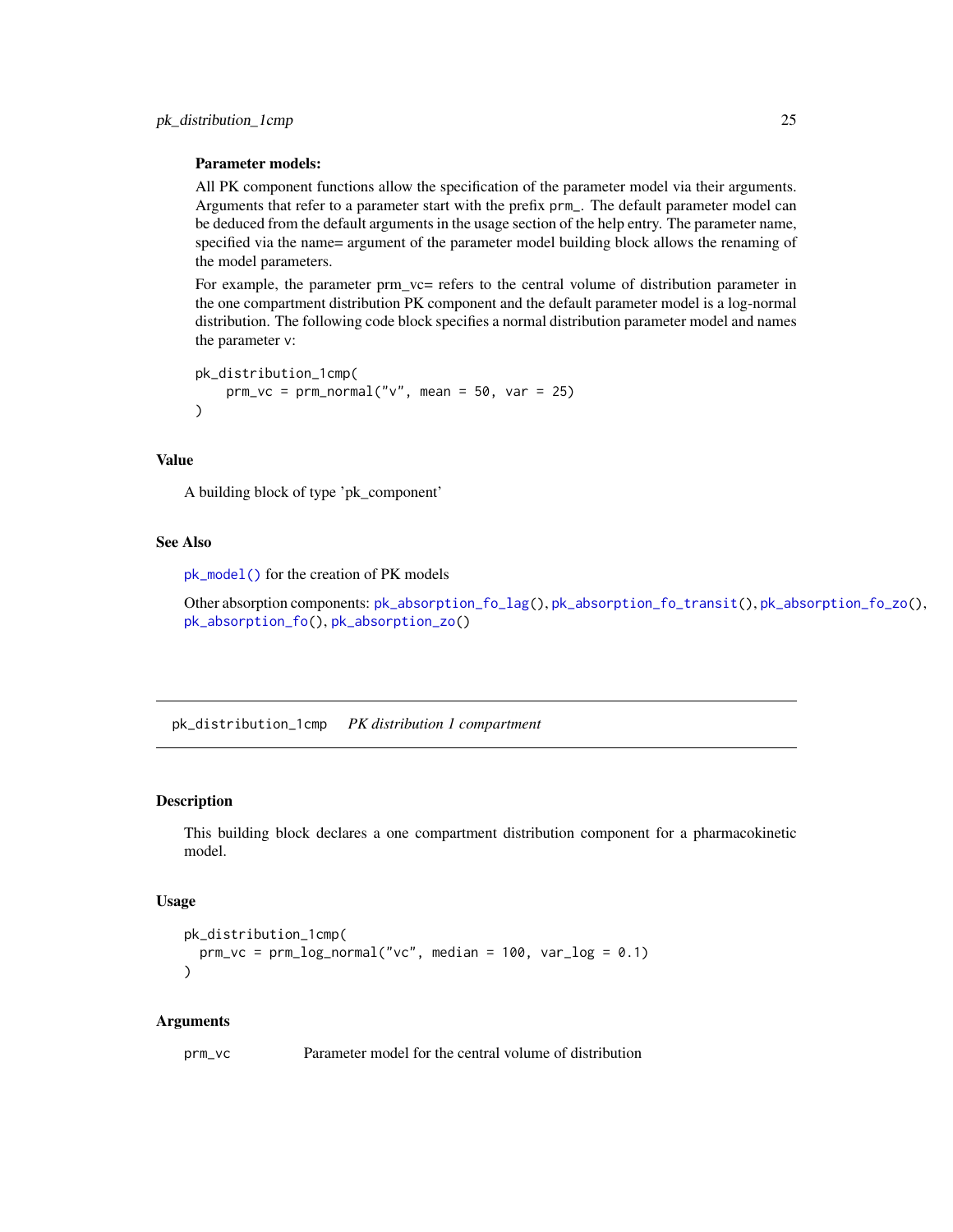#### <span id="page-24-0"></span>Parameter models:

All PK component functions allow the specification of the parameter model via their arguments. Arguments that refer to a parameter start with the prefix prm\_. The default parameter model can be deduced from the default arguments in the usage section of the help entry. The parameter name, specified via the name= argument of the parameter model building block allows the renaming of the model parameters.

For example, the parameter prm\_vc= refers to the central volume of distribution parameter in the one compartment distribution PK component and the default parameter model is a log-normal distribution. The following code block specifies a normal distribution parameter model and names the parameter v:

```
pk_distribution_1cmp(
    prm_vc = prm_normal("v", mean = 50, var = 25)
)
```
# Value

A building block of type 'pk\_component'

#### See Also

[pk\\_model\(\)](#page-32-1) for the creation of PK models

Other absorption components: [pk\\_absorption\\_fo\\_lag\(](#page-17-1)), [pk\\_absorption\\_fo\\_transit\(](#page-19-1)), [pk\\_absorption\\_fo\\_zo\(](#page-20-1)), [pk\\_absorption\\_fo\(](#page-16-1)), [pk\\_absorption\\_zo\(](#page-22-1))

<span id="page-24-1"></span>pk\_distribution\_1cmp *PK distribution 1 compartment*

#### Description

This building block declares a one compartment distribution component for a pharmacokinetic model.

#### Usage

```
pk_distribution_1cmp(
  \text{prm\_vc} = \text{prm\_log\_normal("vc", median = 100, var\_log = 0.1)})
```
#### Arguments

prm\_vc Parameter model for the central volume of distribution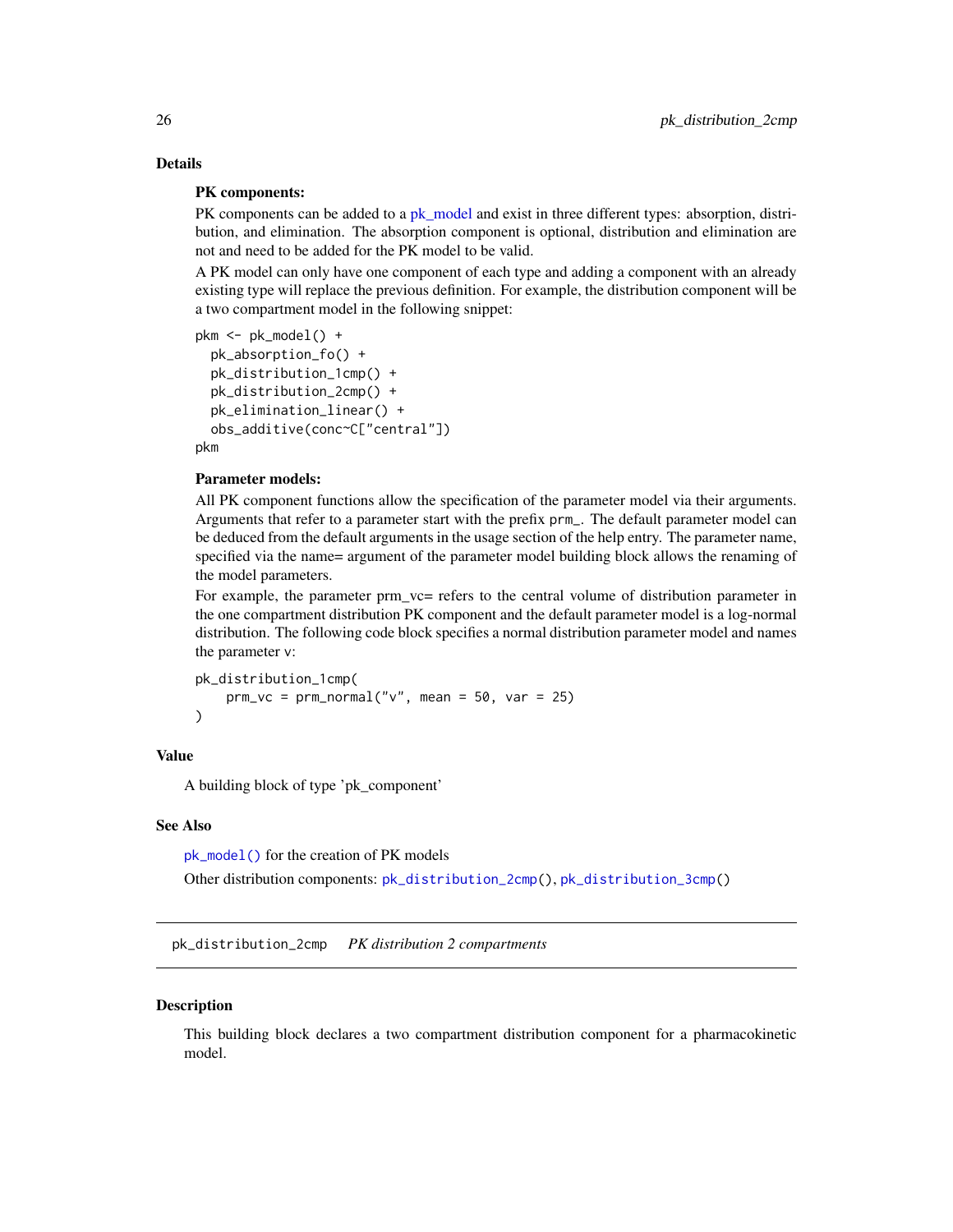# Details

# PK components:

PK components can be added to a [pk\\_model](#page-32-1) and exist in three different types: absorption, distribution, and elimination. The absorption component is optional, distribution and elimination are not and need to be added for the PK model to be valid.

A PK model can only have one component of each type and adding a component with an already existing type will replace the previous definition. For example, the distribution component will be a two compartment model in the following snippet:

```
pkm <- pk_model() +
  pk_absorption_fo() +
  pk_distribution_1cmp() +
  pk_distribution_2cmp() +
  pk_elimination_linear() +
  obs_additive(conc~C["central"])
```
pkm

# Parameter models:

All PK component functions allow the specification of the parameter model via their arguments. Arguments that refer to a parameter start with the prefix prm\_. The default parameter model can be deduced from the default arguments in the usage section of the help entry. The parameter name, specified via the name= argument of the parameter model building block allows the renaming of the model parameters.

For example, the parameter prm\_vc= refers to the central volume of distribution parameter in the one compartment distribution PK component and the default parameter model is a log-normal distribution. The following code block specifies a normal distribution parameter model and names the parameter v:

```
pk_distribution_1cmp(
    prm_vc = prm_normal("v", mean = 50, var = 25))
```
#### Value

A building block of type 'pk\_component'

#### See Also

[pk\\_model\(\)](#page-32-1) for the creation of PK models

Other distribution components: [pk\\_distribution\\_2cmp\(](#page-25-1)), [pk\\_distribution\\_3cmp\(](#page-27-1))

<span id="page-25-1"></span>pk\_distribution\_2cmp *PK distribution 2 compartments*

#### **Description**

This building block declares a two compartment distribution component for a pharmacokinetic model.

<span id="page-25-0"></span>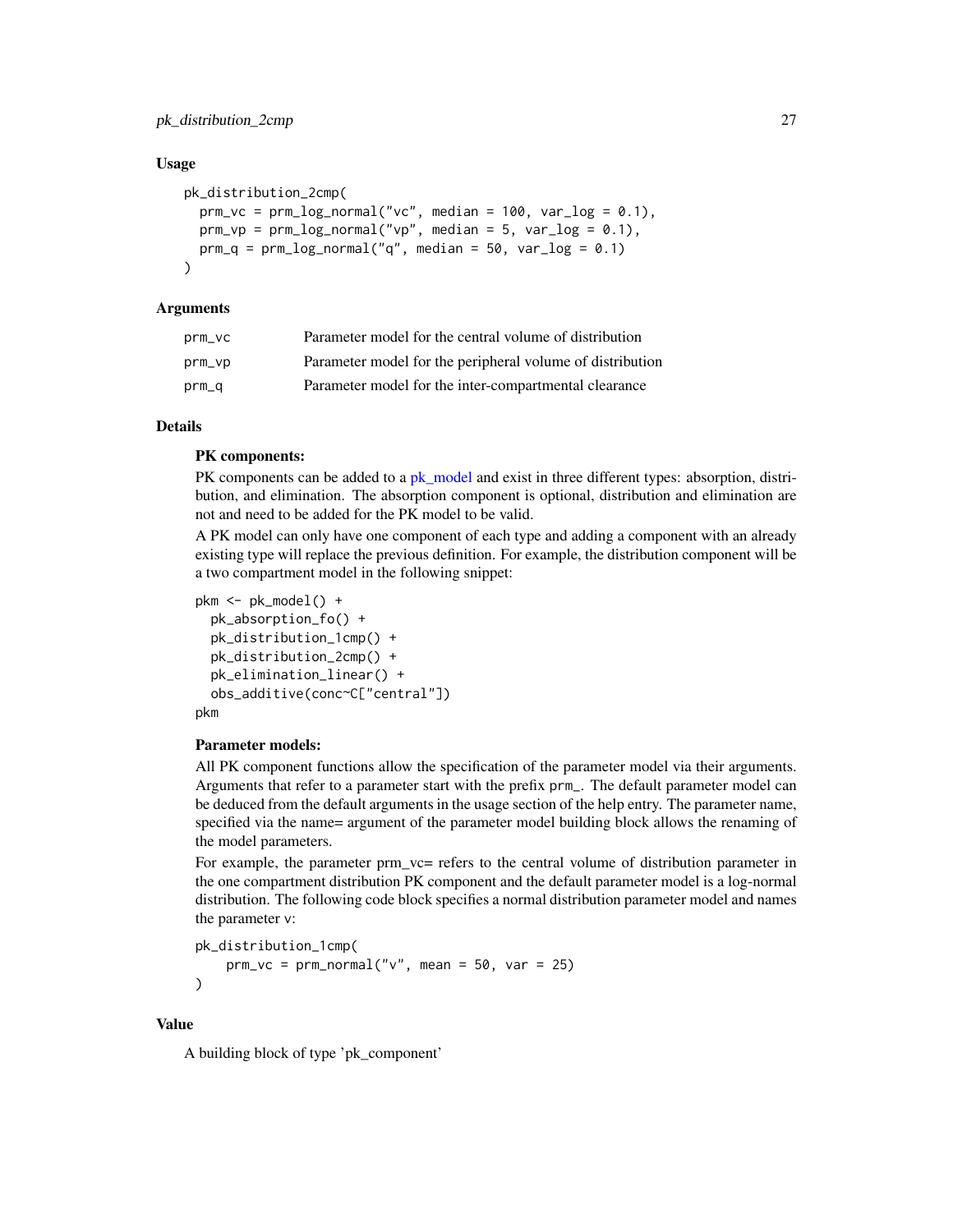#### Usage

```
pk_distribution_2cmp(
 prm_vc = prm_log_normal("vc", median = 100, var_log = 0.1),prm_vp = prm_log\_normal("vp", median = 5, var_log = 0.1),prm_q = prm_log_normal("q", median = 50, var_log = 0.1))
```
# Arguments

| prm_vc | Parameter model for the central volume of distribution    |
|--------|-----------------------------------------------------------|
| prm_vp | Parameter model for the peripheral volume of distribution |
| prm_q  | Parameter model for the inter-compartmental clearance     |

#### Details

#### PK components:

PK components can be added to a [pk\\_model](#page-32-1) and exist in three different types: absorption, distribution, and elimination. The absorption component is optional, distribution and elimination are not and need to be added for the PK model to be valid.

A PK model can only have one component of each type and adding a component with an already existing type will replace the previous definition. For example, the distribution component will be a two compartment model in the following snippet:

```
pkm <- pk_model() +
  pk_absorption_fo() +
  pk_distribution_1cmp() +
  pk_distribution_2cmp() +
  pk_elimination_linear() +
  obs_additive(conc~C["central"])
pkm
```
### Parameter models:

All PK component functions allow the specification of the parameter model via their arguments. Arguments that refer to a parameter start with the prefix prm\_. The default parameter model can be deduced from the default arguments in the usage section of the help entry. The parameter name, specified via the name= argument of the parameter model building block allows the renaming of the model parameters.

For example, the parameter prm\_vc= refers to the central volume of distribution parameter in the one compartment distribution PK component and the default parameter model is a log-normal distribution. The following code block specifies a normal distribution parameter model and names the parameter v:

```
pk_distribution_1cmp(
    prm_vc = prm_normal("v", mean = 50, var = 25))
```
# Value

A building block of type 'pk\_component'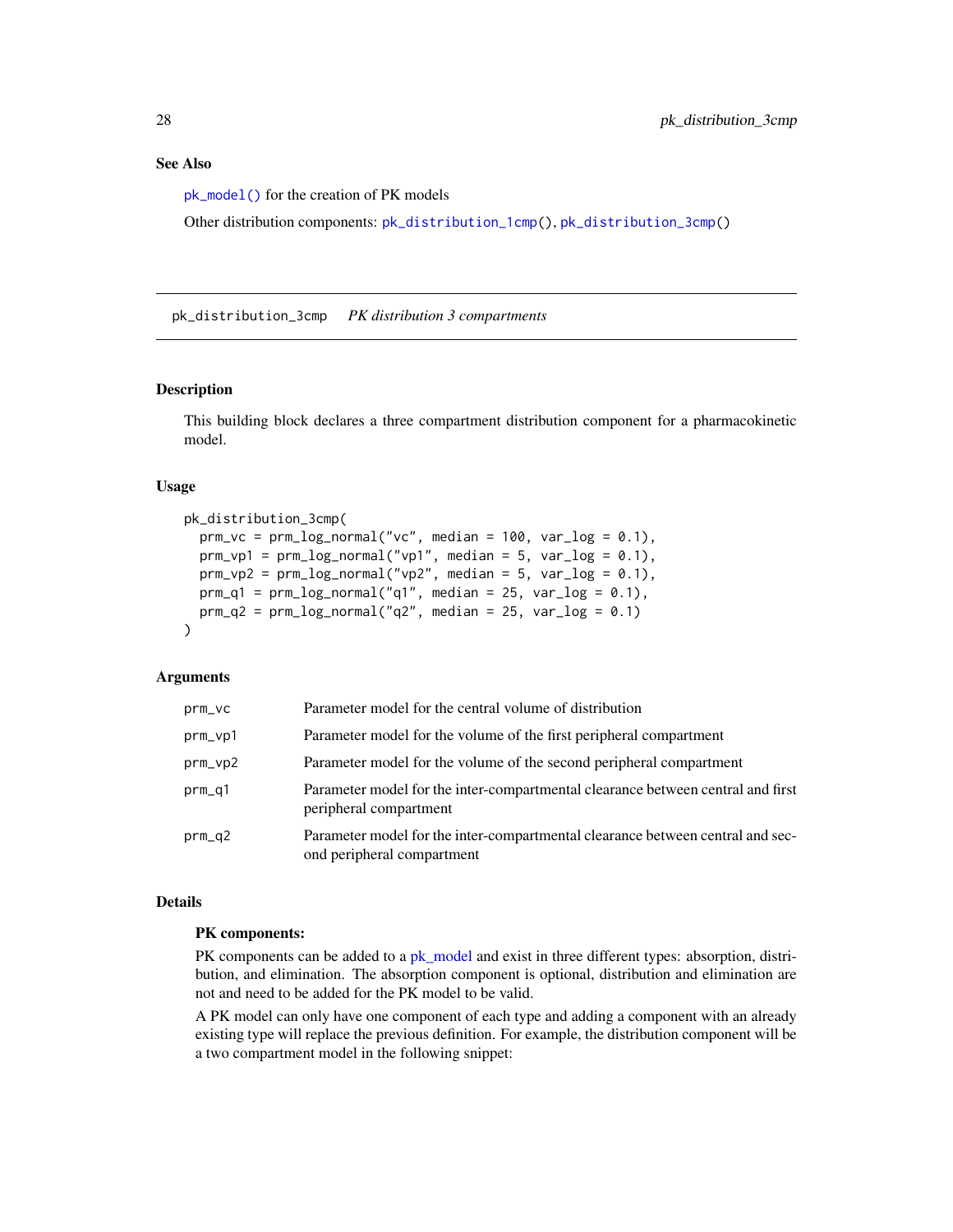# <span id="page-27-0"></span>See Also

[pk\\_model\(\)](#page-32-1) for the creation of PK models

Other distribution components: [pk\\_distribution\\_1cmp\(](#page-24-1)), [pk\\_distribution\\_3cmp\(](#page-27-1))

<span id="page-27-1"></span>pk\_distribution\_3cmp *PK distribution 3 compartments*

### Description

This building block declares a three compartment distribution component for a pharmacokinetic model.

#### Usage

```
pk_distribution_3cmp(
  prm_vc = prm_llog_normal("vc", median = 100, var_log = 0.1),prm_vp1 = prm_log_normal("vp1", median = 5, var_log = 0.1),prm_vp2 = prm_llog_normal("vp2", median = 5, var_log = 0.1),prm_q1 = prm_llog_normal("q1", median = 25, var_log = 0.1),prm_q^2 = prm_llog_normal("q2", median = 25, var_l^2 = 0.1))
```
#### Arguments

| $prm_vc$ | Parameter model for the central volume of distribution                                                       |
|----------|--------------------------------------------------------------------------------------------------------------|
| prm_vp1  | Parameter model for the volume of the first peripheral compartment                                           |
| prm_vp2  | Parameter model for the volume of the second peripheral compartment                                          |
| $prm_q1$ | Parameter model for the inter-compartmental clearance between central and first<br>peripheral compartment    |
| $prm_q2$ | Parameter model for the inter-compartmental clearance between central and sec-<br>ond peripheral compartment |

# Details

# PK components:

PK components can be added to a [pk\\_model](#page-32-1) and exist in three different types: absorption, distribution, and elimination. The absorption component is optional, distribution and elimination are not and need to be added for the PK model to be valid.

A PK model can only have one component of each type and adding a component with an already existing type will replace the previous definition. For example, the distribution component will be a two compartment model in the following snippet: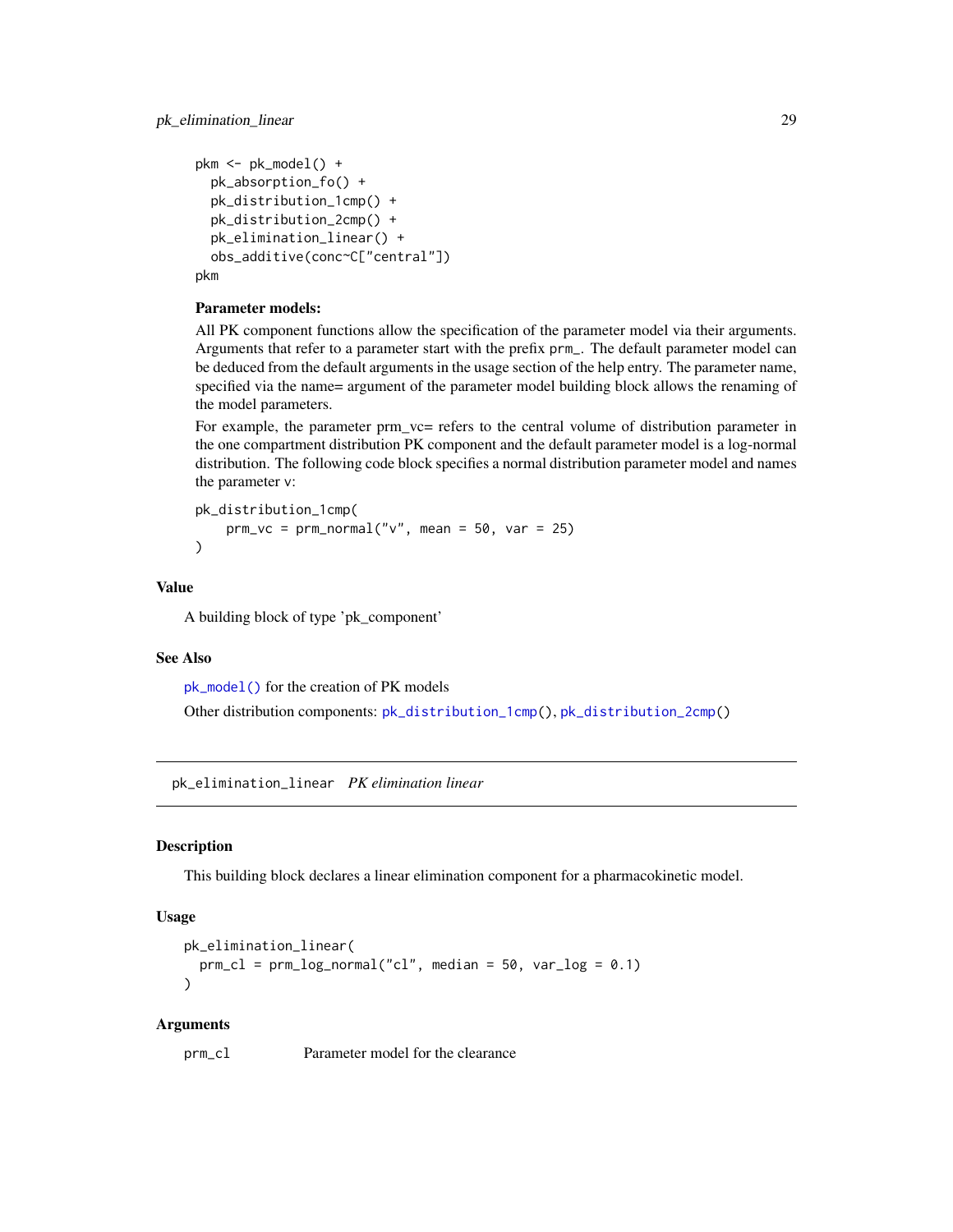```
pkm <- pk_model() +
  pk_absorption_fo() +
  pk_distribution_1cmp() +
  pk_distribution_2cmp() +
  pk_elimination_linear() +
  obs_additive(conc~C["central"])
pkm
```
# Parameter models:

All PK component functions allow the specification of the parameter model via their arguments. Arguments that refer to a parameter start with the prefix prm\_. The default parameter model can be deduced from the default arguments in the usage section of the help entry. The parameter name, specified via the name= argument of the parameter model building block allows the renaming of the model parameters.

For example, the parameter prm\_vc= refers to the central volume of distribution parameter in the one compartment distribution PK component and the default parameter model is a log-normal distribution. The following code block specifies a normal distribution parameter model and names the parameter v:

```
pk_distribution_1cmp(
   prm_vc = prm_normal("v", mean = 50, var = 25))
```
#### Value

A building block of type 'pk\_component'

# See Also

[pk\\_model\(\)](#page-32-1) for the creation of PK models Other distribution components: [pk\\_distribution\\_1cmp\(](#page-24-1)), [pk\\_distribution\\_2cmp\(](#page-25-1))

<span id="page-28-1"></span>pk\_elimination\_linear *PK elimination linear*

# **Description**

This building block declares a linear elimination component for a pharmacokinetic model.

#### Usage

```
pk_elimination_linear(
 prm_cl = prm_log-normal("cl", median = 50, var_log = 0.1)\lambda
```
#### Arguments

prm\_cl Parameter model for the clearance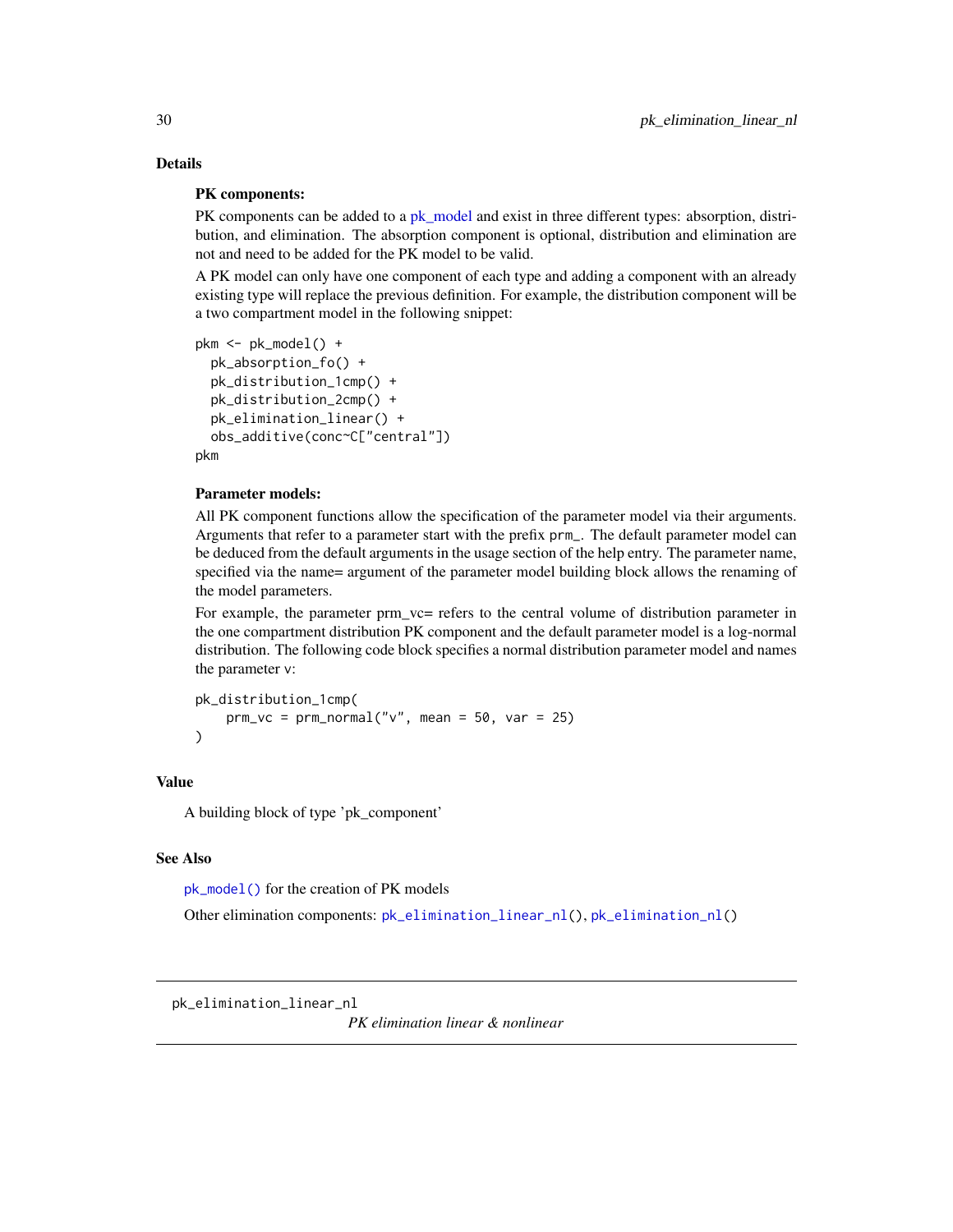# Details

# PK components:

PK components can be added to a [pk\\_model](#page-32-1) and exist in three different types: absorption, distribution, and elimination. The absorption component is optional, distribution and elimination are not and need to be added for the PK model to be valid.

A PK model can only have one component of each type and adding a component with an already existing type will replace the previous definition. For example, the distribution component will be a two compartment model in the following snippet:

```
pkm < -pk_model() +pk_absorption_fo() +
 pk_distribution_1cmp() +
 pk_distribution_2cmp() +
 pk_elimination_linear() +
 obs_additive(conc~C["central"])
pkm
```
#### Parameter models:

All PK component functions allow the specification of the parameter model via their arguments. Arguments that refer to a parameter start with the prefix prm\_. The default parameter model can be deduced from the default arguments in the usage section of the help entry. The parameter name, specified via the name= argument of the parameter model building block allows the renaming of the model parameters.

For example, the parameter prm\_vc= refers to the central volume of distribution parameter in the one compartment distribution PK component and the default parameter model is a log-normal distribution. The following code block specifies a normal distribution parameter model and names the parameter v:

```
pk_distribution_1cmp(
    prm_vc = prm_normal("v", mean = 50, var = 25)\lambda
```
#### Value

A building block of type 'pk\_component'

#### See Also

[pk\\_model\(\)](#page-32-1) for the creation of PK models

Other elimination components: [pk\\_elimination\\_linear\\_nl\(](#page-29-1)), [pk\\_elimination\\_nl\(](#page-31-1))

*PK elimination linear & nonlinear*

<span id="page-29-0"></span>

<span id="page-29-1"></span>pk\_elimination\_linear\_nl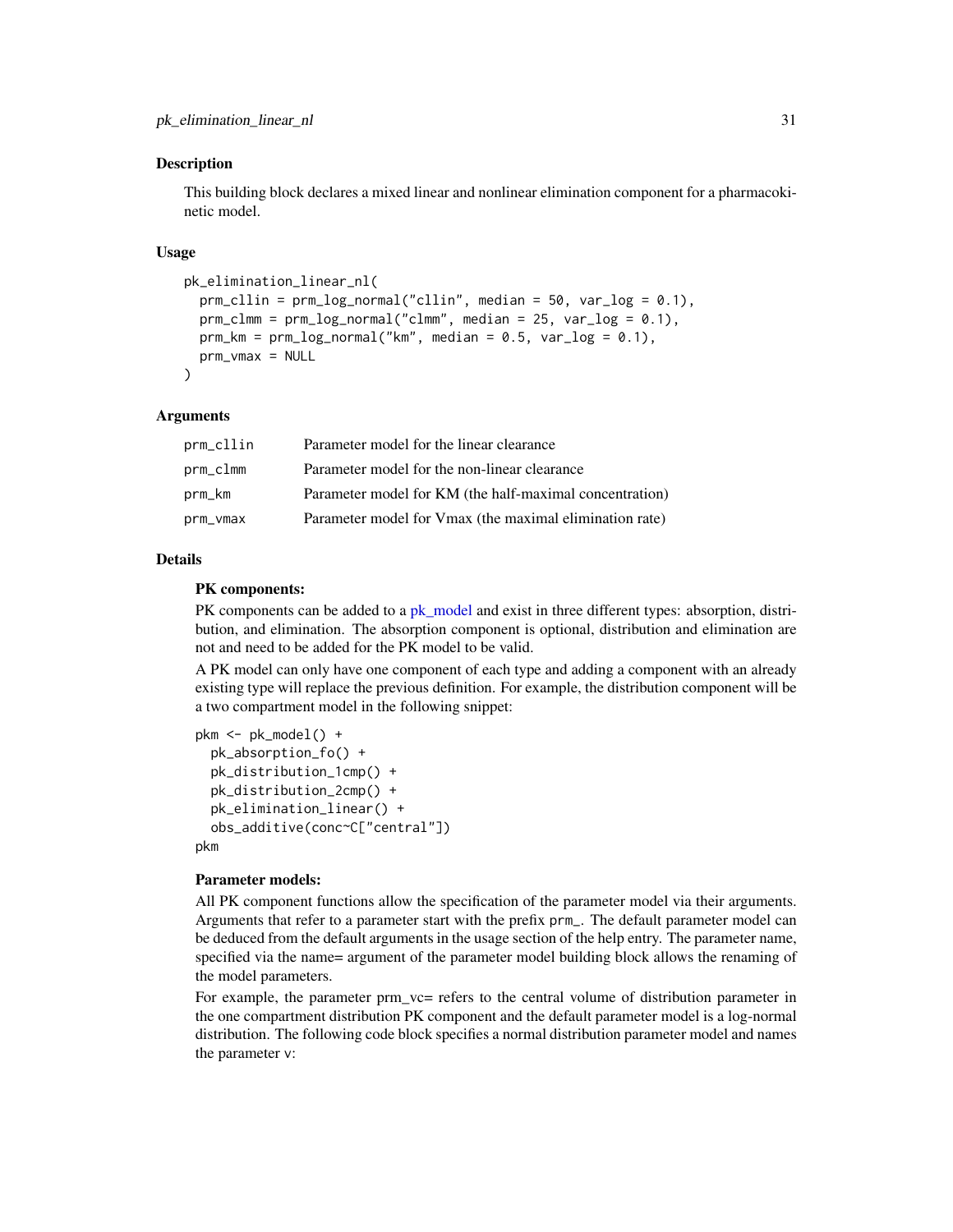#### Description

This building block declares a mixed linear and nonlinear elimination component for a pharmacokinetic model.

#### Usage

```
pk_elimination_linear_nl(
 prm_cllin = prm_log-normal("cllin", median = 50, var_log = 0.1),prm_clmm = prm_log-normal("clmm", median = 25, var_log = 0.1),prm_km = prm_log-normal("km", median = 0.5, var_log = 0.1),prm_vmax = NULL
)
```
#### Arguments

| prm_cllin | Parameter model for the linear clearance                |
|-----------|---------------------------------------------------------|
| prm_clmm  | Parameter model for the non-linear clearance            |
| prm_km    | Parameter model for KM (the half-maximal concentration) |
| prm_vmax  | Parameter model for Vmax (the maximal elimination rate) |

#### Details

#### PK components:

PK components can be added to a [pk\\_model](#page-32-1) and exist in three different types: absorption, distribution, and elimination. The absorption component is optional, distribution and elimination are not and need to be added for the PK model to be valid.

A PK model can only have one component of each type and adding a component with an already existing type will replace the previous definition. For example, the distribution component will be a two compartment model in the following snippet:

```
pkm <- pk_model() +
  pk_absorption_fo() +
  pk_distribution_1cmp() +
  pk_distribution_2cmp() +
  pk_elimination_linear() +
  obs_additive(conc~C["central"])
pkm
```
#### Parameter models:

All PK component functions allow the specification of the parameter model via their arguments. Arguments that refer to a parameter start with the prefix prm\_. The default parameter model can be deduced from the default arguments in the usage section of the help entry. The parameter name, specified via the name= argument of the parameter model building block allows the renaming of the model parameters.

For example, the parameter prm  $v =$  refers to the central volume of distribution parameter in the one compartment distribution PK component and the default parameter model is a log-normal distribution. The following code block specifies a normal distribution parameter model and names the parameter v: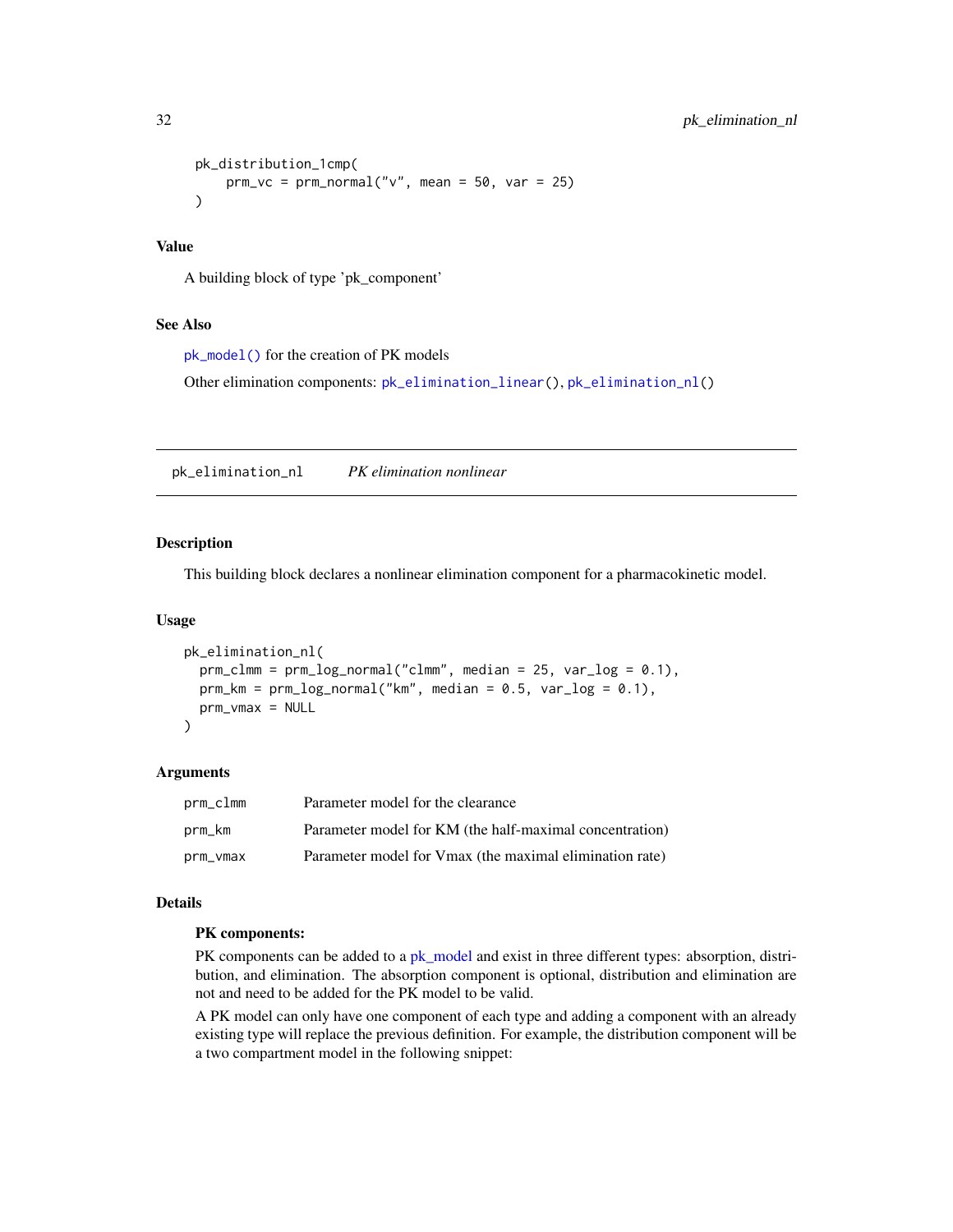```
pk_distribution_1cmp(
   prm_vc = prm_normal("v", mean = 50, var = 25))
```
# Value

A building block of type 'pk\_component'

# See Also

[pk\\_model\(\)](#page-32-1) for the creation of PK models

Other elimination components: [pk\\_elimination\\_linear\(](#page-28-1)), [pk\\_elimination\\_nl\(](#page-31-1))

<span id="page-31-1"></span>pk\_elimination\_nl *PK elimination nonlinear*

# Description

This building block declares a nonlinear elimination component for a pharmacokinetic model.

#### Usage

```
pk_elimination_nl(
  prm_clmm = prm_log-normal("clmm", median = 25, var_log = 0.1),prm_km = prm_log-normal("km", median = 0.5, var_log = 0.1),prm_vmax = NULL
\lambda
```
#### Arguments

| prm_clmm | Parameter model for the clearance                       |
|----------|---------------------------------------------------------|
| prm_km   | Parameter model for KM (the half-maximal concentration) |
| prm_vmax | Parameter model for Vmax (the maximal elimination rate) |

# Details

# PK components:

PK components can be added to a [pk\\_model](#page-32-1) and exist in three different types: absorption, distribution, and elimination. The absorption component is optional, distribution and elimination are not and need to be added for the PK model to be valid.

A PK model can only have one component of each type and adding a component with an already existing type will replace the previous definition. For example, the distribution component will be a two compartment model in the following snippet: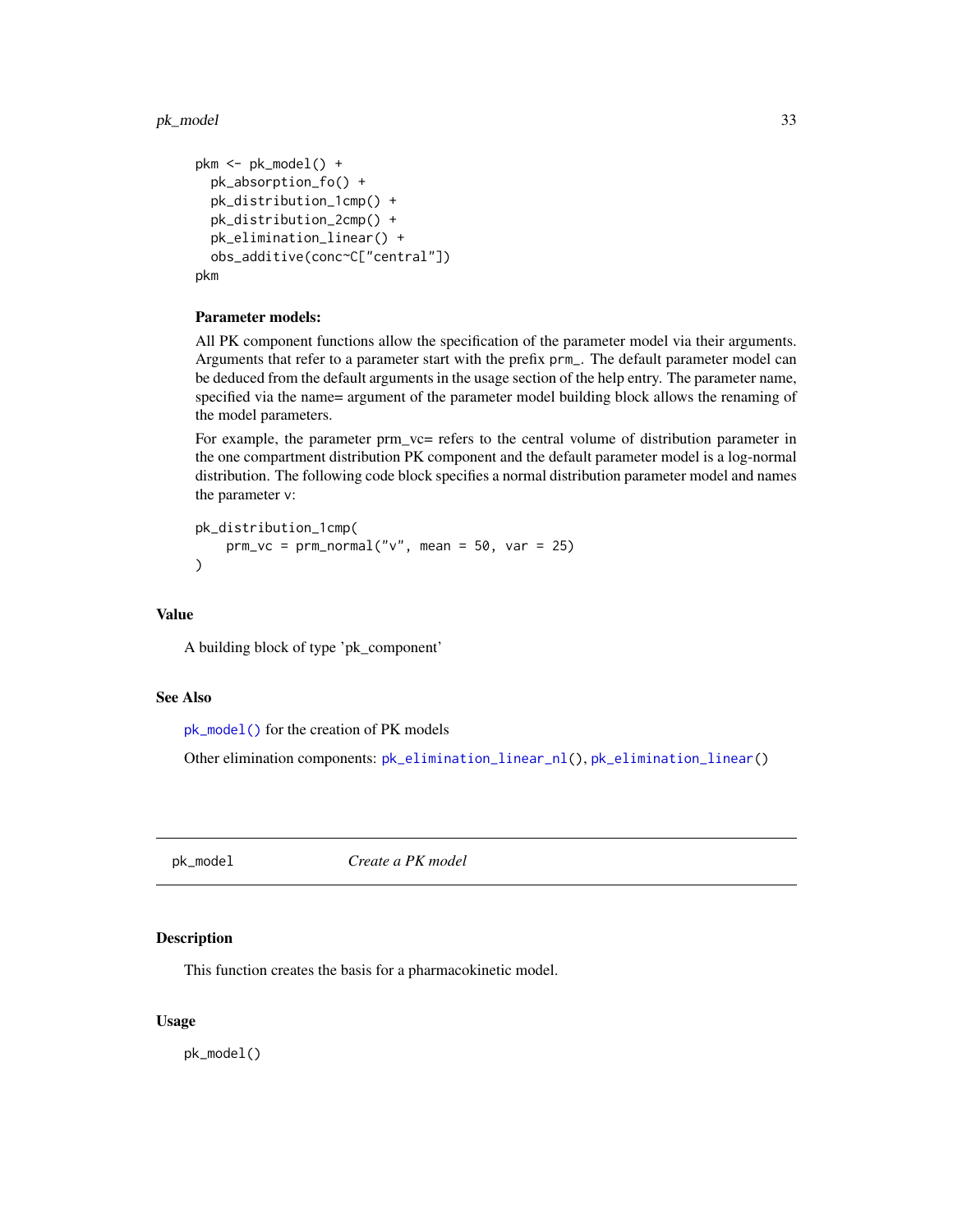#### <span id="page-32-0"></span>pk\_model 33

```
pkm <- pk_model() +
  pk_absorption_fo() +
  pk_distribution_1cmp() +
  pk_distribution_2cmp() +
  pk_elimination_linear() +
  obs_additive(conc~C["central"])
pkm
```
# Parameter models:

All PK component functions allow the specification of the parameter model via their arguments. Arguments that refer to a parameter start with the prefix prm\_. The default parameter model can be deduced from the default arguments in the usage section of the help entry. The parameter name, specified via the name= argument of the parameter model building block allows the renaming of the model parameters.

For example, the parameter prm  $vc=$  refers to the central volume of distribution parameter in the one compartment distribution PK component and the default parameter model is a log-normal distribution. The following code block specifies a normal distribution parameter model and names the parameter v:

```
pk_distribution_1cmp(
   prm_vc = prm_normal("v", mean = 50, var = 25))
```
# Value

A building block of type 'pk\_component'

#### See Also

[pk\\_model\(\)](#page-32-1) for the creation of PK models

Other elimination components: [pk\\_elimination\\_linear\\_nl\(](#page-29-1)), [pk\\_elimination\\_linear\(](#page-28-1))

<span id="page-32-1"></span>pk\_model *Create a PK model*

#### Description

This function creates the basis for a pharmacokinetic model.

#### Usage

pk\_model()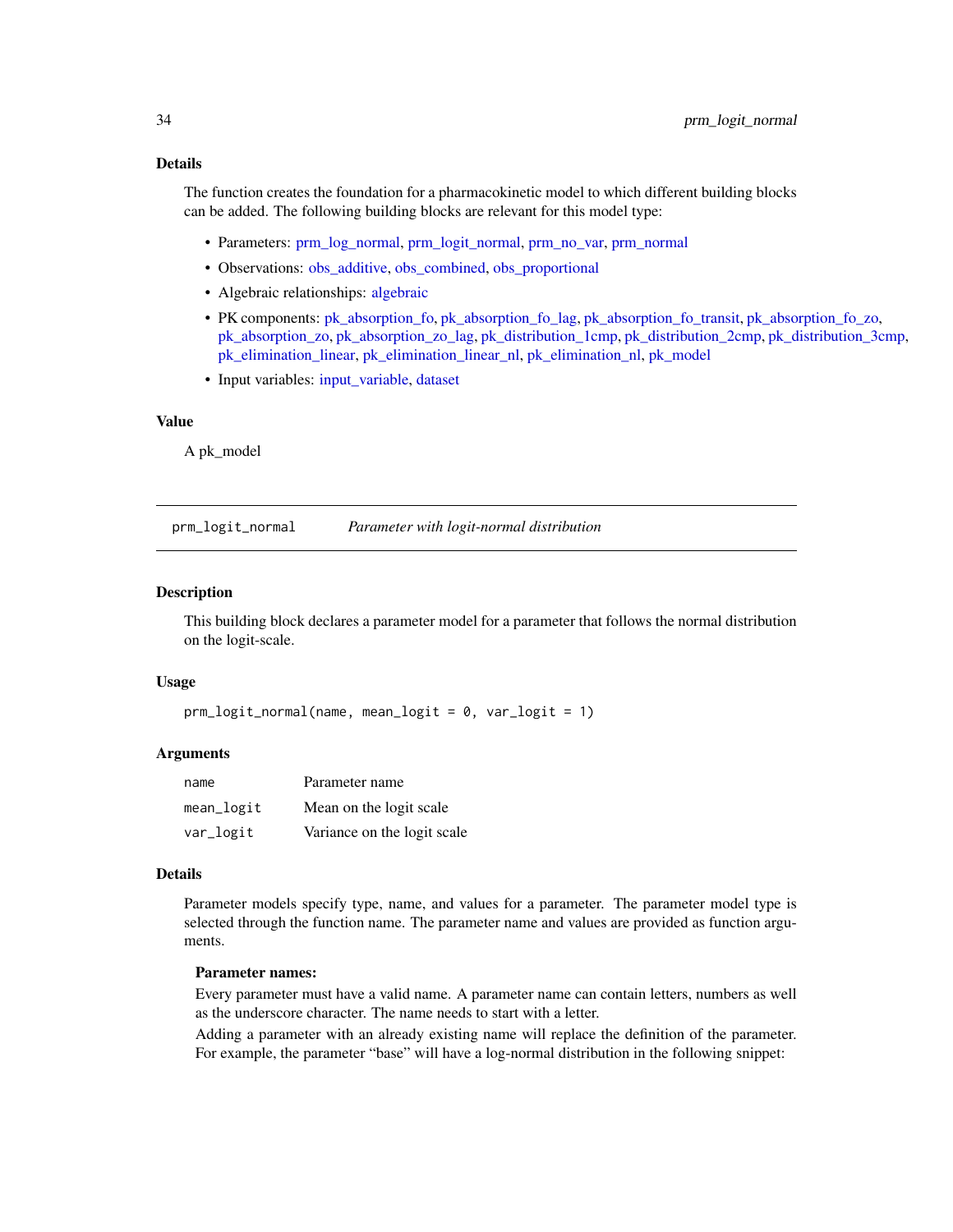# <span id="page-33-0"></span>Details

The function creates the foundation for a pharmacokinetic model to which different building blocks can be added. The following building blocks are relevant for this model type:

- Parameters: [prm\\_log\\_normal,](#page-35-1) [prm\\_logit\\_normal,](#page-33-1) [prm\\_no\\_var,](#page-38-1) [prm\\_normal](#page-36-1)
- Observations: [obs\\_additive,](#page-12-1) [obs\\_combined,](#page-13-1) [obs\\_proportional](#page-15-1)
- Algebraic relationships: [algebraic](#page-3-1)
- PK components: [pk\\_absorption\\_fo,](#page-16-1) [pk\\_absorption\\_fo\\_lag,](#page-17-1) [pk\\_absorption\\_fo\\_transit,](#page-19-1) [pk\\_absorption\\_fo\\_zo,](#page-20-1) [pk\\_absorption\\_zo,](#page-22-1) [pk\\_absorption\\_zo\\_lag,](#page-23-1) [pk\\_distribution\\_1cmp,](#page-24-1) [pk\\_distribution\\_2cmp,](#page-25-1) [pk\\_distribution\\_3cmp,](#page-27-1) [pk\\_elimination\\_linear,](#page-28-1) [pk\\_elimination\\_linear\\_nl,](#page-29-1) [pk\\_elimination\\_nl,](#page-31-1) [pk\\_model](#page-32-1)
- Input variables: [input\\_variable,](#page-9-1) [dataset](#page-9-2)

#### Value

A pk\_model

<span id="page-33-1"></span>prm\_logit\_normal *Parameter with logit-normal distribution*

#### **Description**

This building block declares a parameter model for a parameter that follows the normal distribution on the logit-scale.

#### Usage

```
prm_logit_normal(name, mean_logit = 0, var_logit = 1)
```
# Arguments

| name       | Parameter name              |
|------------|-----------------------------|
| mean_logit | Mean on the logit scale     |
| var_logit  | Variance on the logit scale |

#### Details

Parameter models specify type, name, and values for a parameter. The parameter model type is selected through the function name. The parameter name and values are provided as function arguments.

#### Parameter names:

Every parameter must have a valid name. A parameter name can contain letters, numbers as well as the underscore character. The name needs to start with a letter.

Adding a parameter with an already existing name will replace the definition of the parameter. For example, the parameter "base" will have a log-normal distribution in the following snippet: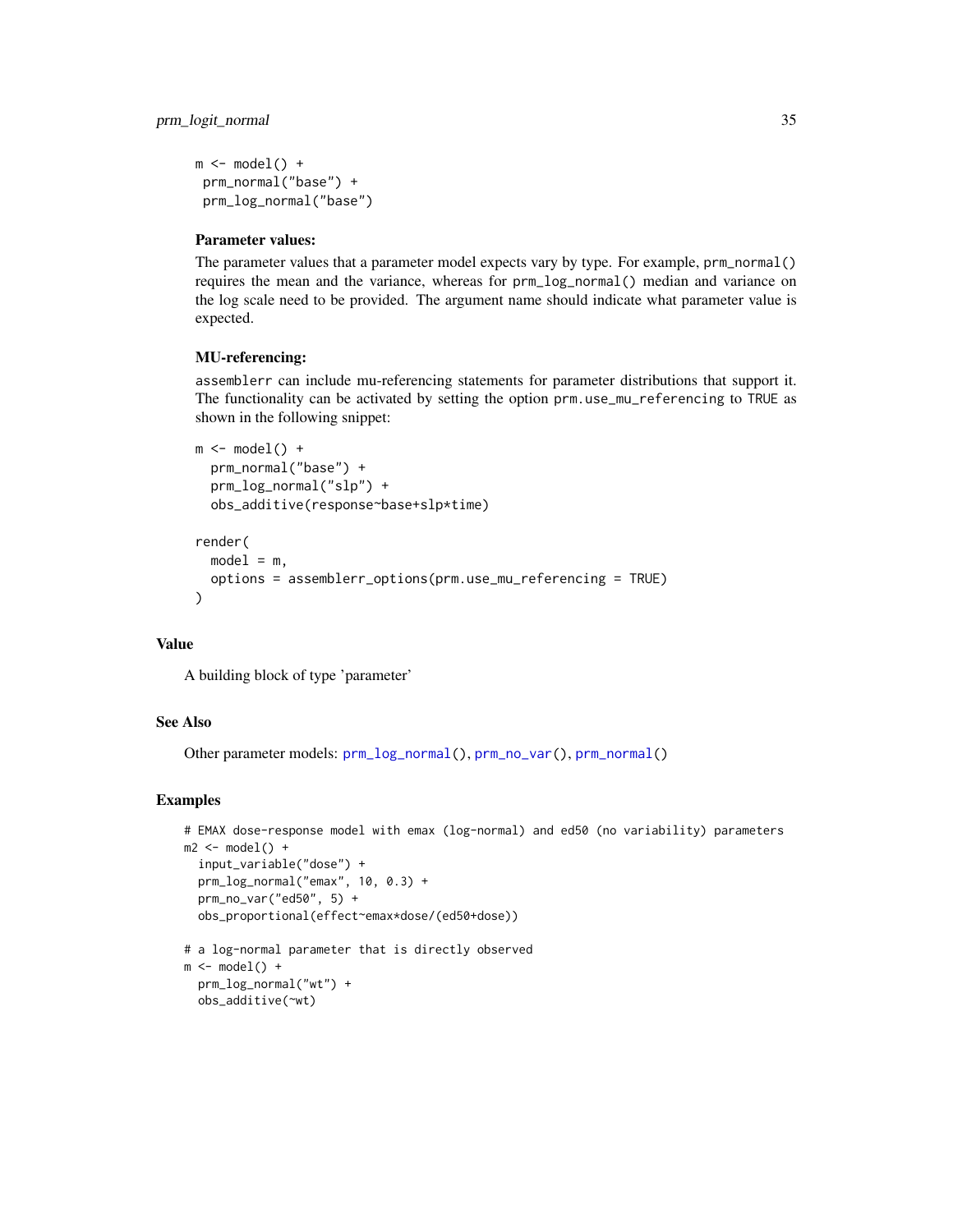<span id="page-34-0"></span> $m \leftarrow model() +$ prm\_normal("base") + prm\_log\_normal("base")

# Parameter values:

The parameter values that a parameter model expects vary by type. For example, prm\_normal() requires the mean and the variance, whereas for prm\_log\_normal() median and variance on the log scale need to be provided. The argument name should indicate what parameter value is expected.

# MU-referencing:

assemblerr can include mu-referencing statements for parameter distributions that support it. The functionality can be activated by setting the option prm.use\_mu\_referencing to TRUE as shown in the following snippet:

```
m \leftarrow model() +prm_normal("base") +
  prm_log_normal("slp") +
  obs_additive(response~base+slp*time)
render(
  model = m,
  options = assemblerr_options(prm.use_mu_referencing = TRUE)
\lambda
```
#### Value

A building block of type 'parameter'

#### See Also

Other parameter models: [prm\\_log\\_normal\(](#page-35-1)), [prm\\_no\\_var\(](#page-38-1)), [prm\\_normal\(](#page-36-1))

#### Examples

```
# EMAX dose-response model with emax (log-normal) and ed50 (no variability) parameters
m2 \le mode1() +input_variable("dose") +
 prm_log_normal("emax", 10, 0.3) +
 prm_no_var("ed50", 5) +
 obs_proportional(effect~emax*dose/(ed50+dose))
# a log-normal parameter that is directly observed
m \le m \mod 1 +
 prm_log_normal("wt") +
 obs_additive(~wt)
```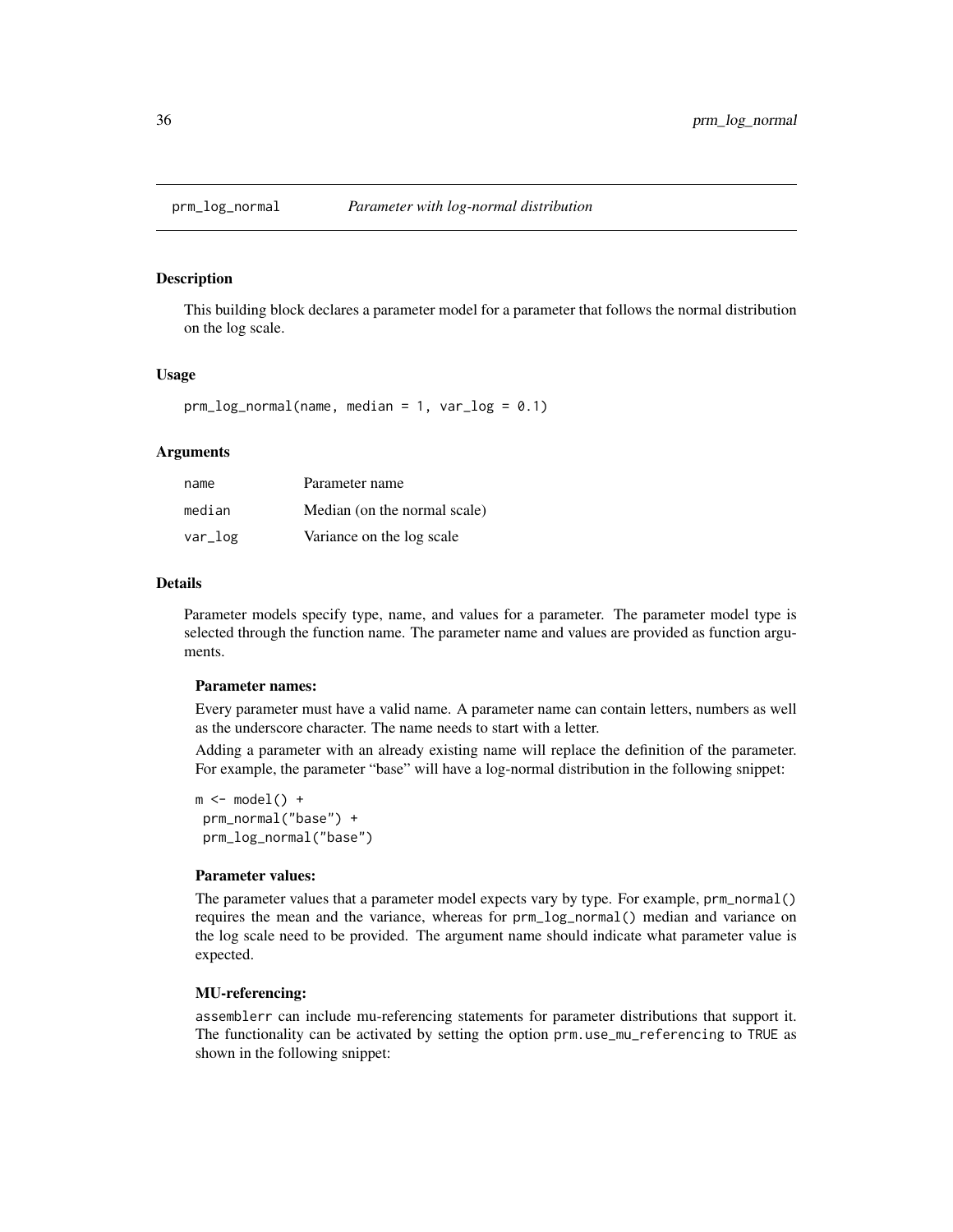<span id="page-35-1"></span><span id="page-35-0"></span>

#### Description

This building block declares a parameter model for a parameter that follows the normal distribution on the log scale.

# Usage

 $prm_log\_normal(name, median = 1, var_log = 0.1)$ 

# **Arguments**

| name    | Parameter name               |
|---------|------------------------------|
| median  | Median (on the normal scale) |
| $var_l$ | Variance on the log scale    |

#### Details

Parameter models specify type, name, and values for a parameter. The parameter model type is selected through the function name. The parameter name and values are provided as function arguments.

#### Parameter names:

Every parameter must have a valid name. A parameter name can contain letters, numbers as well as the underscore character. The name needs to start with a letter.

Adding a parameter with an already existing name will replace the definition of the parameter. For example, the parameter "base" will have a log-normal distribution in the following snippet:

 $m \leftarrow model() +$ prm\_normal("base") + prm\_log\_normal("base")

#### Parameter values:

The parameter values that a parameter model expects vary by type. For example, prm\_normal() requires the mean and the variance, whereas for prm\_log\_normal() median and variance on the log scale need to be provided. The argument name should indicate what parameter value is expected.

#### MU-referencing:

assemblerr can include mu-referencing statements for parameter distributions that support it. The functionality can be activated by setting the option prm.use\_mu\_referencing to TRUE as shown in the following snippet: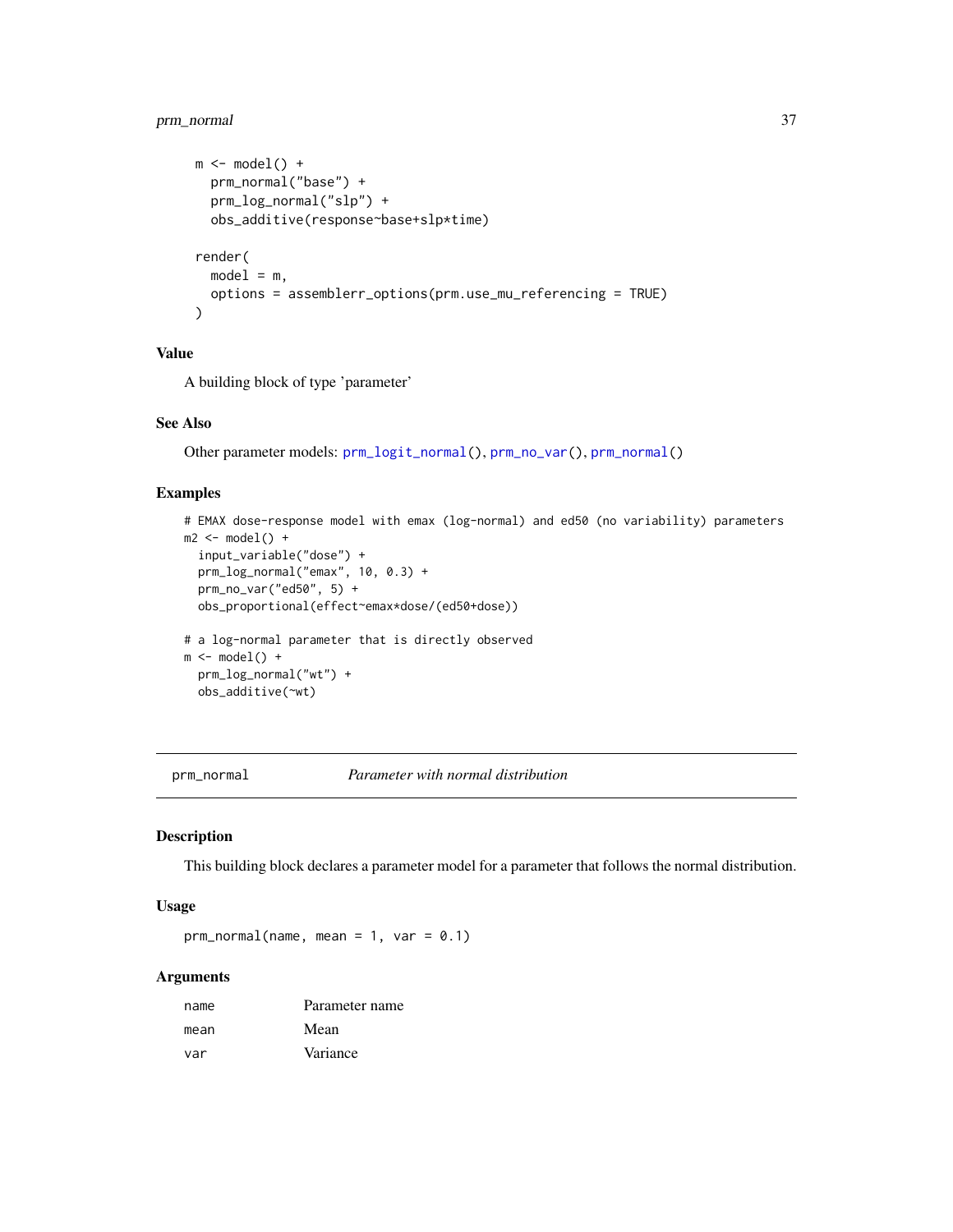# <span id="page-36-0"></span>prm\_normal 37

```
m \leftarrow model() +prm_normal("base") +
  prm_log_normal("slp") +
  obs_additive(response~base+slp*time)
render(
  model = m,
  options = assemblerr_options(prm.use_mu_referencing = TRUE)
)
```
# Value

A building block of type 'parameter'

#### See Also

Other parameter models: [prm\\_logit\\_normal\(](#page-33-1)), [prm\\_no\\_var\(](#page-38-1)), [prm\\_normal\(](#page-36-1))

# Examples

```
# EMAX dose-response model with emax (log-normal) and ed50 (no variability) parameters
m2 < - model() +
  input_variable("dose") +
  prm_log_normal("emax", 10, 0.3) +
  prm_no_var("ed50", 5) +
  obs_proportional(effect~emax*dose/(ed50+dose))
# a log-normal parameter that is directly observed
m \leftarrow model() +prm_log_normal("wt") +
  obs_additive(~wt)
```
<span id="page-36-1"></span>prm\_normal *Parameter with normal distribution*

#### Description

This building block declares a parameter model for a parameter that follows the normal distribution.

# Usage

 $prm_normal(name, mean = 1, var = 0.1)$ 

#### **Arguments**

| name | Parameter name |
|------|----------------|
| mean | Mean           |
| var  | Variance       |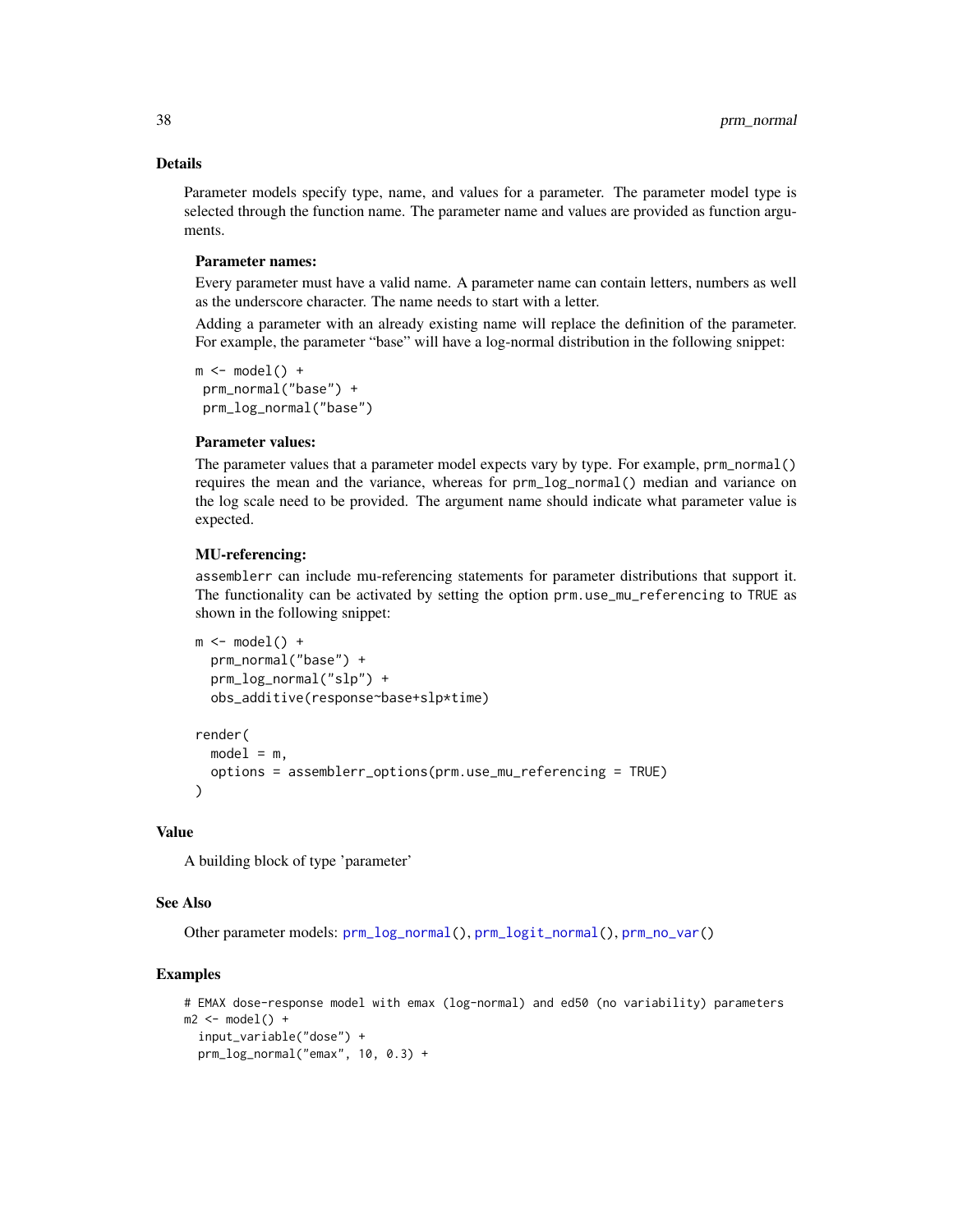# Details

Parameter models specify type, name, and values for a parameter. The parameter model type is selected through the function name. The parameter name and values are provided as function arguments.

#### Parameter names:

Every parameter must have a valid name. A parameter name can contain letters, numbers as well as the underscore character. The name needs to start with a letter.

Adding a parameter with an already existing name will replace the definition of the parameter. For example, the parameter "base" will have a log-normal distribution in the following snippet:

 $m \leftarrow model() +$ prm\_normal("base") + prm\_log\_normal("base")

# Parameter values:

The parameter values that a parameter model expects vary by type. For example, prm\_normal() requires the mean and the variance, whereas for prm\_log\_normal() median and variance on the log scale need to be provided. The argument name should indicate what parameter value is expected.

#### MU-referencing:

assemblerr can include mu-referencing statements for parameter distributions that support it. The functionality can be activated by setting the option prm.use\_mu\_referencing to TRUE as shown in the following snippet:

```
m \leftarrow model() +prm_normal("base") +
  prm_log_normal("slp") +
  obs_additive(response~base+slp*time)
render(
  model = m,
  options = assemblerr_options(prm.use_mu_referencing = TRUE)
)
```
#### Value

A building block of type 'parameter'

#### See Also

Other parameter models: [prm\\_log\\_normal\(](#page-35-1)), [prm\\_logit\\_normal\(](#page-33-1)), [prm\\_no\\_var\(](#page-38-1))

#### Examples

```
# EMAX dose-response model with emax (log-normal) and ed50 (no variability) parameters
m2 \le mode1() +input_variable("dose") +
  prm_log_normal("emax", 10, 0.3) +
```
<span id="page-37-0"></span>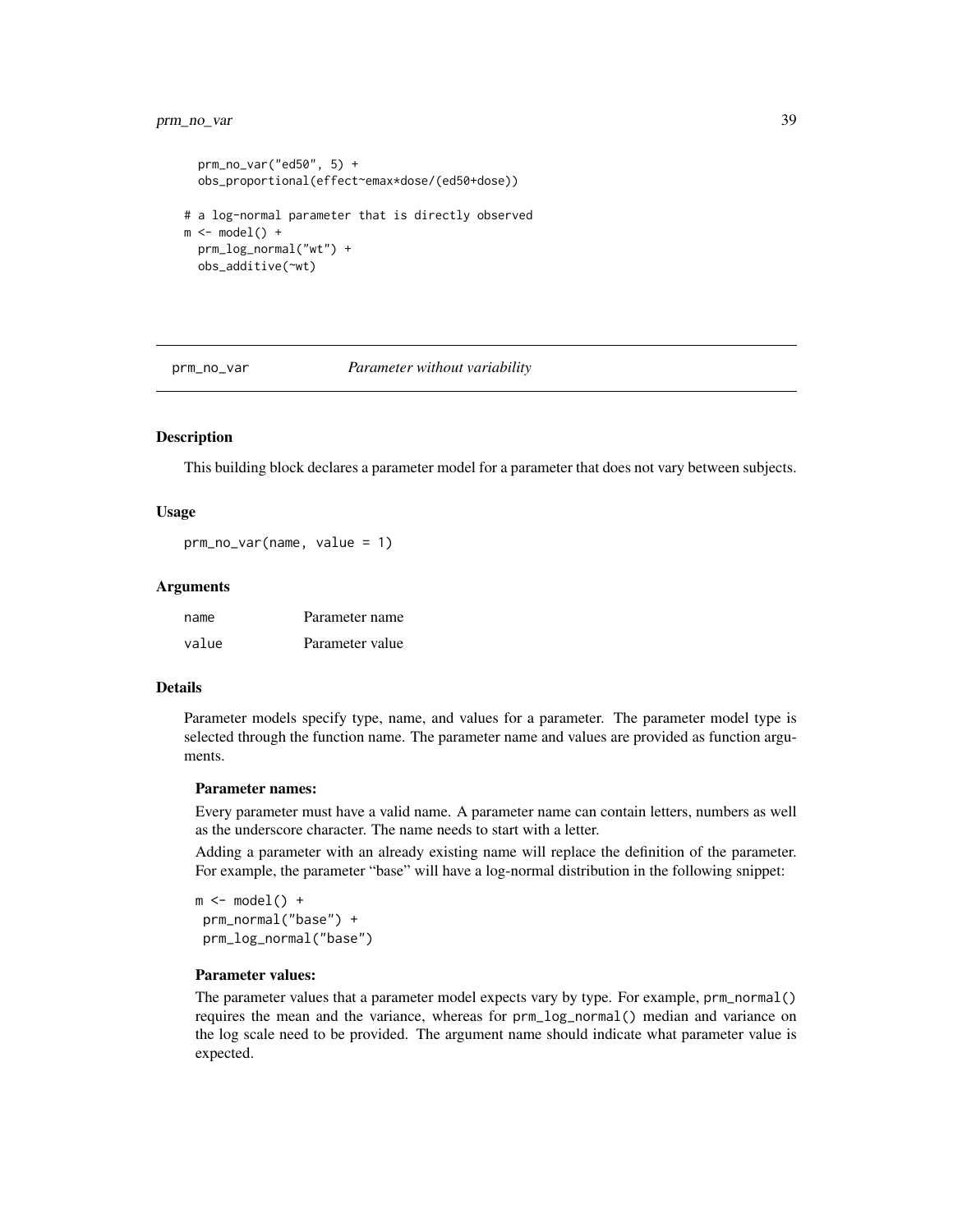# <span id="page-38-0"></span>prm\_no\_var 39

```
prm_no_var("ed50", 5) +
 obs_proportional(effect~emax*dose/(ed50+dose))
# a log-normal parameter that is directly observed
m \leftarrow model() +prm_log_normal("wt") +
 obs_additive(~wt)
```
<span id="page-38-1"></span>

prm\_no\_var *Parameter without variability*

# Description

This building block declares a parameter model for a parameter that does not vary between subjects.

#### Usage

prm\_no\_var(name, value = 1)

#### Arguments

| name  | Parameter name  |
|-------|-----------------|
| value | Parameter value |

# Details

Parameter models specify type, name, and values for a parameter. The parameter model type is selected through the function name. The parameter name and values are provided as function arguments.

#### Parameter names:

Every parameter must have a valid name. A parameter name can contain letters, numbers as well as the underscore character. The name needs to start with a letter.

Adding a parameter with an already existing name will replace the definition of the parameter. For example, the parameter "base" will have a log-normal distribution in the following snippet:

 $m \leftarrow model() +$ prm\_normal("base") + prm\_log\_normal("base")

# Parameter values:

The parameter values that a parameter model expects vary by type. For example, prm\_normal() requires the mean and the variance, whereas for prm\_log\_normal() median and variance on the log scale need to be provided. The argument name should indicate what parameter value is expected.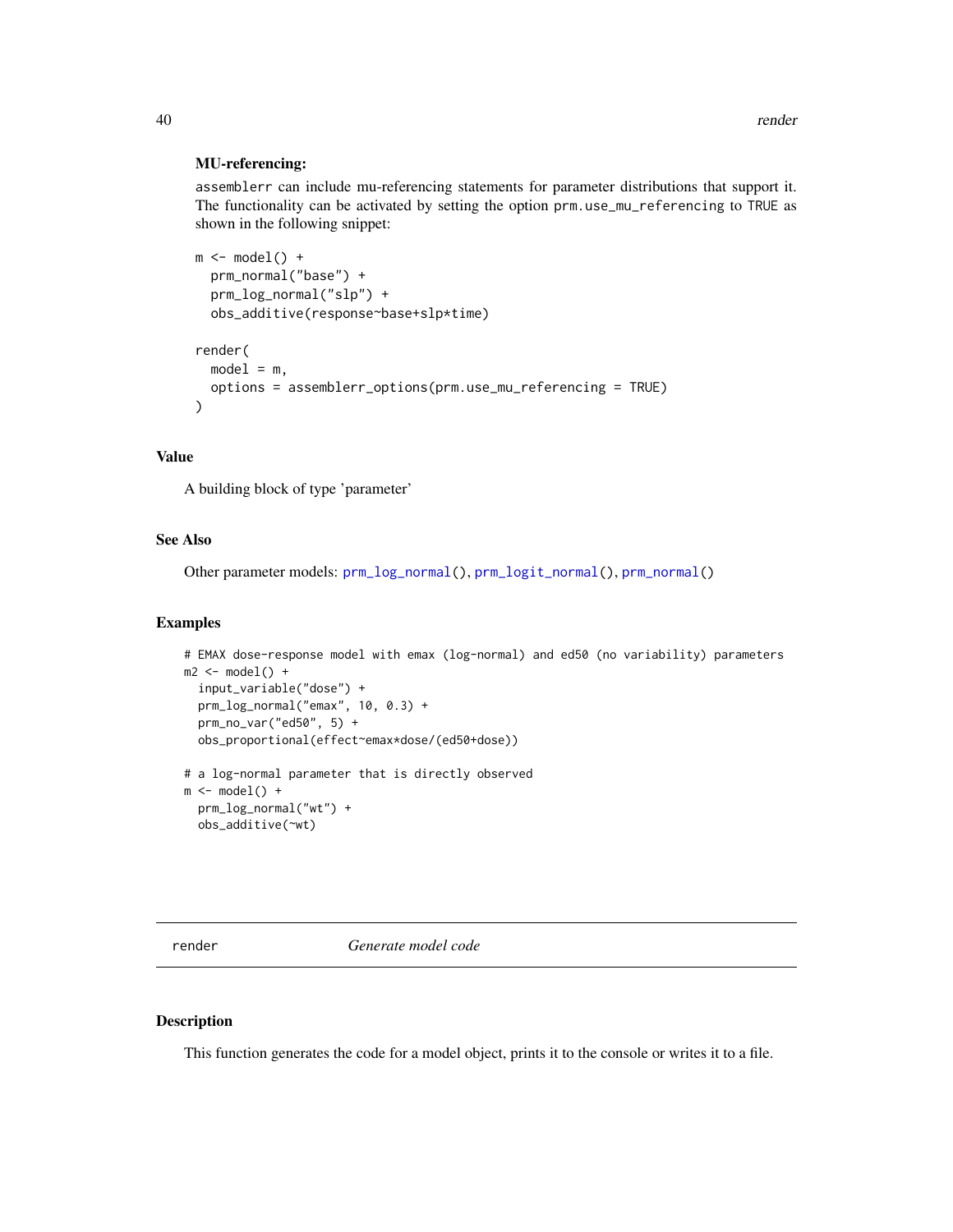#### <span id="page-39-0"></span>MU-referencing:

assemblerr can include mu-referencing statements for parameter distributions that support it. The functionality can be activated by setting the option prm.use\_mu\_referencing to TRUE as shown in the following snippet:

```
m \leftarrow model() +prm_normal("base") +
  prm_log_normal("slp") +
  obs_additive(response~base+slp*time)
render(
  model = m,
  options = assemblerr_options(prm.use_mu_referencing = TRUE)
)
```
# Value

A building block of type 'parameter'

# See Also

Other parameter models: [prm\\_log\\_normal\(](#page-35-1)), [prm\\_logit\\_normal\(](#page-33-1)), [prm\\_normal\(](#page-36-1))

#### Examples

```
# EMAX dose-response model with emax (log-normal) and ed50 (no variability) parameters
m2 \le - model() +
  input_variable("dose") +
  prm_log_normal("emax", 10, 0.3) +
  prm_no_var("ed50", 5) +
  obs_proportional(effect~emax*dose/(ed50+dose))
# a log-normal parameter that is directly observed
m \leftarrow model() +prm_log_normal("wt") +
```
obs\_additive(~wt)

render *Generate model code*

# Description

This function generates the code for a model object, prints it to the console or writes it to a file.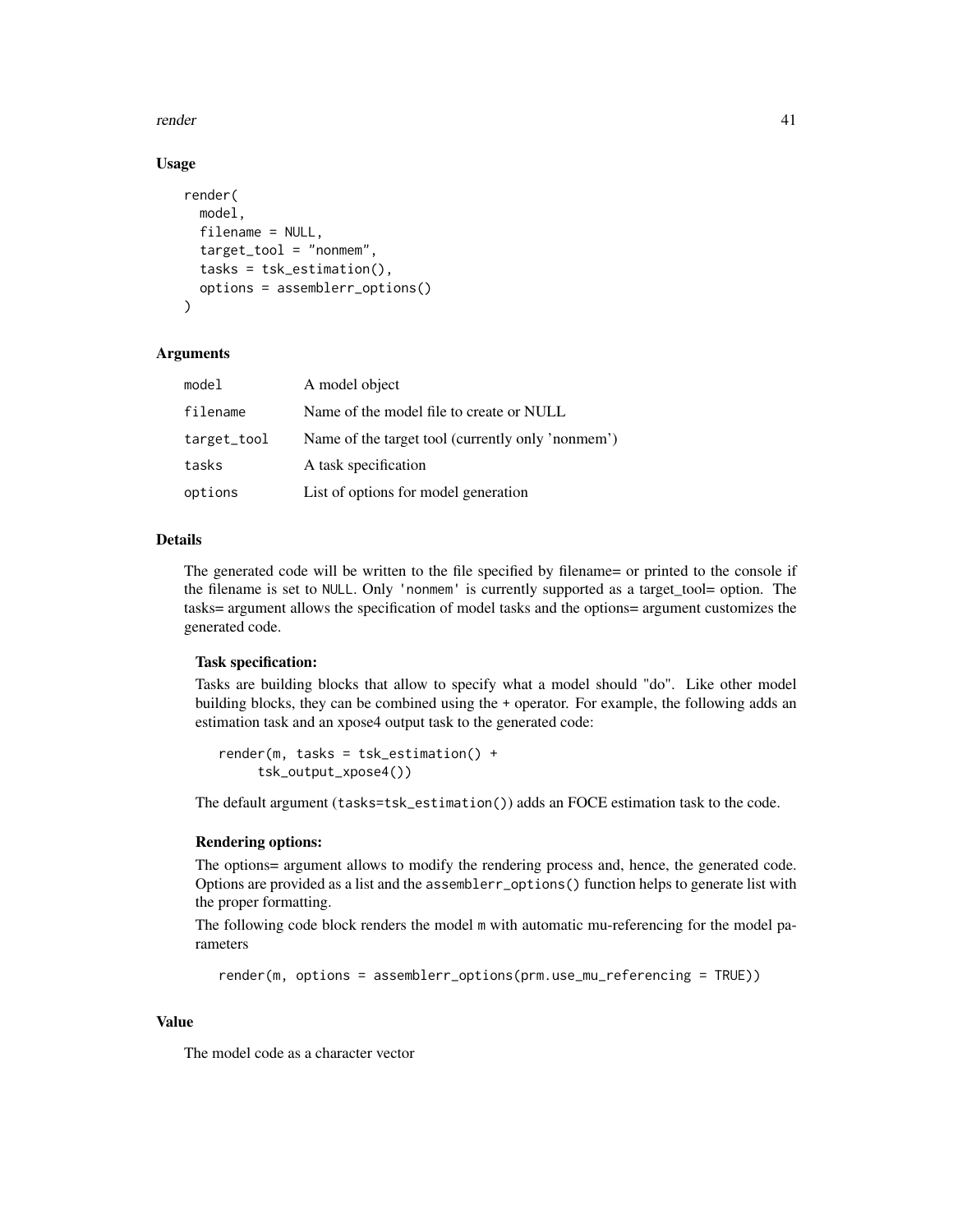render that the contract of the contract of the contract of the contract of the contract of the contract of the contract of the contract of the contract of the contract of the contract of the contract of the contract of th

# Usage

```
render(
  model,
  filename = NULL,
  target_tool = "nonmem",
  tasks = tsk_estimation(),
  options = assemblerr_options()
)
```
# Arguments

| model       | A model object                                    |
|-------------|---------------------------------------------------|
| filename    | Name of the model file to create or NULL          |
| target_tool | Name of the target tool (currently only 'nonmem') |
| tasks       | A task specification                              |
| options     | List of options for model generation              |

# Details

The generated code will be written to the file specified by filename= or printed to the console if the filename is set to NULL. Only 'nonmem' is currently supported as a target\_tool= option. The tasks= argument allows the specification of model tasks and the options= argument customizes the generated code.

#### Task specification:

Tasks are building blocks that allow to specify what a model should "do". Like other model building blocks, they can be combined using the + operator. For example, the following adds an estimation task and an xpose4 output task to the generated code:

```
render(m, tasks = tsk_estimation() +
    tsk_output_xpose4())
```
The default argument (tasks=tsk\_estimation()) adds an FOCE estimation task to the code.

#### Rendering options:

The options= argument allows to modify the rendering process and, hence, the generated code. Options are provided as a list and the assemblerr\_options() function helps to generate list with the proper formatting.

The following code block renders the model m with automatic mu-referencing for the model parameters

```
render(m, options = assemblerr_options(prm.use_mu_referencing = TRUE))
```
#### Value

The model code as a character vector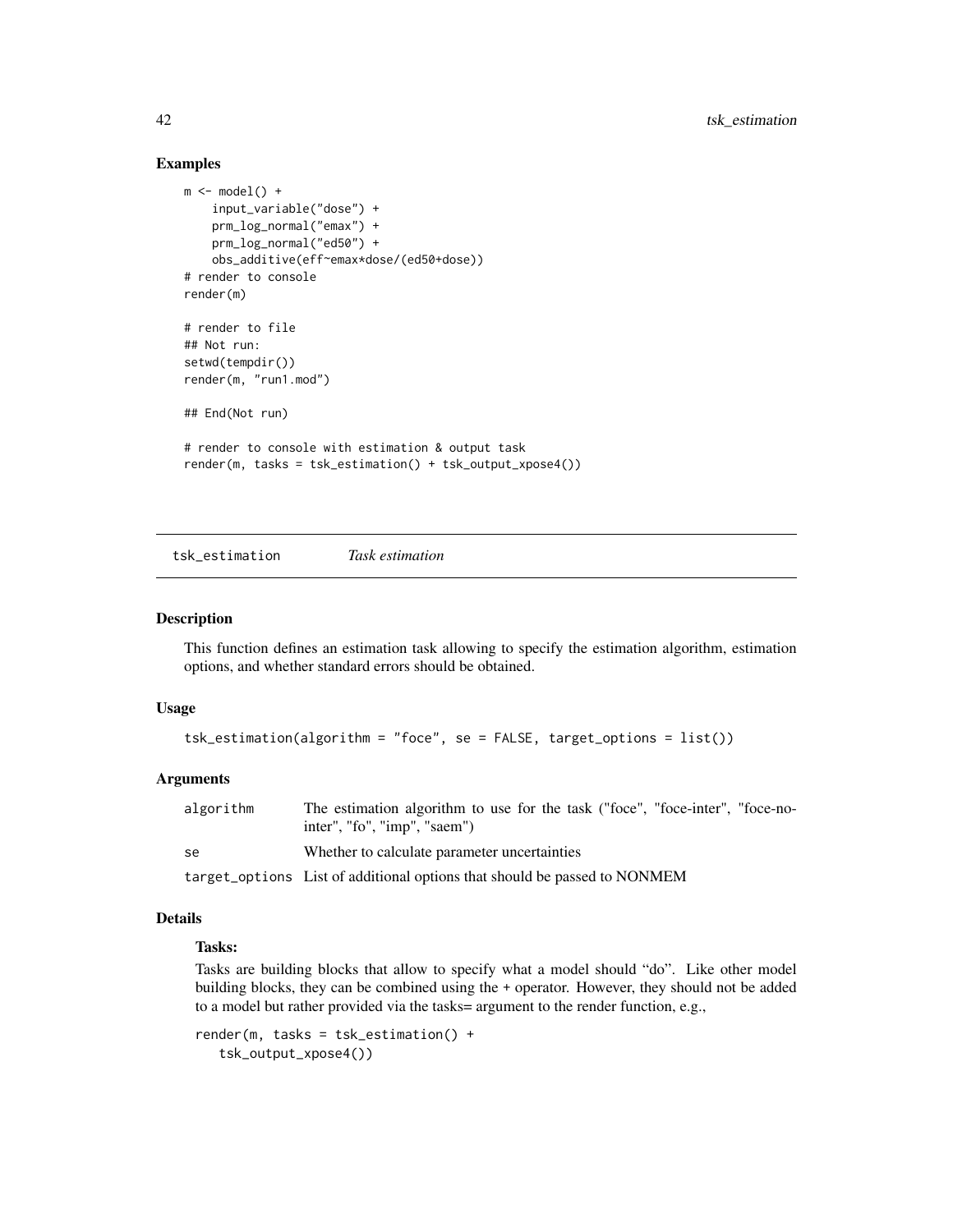### Examples

```
m \leftarrow model() +input_variable("dose") +
   prm_log_normal("emax") +
   prm_log_normal("ed50") +
   obs_additive(eff~emax*dose/(ed50+dose))
# render to console
render(m)
# render to file
## Not run:
setwd(tempdir())
render(m, "run1.mod")
## End(Not run)
# render to console with estimation & output task
render(m, tasks = tsk_estimation() + tsk_output_xpose4())
```
<span id="page-41-1"></span>tsk\_estimation *Task estimation*

#### Description

This function defines an estimation task allowing to specify the estimation algorithm, estimation options, and whether standard errors should be obtained.

#### Usage

```
tsk_estimation(algorithm = "foce", se = FALSE, target_options = list())
```
#### Arguments

| algorithm | The estimation algorithm to use for the task ("foce", "foce-inter", "foce-no-<br>inter", "fo", "imp", "saem") |
|-----------|---------------------------------------------------------------------------------------------------------------|
| se        | Whether to calculate parameter uncertainties                                                                  |
|           | target_options List of additional options that should be passed to NONMEM                                     |

# Details

# Tasks:

Tasks are building blocks that allow to specify what a model should "do". Like other model building blocks, they can be combined using the + operator. However, they should not be added to a model but rather provided via the tasks= argument to the render function, e.g.,

```
render(m, tasks = tsk_estimation() +
   tsk_output_xpose4())
```
<span id="page-41-0"></span>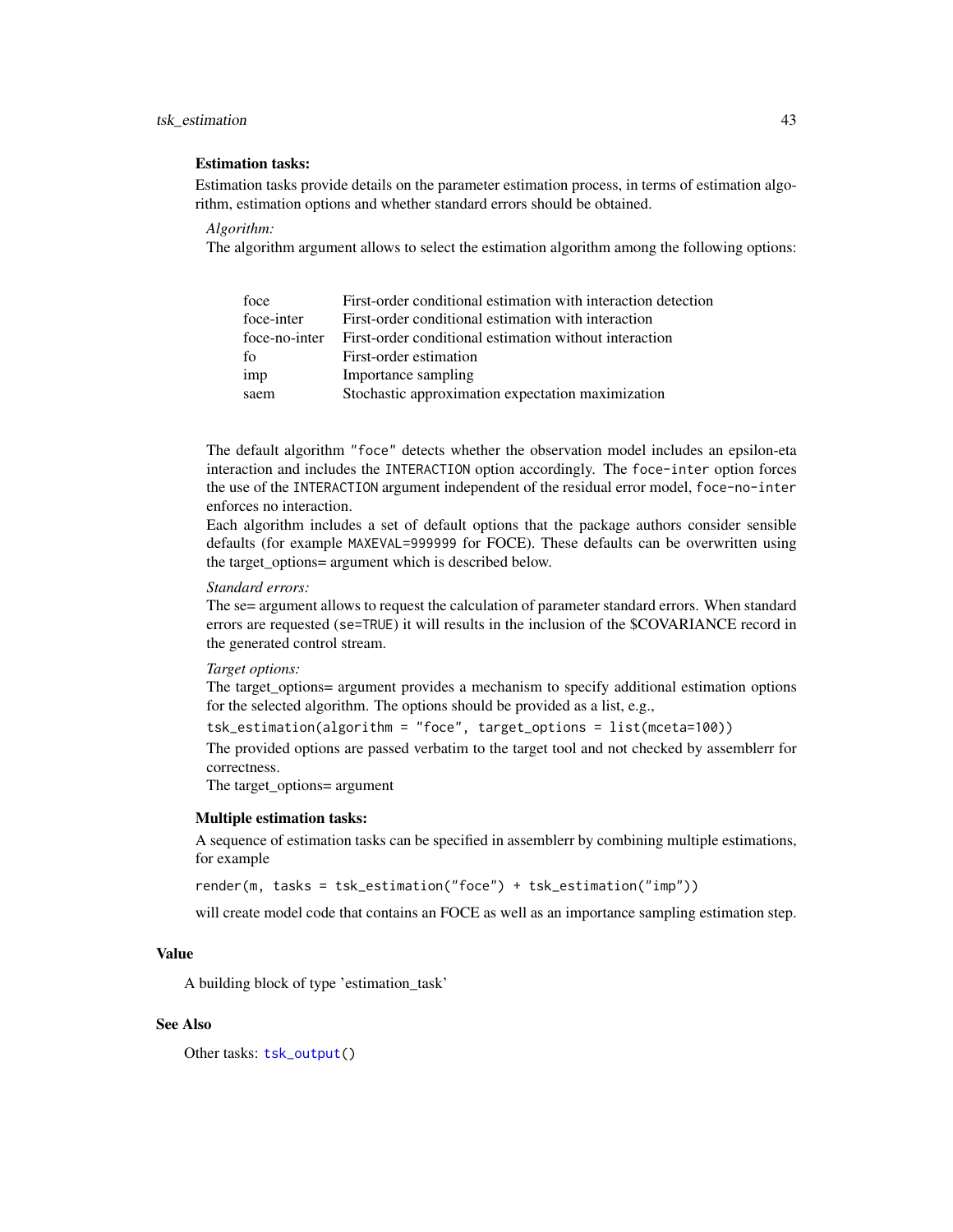### <span id="page-42-0"></span>tsk\_estimation 43

#### Estimation tasks:

Estimation tasks provide details on the parameter estimation process, in terms of estimation algorithm, estimation options and whether standard errors should be obtained.

*Algorithm:*

The algorithm argument allows to select the estimation algorithm among the following options:

| foce          | First-order conditional estimation with interaction detection |
|---------------|---------------------------------------------------------------|
| foce-inter    | First-order conditional estimation with interaction           |
| foce-no-inter | First-order conditional estimation without interaction        |
| fo            | First-order estimation                                        |
| imp           | Importance sampling                                           |
| saem          | Stochastic approximation expectation maximization             |

The default algorithm "foce" detects whether the observation model includes an epsilon-eta interaction and includes the INTERACTION option accordingly. The foce-inter option forces the use of the INTERACTION argument independent of the residual error model, foce-no-inter enforces no interaction.

Each algorithm includes a set of default options that the package authors consider sensible defaults (for example MAXEVAL=999999 for FOCE). These defaults can be overwritten using the target\_options= argument which is described below.

#### *Standard errors:*

The se= argument allows to request the calculation of parameter standard errors. When standard errors are requested (se=TRUE) it will results in the inclusion of the \$COVARIANCE record in the generated control stream.

#### *Target options:*

The target\_options= argument provides a mechanism to specify additional estimation options for the selected algorithm. The options should be provided as a list, e.g.,

tsk\_estimation(algorithm = "foce", target\_options = list(mceta=100))

The provided options are passed verbatim to the target tool and not checked by assemblerr for correctness.

The target\_options= argument

#### Multiple estimation tasks:

A sequence of estimation tasks can be specified in assemblerr by combining multiple estimations, for example

render(m, tasks = tsk\_estimation("foce") + tsk\_estimation("imp"))

will create model code that contains an FOCE as well as an importance sampling estimation step.

# Value

A building block of type 'estimation\_task'

#### See Also

Other tasks: [tsk\\_output\(](#page-43-1))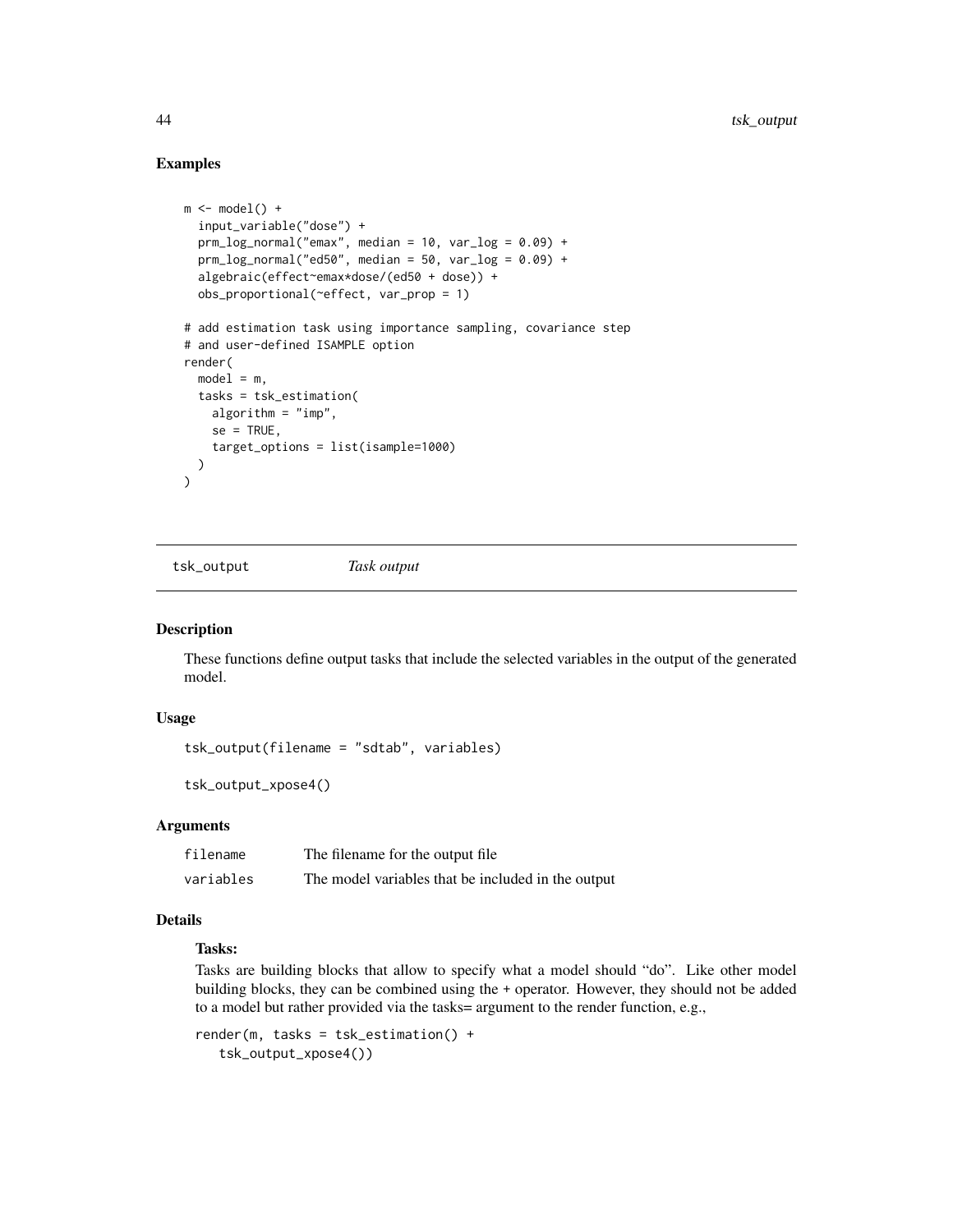# Examples

```
m \leftarrow model() +input_variable("dose") +
  prm_log\_normal("emax", median = 10, var_log = 0.09) +prm_log\_normal("ed50", median = 50, var_log = 0.09) +algebraic(effect~emax*dose/(ed50 + dose)) +
  obs_proportional(~effect, var_prop = 1)
# add estimation task using importance sampling, covariance step
# and user-defined ISAMPLE option
render(
  model = m,tasks = tsk_estimation(
    algorithm = "imp",
    se = TRUE,target_options = list(isample=1000)
  )
\lambda
```
<span id="page-43-1"></span>tsk\_output *Task output*

#### Description

These functions define output tasks that include the selected variables in the output of the generated model.

# Usage

tsk\_output(filename = "sdtab", variables)

tsk\_output\_xpose4()

#### Arguments

filename The filename for the output file variables The model variables that be included in the output

## Details

# Tasks:

Tasks are building blocks that allow to specify what a model should "do". Like other model building blocks, they can be combined using the + operator. However, they should not be added to a model but rather provided via the tasks= argument to the render function, e.g.,

```
render(m, tasks = tsk_estimation() +
   tsk_output_xpose4())
```
<span id="page-43-0"></span>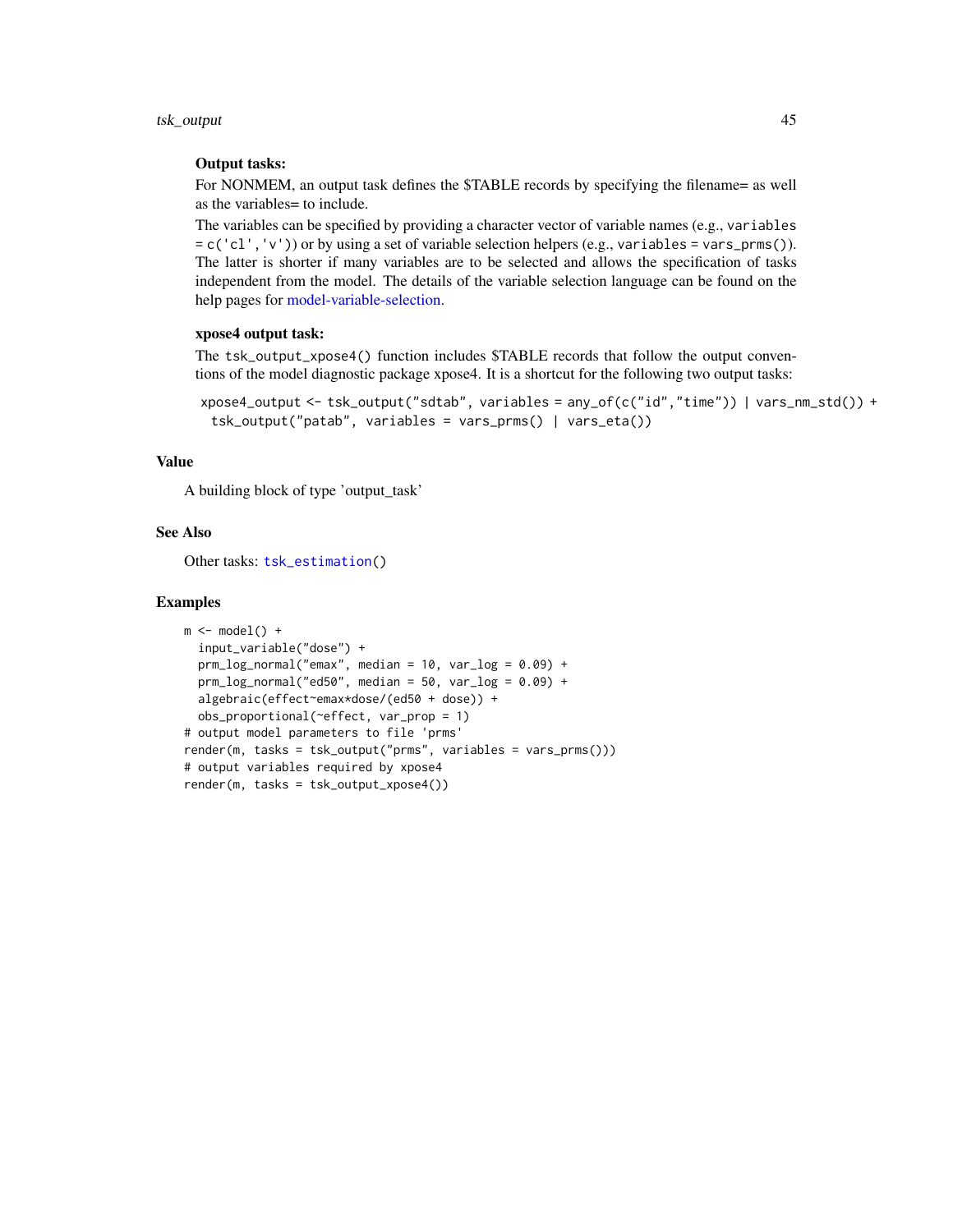<span id="page-44-0"></span>tsk\_output 45

# Output tasks:

For NONMEM, an output task defines the \$TABLE records by specifying the filename= as well as the variables= to include.

The variables can be specified by providing a character vector of variable names (e.g., variables  $= c('c1', 'v'))$  or by using a set of variable selection helpers (e.g., variables = vars\_prms()). The latter is shorter if many variables are to be selected and allows the specification of tasks independent from the model. The details of the variable selection language can be found on the help pages for [model-variable-selection.](#page-11-1)

# xpose4 output task:

The tsk\_output\_xpose4() function includes \$TABLE records that follow the output conventions of the model diagnostic package xpose4. It is a shortcut for the following two output tasks:

```
xpose4_output <- tsk_output("sdtab", variables = any_of(c("id","time")) | vars_nm_std()) +
 tsk_output("patab", variables = vars_prms() | vars_eta())
```
# Value

A building block of type 'output\_task'

# See Also

Other tasks: [tsk\\_estimation\(](#page-41-1))

#### Examples

```
m \leftarrow model() +input_variable("dose") +
  prm_log_normal("emax", median = 10, var_log = 0.09) +
  prm_log\_normal("ed50", median = 50, var_log = 0.09) +algebraic(effect~emax*dose/(ed50 + dose)) +
  obs_proportional(~effect, var_prop = 1)
# output model parameters to file 'prms'
render(m, tasks = tsk_output("prms", variables = vars_prms()))
# output variables required by xpose4
render(m, tasks = tsk_output_xpose4())
```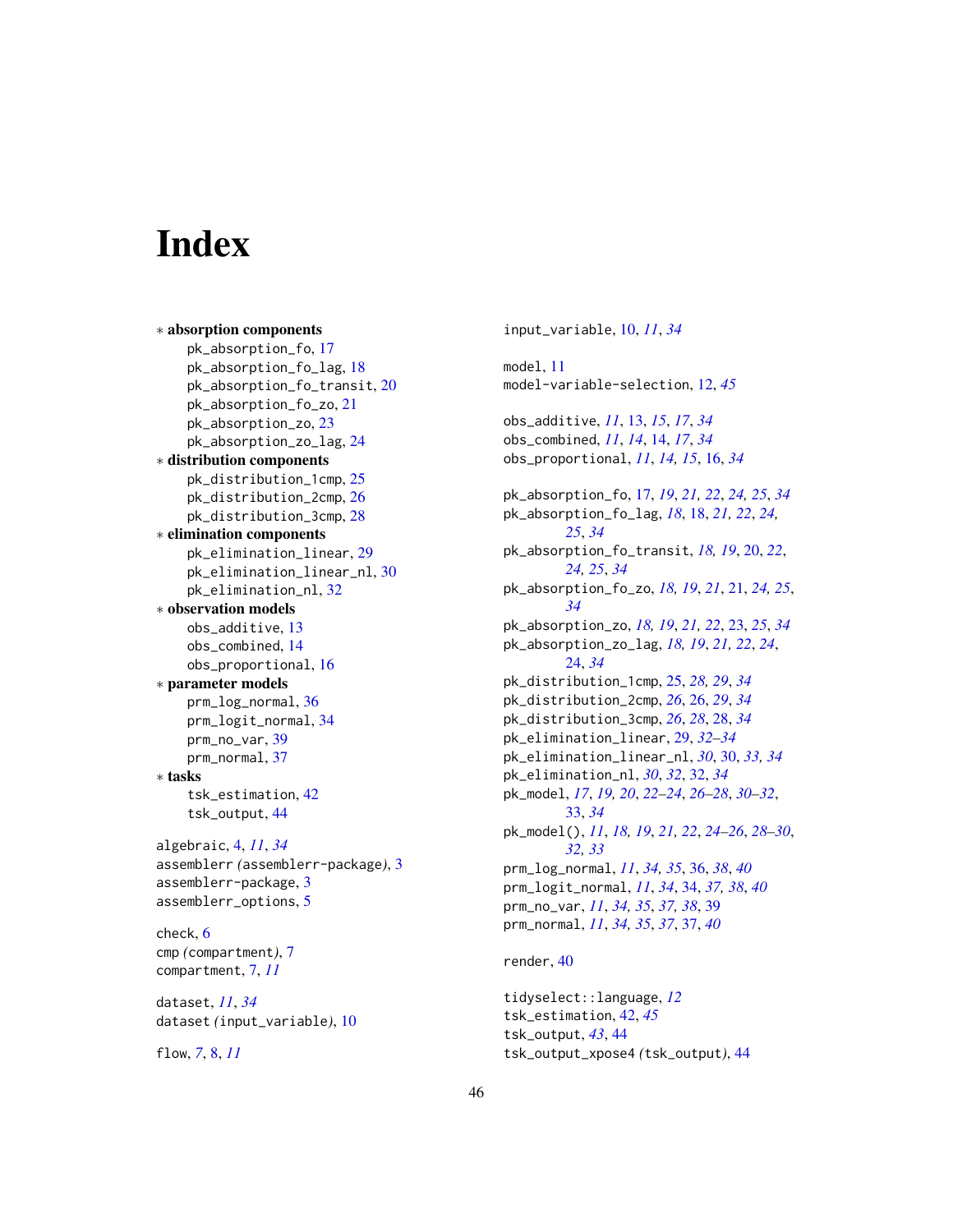# <span id="page-45-0"></span>**Index**

```
∗ absorption components
    pk_absorption_fo, 17
    pk_absorption_fo_lag, 18
    pk_absorption_fo_transit, 20
    pk_absorption_fo_zo, 21
    pk_absorption_zo, 23
    pk_absorption_zo_lag, 24
∗ distribution components
    pk_distribution_1cmp, 25
    pk_distribution_2cmp, 26
    pk_distribution_3cmp, 28
∗ elimination components
    pk_elimination_linear, 29
    pk_elimination_linear_nl, 30
    pk_elimination_nl, 32
∗ observation models
    obs_additive, 13
    obs_combined, 14
    obs_proportional, 16
∗ parameter models
    prm_log_normal, 36
    prm_logit_normal, 34
    prm_no_var, 39
    prm_normal, 37
∗ tasks
    tsk_estimation, 42
    tsk_output, 44
algebraic, 4, 11, 34
assemblerr (assemblerr-package), 3
assemblerr-package, 3
assemblerr_options, 5
check, 6
cmp (compartment), 7
compartment, 7, 11
dataset, 11, 34
dataset (input_variable), 10
```

```
flow, 7, 8, 11
```
input\_variable, [10,](#page-9-0) *[11](#page-10-0)*, *[34](#page-33-0)* model, [11](#page-10-0) model-variable-selection, [12,](#page-11-0) *[45](#page-44-0)* obs\_additive, *[11](#page-10-0)*, [13,](#page-12-0) *[15](#page-14-0)*, *[17](#page-16-0)*, *[34](#page-33-0)* obs\_combined, *[11](#page-10-0)*, *[14](#page-13-0)*, [14,](#page-13-0) *[17](#page-16-0)*, *[34](#page-33-0)* obs\_proportional, *[11](#page-10-0)*, *[14,](#page-13-0) [15](#page-14-0)*, [16,](#page-15-0) *[34](#page-33-0)* pk\_absorption\_fo, [17,](#page-16-0) *[19](#page-18-0)*, *[21,](#page-20-0) [22](#page-21-0)*, *[24,](#page-23-0) [25](#page-24-0)*, *[34](#page-33-0)* pk\_absorption\_fo\_lag, *[18](#page-17-0)*, [18,](#page-17-0) *[21,](#page-20-0) [22](#page-21-0)*, *[24,](#page-23-0) [25](#page-24-0)*, *[34](#page-33-0)* pk\_absorption\_fo\_transit, *[18,](#page-17-0) [19](#page-18-0)*, [20,](#page-19-0) *[22](#page-21-0)*, *[24,](#page-23-0) [25](#page-24-0)*, *[34](#page-33-0)* pk\_absorption\_fo\_zo, *[18,](#page-17-0) [19](#page-18-0)*, *[21](#page-20-0)*, [21,](#page-20-0) *[24,](#page-23-0) [25](#page-24-0)*, *[34](#page-33-0)* pk\_absorption\_zo, *[18,](#page-17-0) [19](#page-18-0)*, *[21,](#page-20-0) [22](#page-21-0)*, [23,](#page-22-0) *[25](#page-24-0)*, *[34](#page-33-0)* pk\_absorption\_zo\_lag, *[18,](#page-17-0) [19](#page-18-0)*, *[21,](#page-20-0) [22](#page-21-0)*, *[24](#page-23-0)*, [24,](#page-23-0) *[34](#page-33-0)* pk\_distribution\_1cmp, [25,](#page-24-0) *[28,](#page-27-0) [29](#page-28-0)*, *[34](#page-33-0)* pk\_distribution\_2cmp, *[26](#page-25-0)*, [26,](#page-25-0) *[29](#page-28-0)*, *[34](#page-33-0)* pk\_distribution\_3cmp, *[26](#page-25-0)*, *[28](#page-27-0)*, [28,](#page-27-0) *[34](#page-33-0)* pk\_elimination\_linear, [29,](#page-28-0) *[32](#page-31-0)[–34](#page-33-0)* pk\_elimination\_linear\_nl, *[30](#page-29-0)*, [30,](#page-29-0) *[33,](#page-32-0) [34](#page-33-0)* pk\_elimination\_nl, *[30](#page-29-0)*, *[32](#page-31-0)*, [32,](#page-31-0) *[34](#page-33-0)* pk\_model, *[17](#page-16-0)*, *[19,](#page-18-0) [20](#page-19-0)*, *[22](#page-21-0)[–24](#page-23-0)*, *[26](#page-25-0)[–28](#page-27-0)*, *[30](#page-29-0)[–32](#page-31-0)*, [33,](#page-32-0) *[34](#page-33-0)* pk\_model(), *[11](#page-10-0)*, *[18,](#page-17-0) [19](#page-18-0)*, *[21,](#page-20-0) [22](#page-21-0)*, *[24](#page-23-0)[–26](#page-25-0)*, *[28](#page-27-0)[–30](#page-29-0)*, *[32,](#page-31-0) [33](#page-32-0)* prm\_log\_normal, *[11](#page-10-0)*, *[34,](#page-33-0) [35](#page-34-0)*, [36,](#page-35-0) *[38](#page-37-0)*, *[40](#page-39-0)* prm\_logit\_normal, *[11](#page-10-0)*, *[34](#page-33-0)*, [34,](#page-33-0) *[37,](#page-36-0) [38](#page-37-0)*, *[40](#page-39-0)* prm\_no\_var, *[11](#page-10-0)*, *[34,](#page-33-0) [35](#page-34-0)*, *[37,](#page-36-0) [38](#page-37-0)*, [39](#page-38-0) prm\_normal, *[11](#page-10-0)*, *[34,](#page-33-0) [35](#page-34-0)*, *[37](#page-36-0)*, [37,](#page-36-0) *[40](#page-39-0)*

# render, [40](#page-39-0)

```
tidyselect::language, 12
tsk_estimation, 42, 45
tsk_output, 43, 44
tsk_output_xpose4 (tsk_output), 44
```